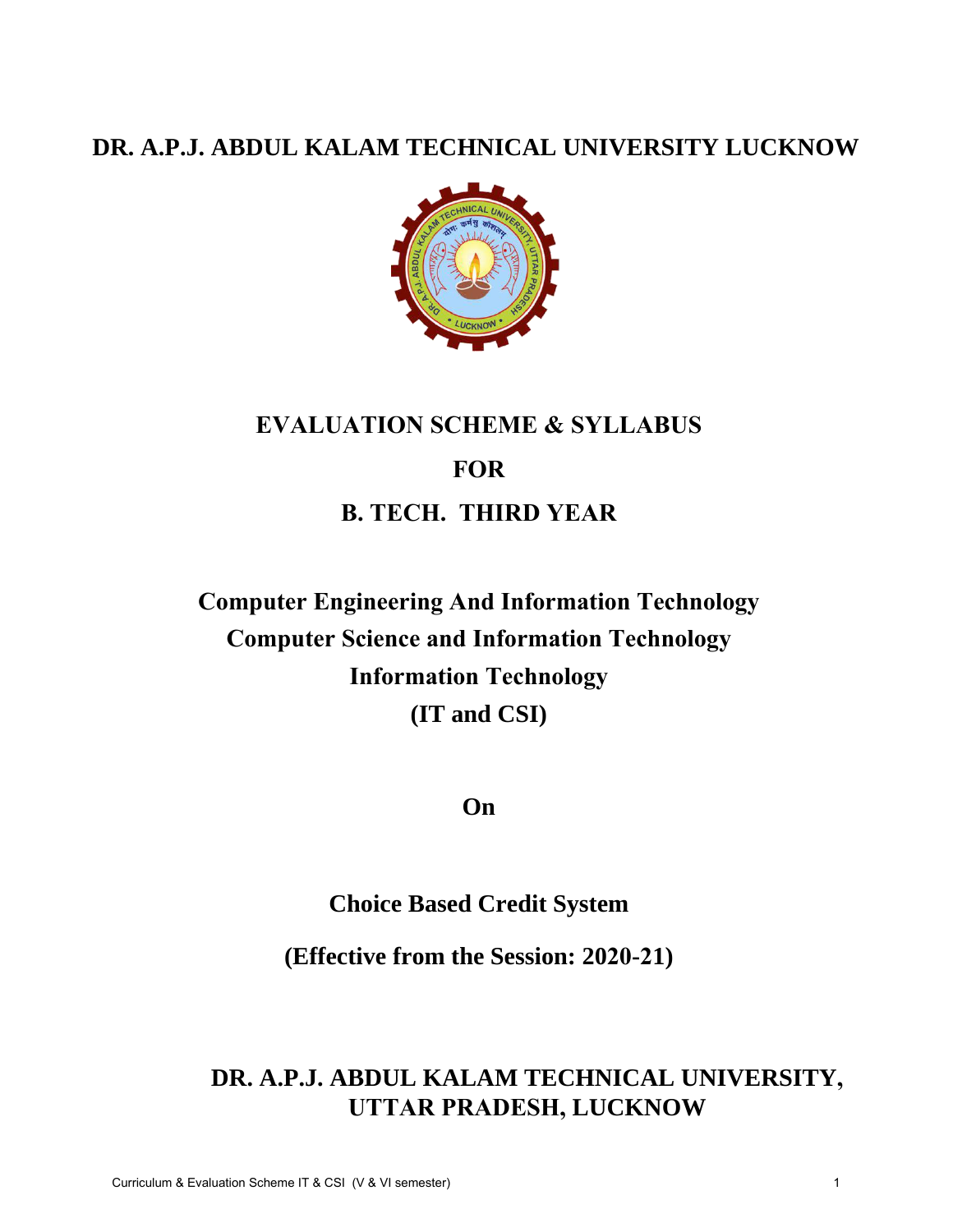# **DR. A.P.J. ABDUL KALAM TECHNICAL UNIVERSITY LUCKNOW**



# **EVALUATION SCHEME & SYLLABUS FOR B. TECH. THIRD YEAR**

**Computer Engineering And Information Technology Computer Science and Information Technology Information Technology (IT and CSI)** 

**On** 

**Choice Based Credit System** 

**(Effective from the Session: 2020-21)**

**DR. A.P.J. ABDUL KALAM TECHNICAL UNIVERSITY, UTTAR PRADESH, LUCKNOW**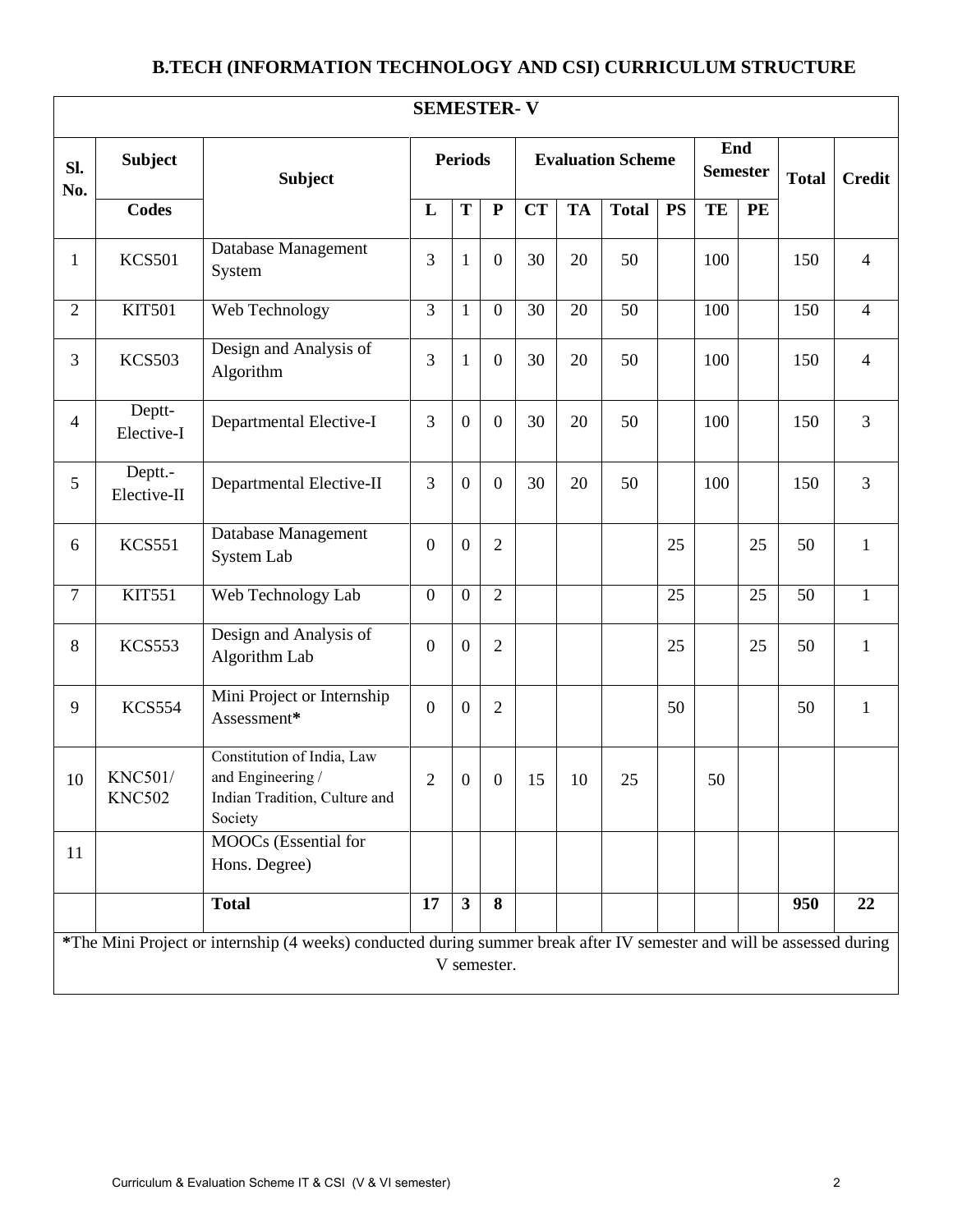# **B.TECH (INFORMATION TECHNOLOGY AND CSI) CURRICULUM STRUCTURE**

|                | <b>SEMESTER-V</b>                                                                                                                    |                                                                                             |                  |                         |                  |           |                          |              |           |     |                        |     |                |               |
|----------------|--------------------------------------------------------------------------------------------------------------------------------------|---------------------------------------------------------------------------------------------|------------------|-------------------------|------------------|-----------|--------------------------|--------------|-----------|-----|------------------------|-----|----------------|---------------|
| SI.<br>No.     | <b>Subject</b>                                                                                                                       | <b>Subject</b>                                                                              | <b>Periods</b>   |                         |                  |           | <b>Evaluation Scheme</b> |              |           |     | End<br><b>Semester</b> |     | <b>Total</b>   | <b>Credit</b> |
|                | <b>Codes</b>                                                                                                                         |                                                                                             | L                | T                       | ${\bf P}$        | <b>CT</b> | <b>TA</b>                | <b>Total</b> | <b>PS</b> | TE  | PE                     |     |                |               |
| $\mathbf{1}$   | <b>KCS501</b>                                                                                                                        | Database Management<br>System                                                               | 3                | $\mathbf{1}$            | $\boldsymbol{0}$ | 30        | 20                       | 50           |           | 100 |                        | 150 | $\overline{4}$ |               |
| $\overline{2}$ | <b>KIT501</b>                                                                                                                        | Web Technology                                                                              | $\overline{3}$   | $\mathbf{1}$            | $\overline{0}$   | 30        | 20                       | 50           |           | 100 |                        | 150 | $\overline{4}$ |               |
| 3              | <b>KCS503</b>                                                                                                                        | Design and Analysis of<br>Algorithm                                                         | 3                | $\mathbf{1}$            | $\boldsymbol{0}$ | 30        | 20                       | 50           |           | 100 |                        | 150 | $\overline{4}$ |               |
| $\overline{4}$ | Deptt-<br>Elective-I                                                                                                                 | Departmental Elective-I                                                                     | 3                | $\mathbf{0}$            | $\overline{0}$   | 30        | 20                       | 50           |           | 100 |                        | 150 | $\overline{3}$ |               |
| 5              | Deptt.-<br>Elective-II                                                                                                               | Departmental Elective-II                                                                    | 3                | $\boldsymbol{0}$        | $\boldsymbol{0}$ | 30        | 20                       | 50           |           | 100 |                        | 150 | $\overline{3}$ |               |
| 6              | <b>KCS551</b>                                                                                                                        | Database Management<br>System Lab                                                           | $\boldsymbol{0}$ | $\mathbf{0}$            | $\overline{2}$   |           |                          |              | 25        |     | 25                     | 50  | $\mathbf{1}$   |               |
| $\overline{7}$ | <b>KIT551</b>                                                                                                                        | Web Technology Lab                                                                          | $\boldsymbol{0}$ | $\boldsymbol{0}$        | $\overline{2}$   |           |                          |              | 25        |     | 25                     | 50  | $\mathbf{1}$   |               |
| $8\,$          | <b>KCS553</b>                                                                                                                        | Design and Analysis of<br>Algorithm Lab                                                     | $\boldsymbol{0}$ | $\mathbf{0}$            | $\overline{2}$   |           |                          |              | 25        |     | 25                     | 50  | $\mathbf{1}$   |               |
| 9              | <b>KCS554</b>                                                                                                                        | Mini Project or Internship<br>Assessment*                                                   | $\mathbf{0}$     | $\mathbf{0}$            | $\overline{2}$   |           |                          |              | 50        |     |                        | 50  | $\mathbf{1}$   |               |
| 10             | <b>KNC501/</b><br><b>KNC502</b>                                                                                                      | Constitution of India, Law<br>and Engineering /<br>Indian Tradition, Culture and<br>Society | $\overline{2}$   | $\boldsymbol{0}$        | $\boldsymbol{0}$ | 15        | 10                       | 25           |           | 50  |                        |     |                |               |
| 11             |                                                                                                                                      | MOOCs (Essential for<br>Hons. Degree)                                                       |                  |                         |                  |           |                          |              |           |     |                        |     |                |               |
|                |                                                                                                                                      | <b>Total</b>                                                                                | 17               | $\overline{\mathbf{3}}$ | 8                |           |                          |              |           |     |                        | 950 | 22             |               |
|                | *The Mini Project or internship (4 weeks) conducted during summer break after IV semester and will be assessed during<br>V semester. |                                                                                             |                  |                         |                  |           |                          |              |           |     |                        |     |                |               |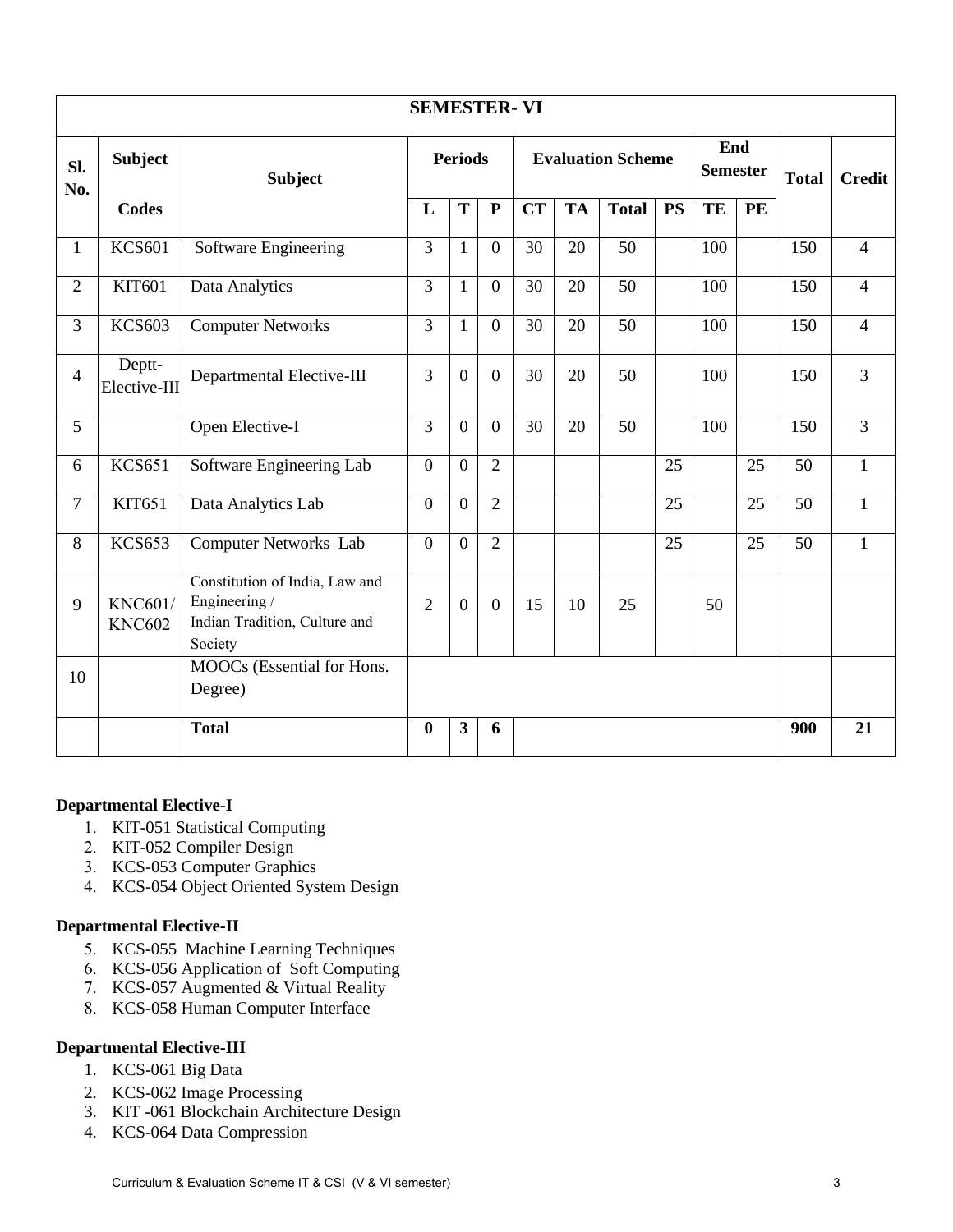|                | <b>SEMESTER-VI</b>              |                                                                                             |                  |                         |                |           |                          |                 |                        |     |              |     |                |  |  |  |               |
|----------------|---------------------------------|---------------------------------------------------------------------------------------------|------------------|-------------------------|----------------|-----------|--------------------------|-----------------|------------------------|-----|--------------|-----|----------------|--|--|--|---------------|
| Sl.<br>No.     | <b>Subject</b>                  | <b>Subject</b>                                                                              | <b>Periods</b>   |                         |                |           | <b>Evaluation Scheme</b> |                 | End<br><b>Semester</b> |     | <b>Total</b> |     |                |  |  |  | <b>Credit</b> |
|                | <b>Codes</b>                    |                                                                                             | L                | T                       | ${\bf P}$      | <b>CT</b> | <b>TA</b>                | <b>Total</b>    | <b>PS</b>              | TE  | PE           |     |                |  |  |  |               |
| $\mathbf{1}$   | <b>KCS601</b>                   | Software Engineering                                                                        | 3                | $\mathbf{1}$            | $\overline{0}$ | 30        | 20                       | 50              |                        | 100 |              | 150 | $\overline{4}$ |  |  |  |               |
| $\overline{2}$ | <b>KIT601</b>                   | Data Analytics                                                                              | 3                | $\mathbf{1}$            | $\overline{0}$ | 30        | 20                       | $\overline{50}$ |                        | 100 |              | 150 | $\overline{4}$ |  |  |  |               |
| $\overline{3}$ | <b>KCS603</b>                   | <b>Computer Networks</b>                                                                    | 3                | $\mathbf{1}$            | $\overline{0}$ | 30        | 20                       | 50              |                        | 100 |              | 150 | $\overline{4}$ |  |  |  |               |
| $\overline{4}$ | Deptt-<br>Elective-III          | Departmental Elective-III                                                                   | 3                | $\overline{0}$          | $\overline{0}$ | 30        | 20                       | 50              |                        | 100 |              | 150 | $\overline{3}$ |  |  |  |               |
| 5              |                                 | Open Elective-I                                                                             | 3                | $\overline{0}$          | $\overline{0}$ | 30        | 20                       | 50              |                        | 100 |              | 150 | $\overline{3}$ |  |  |  |               |
| 6              | <b>KCS651</b>                   | Software Engineering Lab                                                                    | $\boldsymbol{0}$ | $\overline{0}$          | $\overline{2}$ |           |                          |                 | 25                     |     | 25           | 50  | $\mathbf{1}$   |  |  |  |               |
| $\overline{7}$ | KIT651                          | Data Analytics Lab                                                                          | $\overline{0}$   | $\overline{0}$          | $\overline{2}$ |           |                          |                 | 25                     |     | 25           | 50  | $\mathbf{1}$   |  |  |  |               |
| 8              | <b>KCS653</b>                   | Computer Networks Lab                                                                       | $\overline{0}$   | $\overline{0}$          | $\overline{2}$ |           |                          |                 | $\overline{25}$        |     | 25           | 50  | $\mathbf{1}$   |  |  |  |               |
| 9              | <b>KNC601/</b><br><b>KNC602</b> | Constitution of India, Law and<br>Engineering /<br>Indian Tradition, Culture and<br>Society | $\overline{2}$   | $\overline{0}$          | $\overline{0}$ | 15        | 10                       | 25              |                        | 50  |              |     |                |  |  |  |               |
| 10             |                                 | MOOCs (Essential for Hons.<br>Degree)                                                       |                  |                         |                |           |                          |                 |                        |     |              |     |                |  |  |  |               |
|                |                                 | <b>Total</b>                                                                                | $\bf{0}$         | $\overline{\mathbf{3}}$ | 6              |           |                          |                 |                        |     |              | 900 | 21             |  |  |  |               |

#### **Departmental Elective-I**

- 1. KIT-051 Statistical Computing
- 2. KIT-052 Compiler Design
- 3. KCS-053 Computer Graphics
- 4. KCS-054 Object Oriented System Design

#### **Departmental Elective-II**

- 5. KCS-055 Machine Learning Techniques
- 6. KCS-056 Application of Soft Computing
- 7. KCS-057 [Augmented & Virtual Reality](https://realitylab.uw.edu/)
- 8. KCS-058 Human Computer Interface

#### **Departmental Elective-III**

- 1. KCS-061 Big Data
- 2. KCS-062 Image Processing
- 3. KIT -061 Blockchain Architecture Design
- 4. KCS-064 Data Compression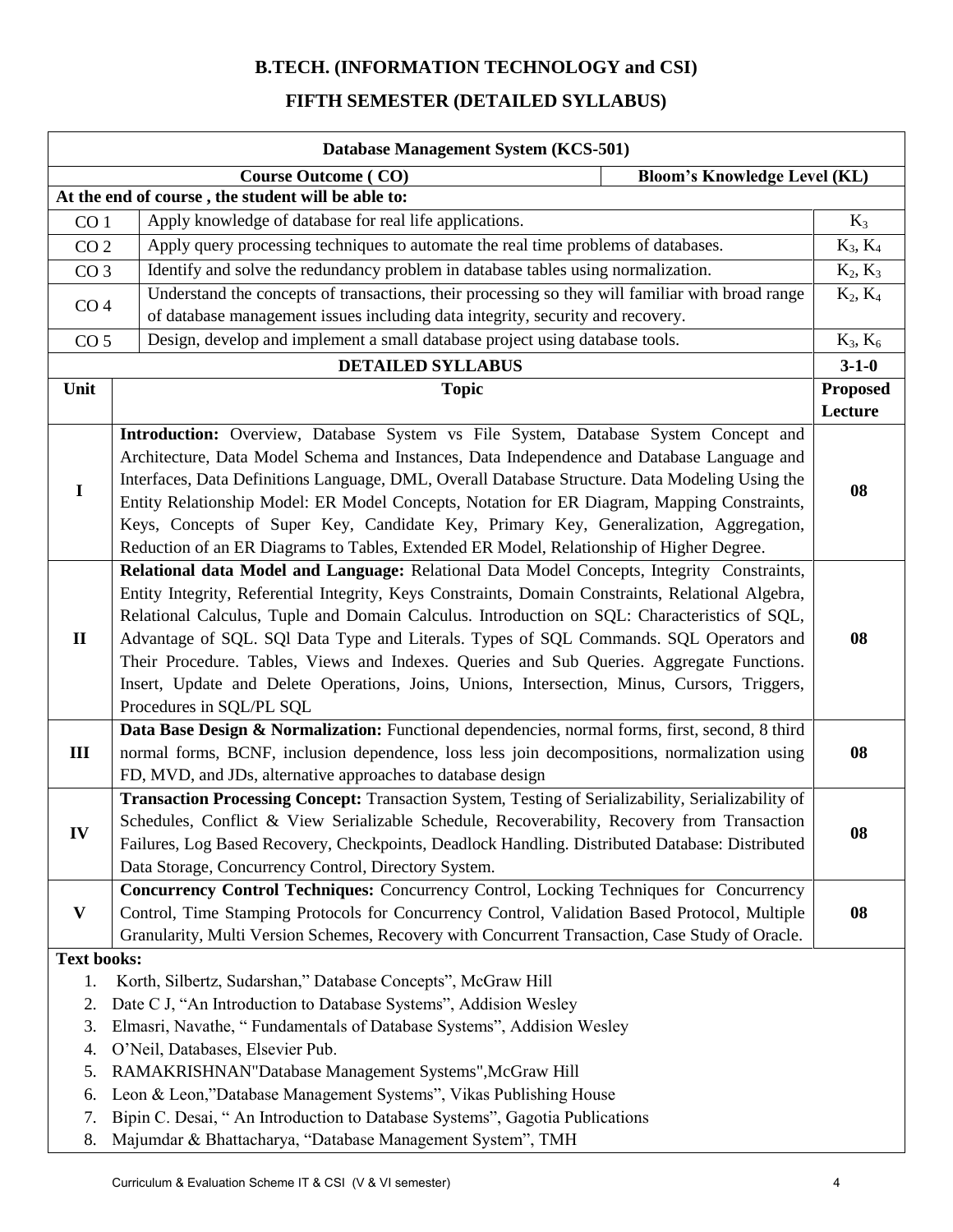# **B.TECH. (INFORMATION TECHNOLOGY and CSI)**

### **FIFTH SEMESTER (DETAILED SYLLABUS)**

| Database Management System (KCS-501) |                                                                                                    |                 |  |  |  |  |
|--------------------------------------|----------------------------------------------------------------------------------------------------|-----------------|--|--|--|--|
|                                      | <b>Course Outcome (CO)</b><br><b>Bloom's Knowledge Level (KL)</b>                                  |                 |  |  |  |  |
|                                      | At the end of course, the student will be able to:                                                 |                 |  |  |  |  |
| CO <sub>1</sub>                      | Apply knowledge of database for real life applications.                                            | $K_3$           |  |  |  |  |
| CO <sub>2</sub>                      | Apply query processing techniques to automate the real time problems of databases.                 | $K_3, K_4$      |  |  |  |  |
| CO <sub>3</sub>                      | Identify and solve the redundancy problem in database tables using normalization.                  | $K_2, K_3$      |  |  |  |  |
|                                      | Understand the concepts of transactions, their processing so they will familiar with broad range   | $K_2, K_4$      |  |  |  |  |
| CO <sub>4</sub>                      | of database management issues including data integrity, security and recovery.                     |                 |  |  |  |  |
| CO <sub>5</sub>                      | Design, develop and implement a small database project using database tools.                       | $K_3, K_6$      |  |  |  |  |
|                                      | <b>DETAILED SYLLABUS</b>                                                                           | $3 - 1 - 0$     |  |  |  |  |
| Unit                                 | <b>Topic</b>                                                                                       | <b>Proposed</b> |  |  |  |  |
|                                      |                                                                                                    | Lecture         |  |  |  |  |
|                                      | Introduction: Overview, Database System vs File System, Database System Concept and                |                 |  |  |  |  |
| $\mathbf I$                          | Architecture, Data Model Schema and Instances, Data Independence and Database Language and         |                 |  |  |  |  |
|                                      | Interfaces, Data Definitions Language, DML, Overall Database Structure. Data Modeling Using the    |                 |  |  |  |  |
|                                      | Entity Relationship Model: ER Model Concepts, Notation for ER Diagram, Mapping Constraints,        | 08              |  |  |  |  |
|                                      | Keys, Concepts of Super Key, Candidate Key, Primary Key, Generalization, Aggregation,              |                 |  |  |  |  |
|                                      | Reduction of an ER Diagrams to Tables, Extended ER Model, Relationship of Higher Degree.           |                 |  |  |  |  |
|                                      | Relational data Model and Language: Relational Data Model Concepts, Integrity Constraints,         |                 |  |  |  |  |
|                                      | Entity Integrity, Referential Integrity, Keys Constraints, Domain Constraints, Relational Algebra, |                 |  |  |  |  |
|                                      | Relational Calculus, Tuple and Domain Calculus. Introduction on SQL: Characteristics of SQL,       |                 |  |  |  |  |
| $\mathbf{I}$                         | Advantage of SQL. SQI Data Type and Literals. Types of SQL Commands. SQL Operators and             | 08              |  |  |  |  |
|                                      | Their Procedure. Tables, Views and Indexes. Queries and Sub Queries. Aggregate Functions.          |                 |  |  |  |  |
|                                      | Insert, Update and Delete Operations, Joins, Unions, Intersection, Minus, Cursors, Triggers,       |                 |  |  |  |  |
|                                      | Procedures in SQL/PL SQL                                                                           |                 |  |  |  |  |
|                                      | Data Base Design & Normalization: Functional dependencies, normal forms, first, second, 8 third    |                 |  |  |  |  |
| Ш                                    | normal forms, BCNF, inclusion dependence, loss less join decompositions, normalization using       | 08              |  |  |  |  |
|                                      | FD, MVD, and JDs, alternative approaches to database design                                        |                 |  |  |  |  |
|                                      | Transaction Processing Concept: Transaction System, Testing of Serializability, Serializability of |                 |  |  |  |  |
| IV                                   | Schedules, Conflict & View Serializable Schedule, Recoverability, Recovery from Transaction        | 08              |  |  |  |  |
|                                      | Failures, Log Based Recovery, Checkpoints, Deadlock Handling. Distributed Database: Distributed    |                 |  |  |  |  |
|                                      | Data Storage, Concurrency Control, Directory System.                                               |                 |  |  |  |  |
|                                      | Concurrency Control Techniques: Concurrency Control, Locking Techniques for Concurrency            |                 |  |  |  |  |
| $\mathbf{V}$                         | Control, Time Stamping Protocols for Concurrency Control, Validation Based Protocol, Multiple      | 08              |  |  |  |  |
|                                      | Granularity, Multi Version Schemes, Recovery with Concurrent Transaction, Case Study of Oracle.    |                 |  |  |  |  |
| <b>Text books:</b>                   | Korth, Silbertz, Sudarshan," Database Concepts", McGraw Hill                                       |                 |  |  |  |  |
| 1.<br>2.                             | Date C J, "An Introduction to Database Systems", Addision Wesley                                   |                 |  |  |  |  |
| 3.                                   | Elmasri, Navathe, "Fundamentals of Database Systems", Addision Wesley                              |                 |  |  |  |  |
| 4.                                   | O'Neil, Databases, Elsevier Pub.                                                                   |                 |  |  |  |  |
| 5.                                   | RAMAKRISHNAN"Database Management Systems", McGraw Hill                                             |                 |  |  |  |  |
| 6.                                   | Leon & Leon,"Database Management Systems", Vikas Publishing House                                  |                 |  |  |  |  |
| 7.                                   | Bipin C. Desai, "An Introduction to Database Systems", Gagotia Publications                        |                 |  |  |  |  |
| 8.                                   | Majumdar & Bhattacharya, "Database Management System", TMH                                         |                 |  |  |  |  |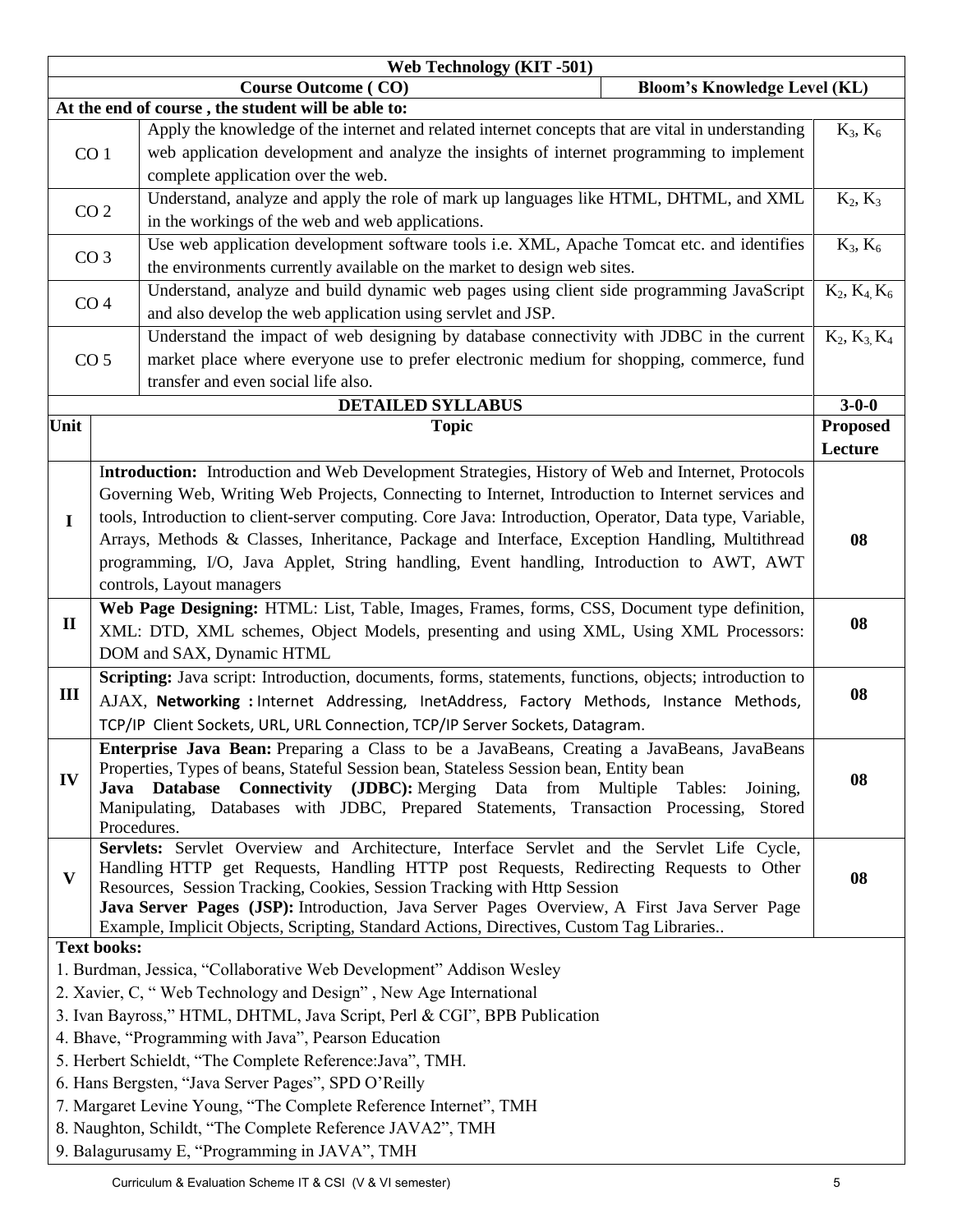|                                                      | Web Technology (KIT-501)                                                                                                                                                             |                       |  |  |  |  |  |
|------------------------------------------------------|--------------------------------------------------------------------------------------------------------------------------------------------------------------------------------------|-----------------------|--|--|--|--|--|
|                                                      | <b>Course Outcome (CO)</b><br><b>Bloom's Knowledge Level (KL)</b>                                                                                                                    |                       |  |  |  |  |  |
| At the end of course, the student will be able to:   |                                                                                                                                                                                      |                       |  |  |  |  |  |
|                                                      | Apply the knowledge of the internet and related internet concepts that are vital in understanding                                                                                    | $K_3, K_6$            |  |  |  |  |  |
|                                                      | web application development and analyze the insights of internet programming to implement<br>CO <sub>1</sub>                                                                         |                       |  |  |  |  |  |
|                                                      | complete application over the web.                                                                                                                                                   |                       |  |  |  |  |  |
|                                                      | Understand, analyze and apply the role of mark up languages like HTML, DHTML, and XML<br>CO <sub>2</sub>                                                                             | $K_2, K_3$            |  |  |  |  |  |
|                                                      | in the workings of the web and web applications.                                                                                                                                     |                       |  |  |  |  |  |
|                                                      | Use web application development software tools i.e. XML, Apache Tomcat etc. and identifies                                                                                           | $K_3, K_6$            |  |  |  |  |  |
|                                                      | CO <sub>3</sub><br>the environments currently available on the market to design web sites.                                                                                           |                       |  |  |  |  |  |
|                                                      | Understand, analyze and build dynamic web pages using client side programming JavaScript                                                                                             | $K_2$ , $K_4$ , $K_6$ |  |  |  |  |  |
|                                                      | CO <sub>4</sub><br>and also develop the web application using servlet and JSP.                                                                                                       |                       |  |  |  |  |  |
|                                                      | Understand the impact of web designing by database connectivity with JDBC in the current                                                                                             | $K_2, K_3, K_4$       |  |  |  |  |  |
|                                                      | market place where everyone use to prefer electronic medium for shopping, commerce, fund<br>CO <sub>5</sub>                                                                          |                       |  |  |  |  |  |
|                                                      | transfer and even social life also.                                                                                                                                                  |                       |  |  |  |  |  |
|                                                      | <b>DETAILED SYLLABUS</b>                                                                                                                                                             | $3 - 0 - 0$           |  |  |  |  |  |
| Unit                                                 | <b>Topic</b>                                                                                                                                                                         | <b>Proposed</b>       |  |  |  |  |  |
|                                                      |                                                                                                                                                                                      | Lecture               |  |  |  |  |  |
|                                                      | Introduction: Introduction and Web Development Strategies, History of Web and Internet, Protocols                                                                                    |                       |  |  |  |  |  |
|                                                      | Governing Web, Writing Web Projects, Connecting to Internet, Introduction to Internet services and                                                                                   |                       |  |  |  |  |  |
| $\mathbf I$                                          | tools, Introduction to client-server computing. Core Java: Introduction, Operator, Data type, Variable,                                                                              |                       |  |  |  |  |  |
|                                                      | Arrays, Methods & Classes, Inheritance, Package and Interface, Exception Handling, Multithread                                                                                       |                       |  |  |  |  |  |
|                                                      | programming, I/O, Java Applet, String handling, Event handling, Introduction to AWT, AWT                                                                                             |                       |  |  |  |  |  |
|                                                      | controls, Layout managers                                                                                                                                                            |                       |  |  |  |  |  |
|                                                      | Web Page Designing: HTML: List, Table, Images, Frames, forms, CSS, Document type definition,                                                                                         |                       |  |  |  |  |  |
| $\mathbf{I}$                                         | XML: DTD, XML schemes, Object Models, presenting and using XML, Using XML Processors:                                                                                                | 08                    |  |  |  |  |  |
|                                                      | DOM and SAX, Dynamic HTML                                                                                                                                                            |                       |  |  |  |  |  |
|                                                      | Scripting: Java script: Introduction, documents, forms, statements, functions, objects; introduction to                                                                              |                       |  |  |  |  |  |
| Ш                                                    | AJAX, Networking : Internet Addressing, InetAddress, Factory Methods, Instance Methods,                                                                                              | 08                    |  |  |  |  |  |
|                                                      | TCP/IP Client Sockets, URL, URL Connection, TCP/IP Server Sockets, Datagram.                                                                                                         |                       |  |  |  |  |  |
|                                                      | <b>Enterprise Java Bean:</b> Preparing a Class to be a JavaBeans, Creating a JavaBeans, JavaBeans                                                                                    |                       |  |  |  |  |  |
| IV                                                   | Properties, Types of beans, Stateful Session bean, Stateless Session bean, Entity bean                                                                                               |                       |  |  |  |  |  |
|                                                      | Java Database Connectivity (JDBC): Merging Data from Multiple Tables:<br>Joining,                                                                                                    | 08                    |  |  |  |  |  |
|                                                      | Manipulating, Databases with JDBC, Prepared Statements, Transaction Processing, Stored                                                                                               |                       |  |  |  |  |  |
|                                                      | Procedures.                                                                                                                                                                          |                       |  |  |  |  |  |
|                                                      | Servlets: Servlet Overview and Architecture, Interface Servlet and the Servlet Life Cycle,<br>Handling HTTP get Requests, Handling HTTP post Requests, Redirecting Requests to Other |                       |  |  |  |  |  |
| $\mathbf{V}$                                         | Resources, Session Tracking, Cookies, Session Tracking with Http Session                                                                                                             | 08                    |  |  |  |  |  |
|                                                      | Java Server Pages (JSP): Introduction, Java Server Pages Overview, A First Java Server Page                                                                                          |                       |  |  |  |  |  |
|                                                      | Example, Implicit Objects, Scripting, Standard Actions, Directives, Custom Tag Libraries                                                                                             |                       |  |  |  |  |  |
|                                                      | <b>Text books:</b>                                                                                                                                                                   |                       |  |  |  |  |  |
|                                                      | 1. Burdman, Jessica, "Collaborative Web Development" Addison Wesley                                                                                                                  |                       |  |  |  |  |  |
|                                                      | 2. Xavier, C, "Web Technology and Design", New Age International                                                                                                                     |                       |  |  |  |  |  |
|                                                      | 3. Ivan Bayross," HTML, DHTML, Java Script, Perl & CGI", BPB Publication                                                                                                             |                       |  |  |  |  |  |
| 4. Bhave, "Programming with Java", Pearson Education |                                                                                                                                                                                      |                       |  |  |  |  |  |
|                                                      | 5. Herbert Schieldt, "The Complete Reference: Java", TMH.                                                                                                                            |                       |  |  |  |  |  |
|                                                      | 6. Hans Bergsten, "Java Server Pages", SPD O'Reilly                                                                                                                                  |                       |  |  |  |  |  |
|                                                      | 7. Margaret Levine Young, "The Complete Reference Internet", TMH                                                                                                                     |                       |  |  |  |  |  |
|                                                      | 8. Naughton, Schildt, "The Complete Reference JAVA2", TMH                                                                                                                            |                       |  |  |  |  |  |
|                                                      | 9. Balagurusamy E, "Programming in JAVA", TMH                                                                                                                                        |                       |  |  |  |  |  |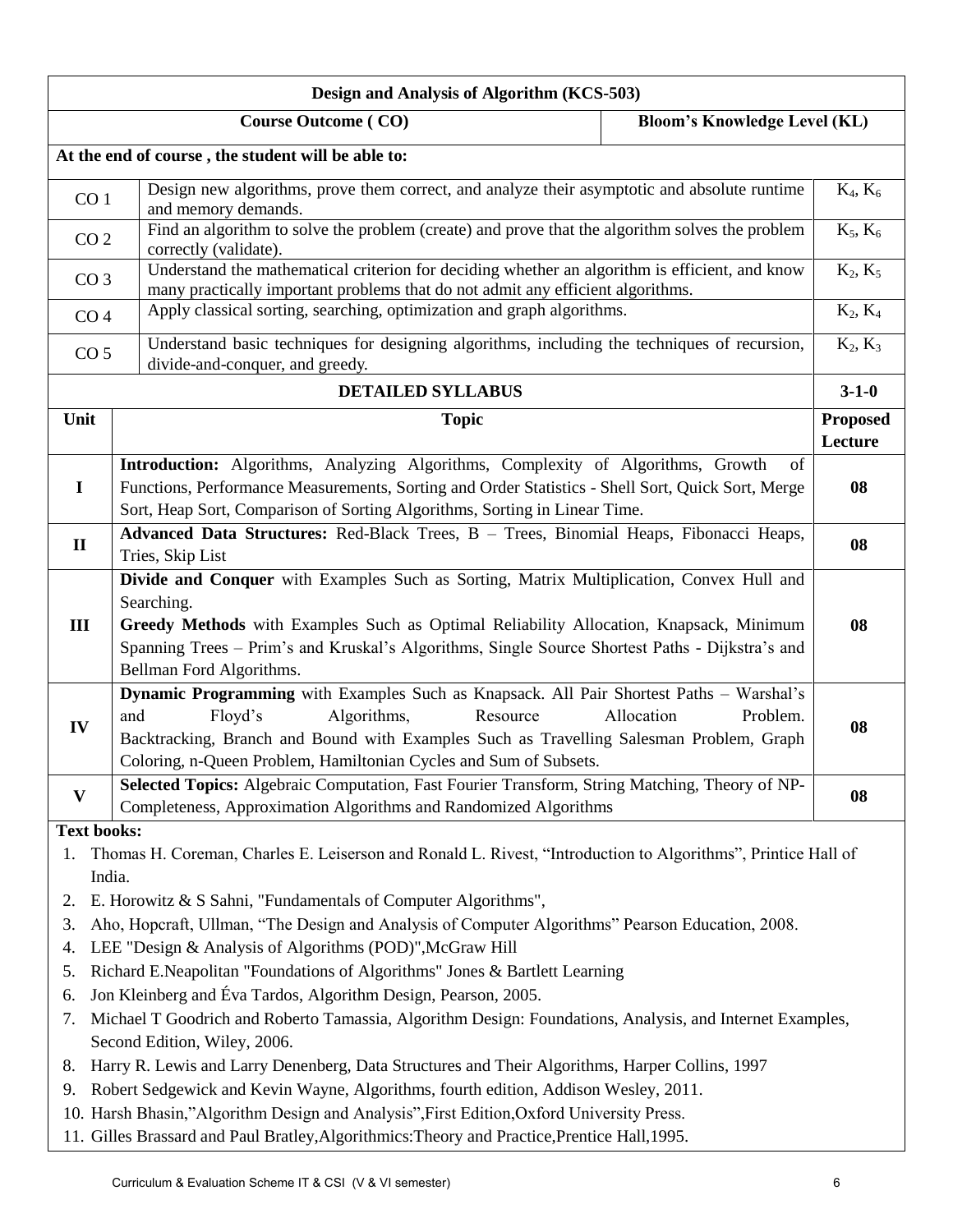| Design and Analysis of Algorithm (KCS-503)                                                                                                                                                           |                                                                                                                                                                                                                                                                                                                                                                                                                                                                                                                                                                                                                                                                                                                                                                                                                                                                                                                                 |                                     |             |  |  |  |
|------------------------------------------------------------------------------------------------------------------------------------------------------------------------------------------------------|---------------------------------------------------------------------------------------------------------------------------------------------------------------------------------------------------------------------------------------------------------------------------------------------------------------------------------------------------------------------------------------------------------------------------------------------------------------------------------------------------------------------------------------------------------------------------------------------------------------------------------------------------------------------------------------------------------------------------------------------------------------------------------------------------------------------------------------------------------------------------------------------------------------------------------|-------------------------------------|-------------|--|--|--|
|                                                                                                                                                                                                      | <b>Course Outcome (CO)</b>                                                                                                                                                                                                                                                                                                                                                                                                                                                                                                                                                                                                                                                                                                                                                                                                                                                                                                      | <b>Bloom's Knowledge Level (KL)</b> |             |  |  |  |
|                                                                                                                                                                                                      | At the end of course, the student will be able to:                                                                                                                                                                                                                                                                                                                                                                                                                                                                                                                                                                                                                                                                                                                                                                                                                                                                              |                                     |             |  |  |  |
| CO <sub>1</sub>                                                                                                                                                                                      | Design new algorithms, prove them correct, and analyze their asymptotic and absolute runtime<br>and memory demands.                                                                                                                                                                                                                                                                                                                                                                                                                                                                                                                                                                                                                                                                                                                                                                                                             |                                     | $K_4, K_6$  |  |  |  |
|                                                                                                                                                                                                      | Find an algorithm to solve the problem (create) and prove that the algorithm solves the problem<br>CO <sub>2</sub><br>correctly (validate).                                                                                                                                                                                                                                                                                                                                                                                                                                                                                                                                                                                                                                                                                                                                                                                     |                                     |             |  |  |  |
| Understand the mathematical criterion for deciding whether an algorithm is efficient, and know<br>CO <sub>3</sub><br>many practically important problems that do not admit any efficient algorithms. |                                                                                                                                                                                                                                                                                                                                                                                                                                                                                                                                                                                                                                                                                                                                                                                                                                                                                                                                 | $K_2, K_5$                          |             |  |  |  |
| CO <sub>4</sub>                                                                                                                                                                                      | Apply classical sorting, searching, optimization and graph algorithms.                                                                                                                                                                                                                                                                                                                                                                                                                                                                                                                                                                                                                                                                                                                                                                                                                                                          |                                     | $K_2, K_4$  |  |  |  |
| CO <sub>5</sub>                                                                                                                                                                                      | Understand basic techniques for designing algorithms, including the techniques of recursion,<br>divide-and-conquer, and greedy.                                                                                                                                                                                                                                                                                                                                                                                                                                                                                                                                                                                                                                                                                                                                                                                                 |                                     | $K_2, K_3$  |  |  |  |
|                                                                                                                                                                                                      | <b>DETAILED SYLLABUS</b>                                                                                                                                                                                                                                                                                                                                                                                                                                                                                                                                                                                                                                                                                                                                                                                                                                                                                                        |                                     | $3 - 1 - 0$ |  |  |  |
| Unit                                                                                                                                                                                                 | <b>Topic</b>                                                                                                                                                                                                                                                                                                                                                                                                                                                                                                                                                                                                                                                                                                                                                                                                                                                                                                                    |                                     |             |  |  |  |
|                                                                                                                                                                                                      |                                                                                                                                                                                                                                                                                                                                                                                                                                                                                                                                                                                                                                                                                                                                                                                                                                                                                                                                 |                                     | Lecture     |  |  |  |
| $\mathbf I$                                                                                                                                                                                          | Introduction: Algorithms, Analyzing Algorithms, Complexity of Algorithms, Growth<br>Functions, Performance Measurements, Sorting and Order Statistics - Shell Sort, Quick Sort, Merge<br>Sort, Heap Sort, Comparison of Sorting Algorithms, Sorting in Linear Time.                                                                                                                                                                                                                                                                                                                                                                                                                                                                                                                                                                                                                                                             | of                                  | 08          |  |  |  |
| $\mathbf{I}$                                                                                                                                                                                         | Advanced Data Structures: Red-Black Trees, B - Trees, Binomial Heaps, Fibonacci Heaps,<br>Tries, Skip List                                                                                                                                                                                                                                                                                                                                                                                                                                                                                                                                                                                                                                                                                                                                                                                                                      |                                     |             |  |  |  |
| III                                                                                                                                                                                                  | Divide and Conquer with Examples Such as Sorting, Matrix Multiplication, Convex Hull and<br>Searching.<br>Greedy Methods with Examples Such as Optimal Reliability Allocation, Knapsack, Minimum<br>Spanning Trees - Prim's and Kruskal's Algorithms, Single Source Shortest Paths - Dijkstra's and<br>Bellman Ford Algorithms.                                                                                                                                                                                                                                                                                                                                                                                                                                                                                                                                                                                                 |                                     | 08          |  |  |  |
| IV                                                                                                                                                                                                   | Dynamic Programming with Examples Such as Knapsack. All Pair Shortest Paths - Warshal's<br>and<br>Floyd's<br>Algorithms,<br>Resource<br>Backtracking, Branch and Bound with Examples Such as Travelling Salesman Problem, Graph<br>Coloring, n-Queen Problem, Hamiltonian Cycles and Sum of Subsets.                                                                                                                                                                                                                                                                                                                                                                                                                                                                                                                                                                                                                            | Allocation<br>Problem.              | 08          |  |  |  |
| $\mathbf{V}$                                                                                                                                                                                         | Selected Topics: Algebraic Computation, Fast Fourier Transform, String Matching, Theory of NP-<br>Completeness, Approximation Algorithms and Randomized Algorithms                                                                                                                                                                                                                                                                                                                                                                                                                                                                                                                                                                                                                                                                                                                                                              |                                     | 08          |  |  |  |
| <b>Text books:</b><br>1.<br>India.<br>2.<br>3.<br>4.<br>5.<br>6.<br>7.<br>8.<br>9.                                                                                                                   | Thomas H. Coreman, Charles E. Leiserson and Ronald L. Rivest, "Introduction to Algorithms", Printice Hall of<br>E. Horowitz & S Sahni, "Fundamentals of Computer Algorithms",<br>Aho, Hopcraft, Ullman, "The Design and Analysis of Computer Algorithms" Pearson Education, 2008.<br>LEE "Design & Analysis of Algorithms (POD)", McGraw Hill<br>Richard E.Neapolitan "Foundations of Algorithms" Jones & Bartlett Learning<br>Jon Kleinberg and Éva Tardos, Algorithm Design, Pearson, 2005.<br>Michael T Goodrich and Roberto Tamassia, Algorithm Design: Foundations, Analysis, and Internet Examples,<br>Second Edition, Wiley, 2006.<br>Harry R. Lewis and Larry Denenberg, Data Structures and Their Algorithms, Harper Collins, 1997<br>Robert Sedgewick and Kevin Wayne, Algorithms, fourth edition, Addison Wesley, 2011.<br>10. Harsh Bhasin,"Algorithm Design and Analysis", First Edition, Oxford University Press. |                                     |             |  |  |  |
|                                                                                                                                                                                                      | 11. Gilles Brassard and Paul Bratley, Algorithmics: Theory and Practice, Prentice Hall, 1995.                                                                                                                                                                                                                                                                                                                                                                                                                                                                                                                                                                                                                                                                                                                                                                                                                                   |                                     |             |  |  |  |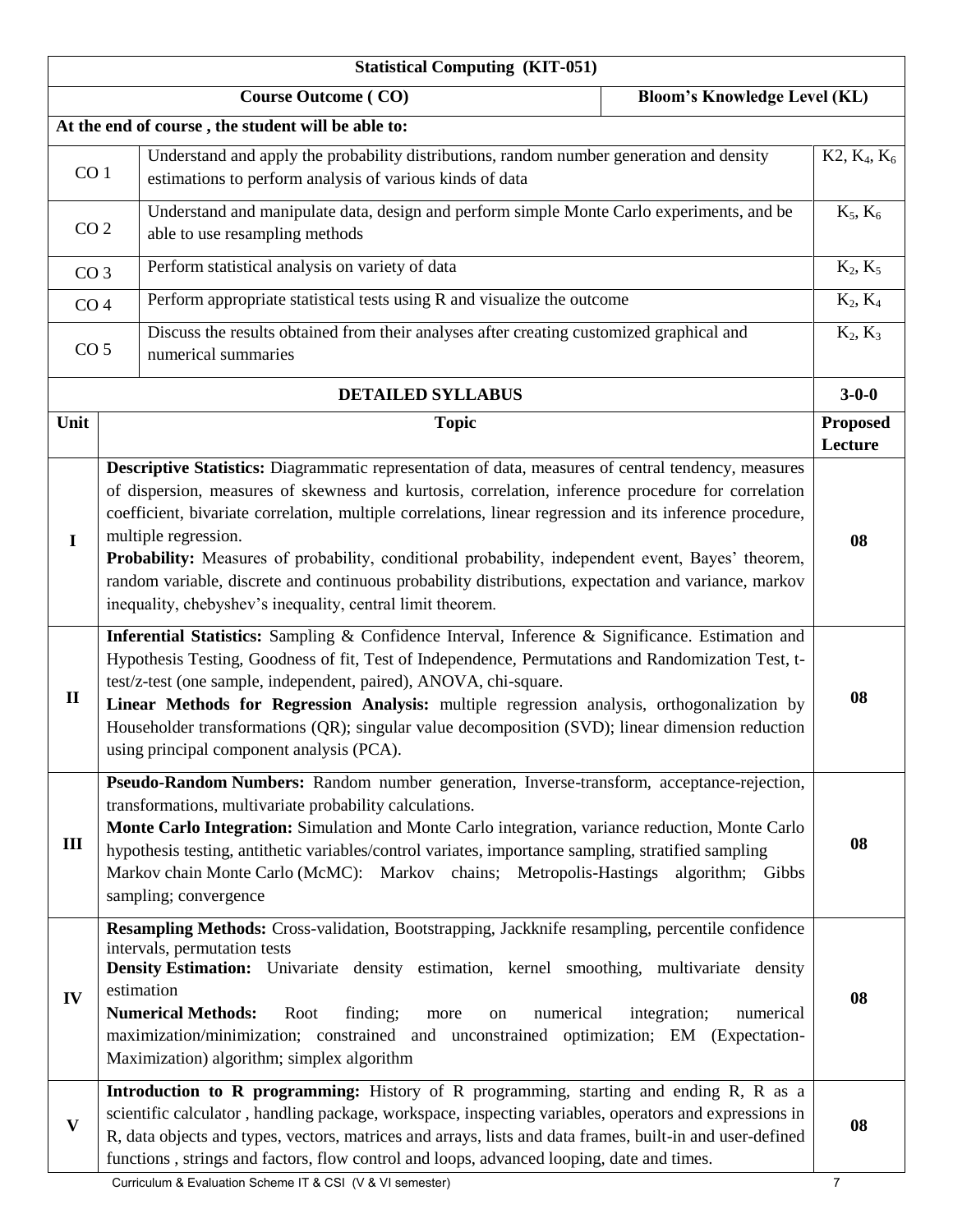|                                                                   | <b>Statistical Computing (KIT-051)</b>                                                                                                                                                                                                                                                                                                                                                                                                                                                                                                                                                                                    |                            |  |  |  |  |
|-------------------------------------------------------------------|---------------------------------------------------------------------------------------------------------------------------------------------------------------------------------------------------------------------------------------------------------------------------------------------------------------------------------------------------------------------------------------------------------------------------------------------------------------------------------------------------------------------------------------------------------------------------------------------------------------------------|----------------------------|--|--|--|--|
| <b>Course Outcome (CO)</b><br><b>Bloom's Knowledge Level (KL)</b> |                                                                                                                                                                                                                                                                                                                                                                                                                                                                                                                                                                                                                           |                            |  |  |  |  |
|                                                                   | At the end of course, the student will be able to:                                                                                                                                                                                                                                                                                                                                                                                                                                                                                                                                                                        |                            |  |  |  |  |
| CO <sub>1</sub>                                                   | Understand and apply the probability distributions, random number generation and density<br>estimations to perform analysis of various kinds of data                                                                                                                                                                                                                                                                                                                                                                                                                                                                      | $K2, K_4, K_6$             |  |  |  |  |
| CO <sub>2</sub>                                                   | Understand and manipulate data, design and perform simple Monte Carlo experiments, and be<br>able to use resampling methods                                                                                                                                                                                                                                                                                                                                                                                                                                                                                               | $K_5, K_6$                 |  |  |  |  |
| CO <sub>3</sub>                                                   | Perform statistical analysis on variety of data                                                                                                                                                                                                                                                                                                                                                                                                                                                                                                                                                                           | $K_2, K_5$                 |  |  |  |  |
| CO <sub>4</sub>                                                   | Perform appropriate statistical tests using R and visualize the outcome                                                                                                                                                                                                                                                                                                                                                                                                                                                                                                                                                   | $K_2, K_4$                 |  |  |  |  |
| CO <sub>5</sub>                                                   | Discuss the results obtained from their analyses after creating customized graphical and<br>numerical summaries                                                                                                                                                                                                                                                                                                                                                                                                                                                                                                           | $K_2, K_3$                 |  |  |  |  |
|                                                                   | <b>DETAILED SYLLABUS</b>                                                                                                                                                                                                                                                                                                                                                                                                                                                                                                                                                                                                  | $3 - 0 - 0$                |  |  |  |  |
| Unit                                                              | <b>Topic</b>                                                                                                                                                                                                                                                                                                                                                                                                                                                                                                                                                                                                              | <b>Proposed</b><br>Lecture |  |  |  |  |
| $\mathbf I$                                                       | Descriptive Statistics: Diagrammatic representation of data, measures of central tendency, measures<br>of dispersion, measures of skewness and kurtosis, correlation, inference procedure for correlation<br>coefficient, bivariate correlation, multiple correlations, linear regression and its inference procedure,<br>multiple regression.<br>Probability: Measures of probability, conditional probability, independent event, Bayes' theorem,<br>random variable, discrete and continuous probability distributions, expectation and variance, markov<br>inequality, chebyshev's inequality, central limit theorem. | 08                         |  |  |  |  |
| $\mathbf{I}$                                                      | Inferential Statistics: Sampling & Confidence Interval, Inference & Significance. Estimation and<br>Hypothesis Testing, Goodness of fit, Test of Independence, Permutations and Randomization Test, t-<br>test/z-test (one sample, independent, paired), ANOVA, chi-square.<br>Linear Methods for Regression Analysis: multiple regression analysis, orthogonalization by<br>Householder transformations (QR); singular value decomposition (SVD); linear dimension reduction<br>using principal component analysis (PCA).                                                                                                | 08                         |  |  |  |  |
| III                                                               | Pseudo-Random Numbers: Random number generation, Inverse-transform, acceptance-rejection,<br>transformations, multivariate probability calculations.<br>Monte Carlo Integration: Simulation and Monte Carlo integration, variance reduction, Monte Carlo<br>hypothesis testing, antithetic variables/control variates, importance sampling, stratified sampling<br>Markov chain Monte Carlo (McMC): Markov chains; Metropolis-Hastings algorithm; Gibbs<br>sampling; convergence                                                                                                                                          | 08                         |  |  |  |  |
| IV                                                                | Resampling Methods: Cross-validation, Bootstrapping, Jackknife resampling, percentile confidence<br>intervals, permutation tests<br>Density Estimation: Univariate density estimation, kernel smoothing, multivariate density<br>estimation<br><b>Numerical Methods:</b><br>finding;<br>Root<br>numerical<br>integration;<br>numerical<br>more<br>on<br>maximization/minimization; constrained and unconstrained optimization; EM (Expectation-<br>Maximization) algorithm; simplex algorithm                                                                                                                             | 08                         |  |  |  |  |
| $\mathbf{V}$                                                      | Introduction to R programming: History of R programming, starting and ending R, R as a<br>scientific calculator, handling package, workspace, inspecting variables, operators and expressions in<br>R, data objects and types, vectors, matrices and arrays, lists and data frames, built-in and user-defined<br>functions, strings and factors, flow control and loops, advanced looping, date and times.                                                                                                                                                                                                                | 08                         |  |  |  |  |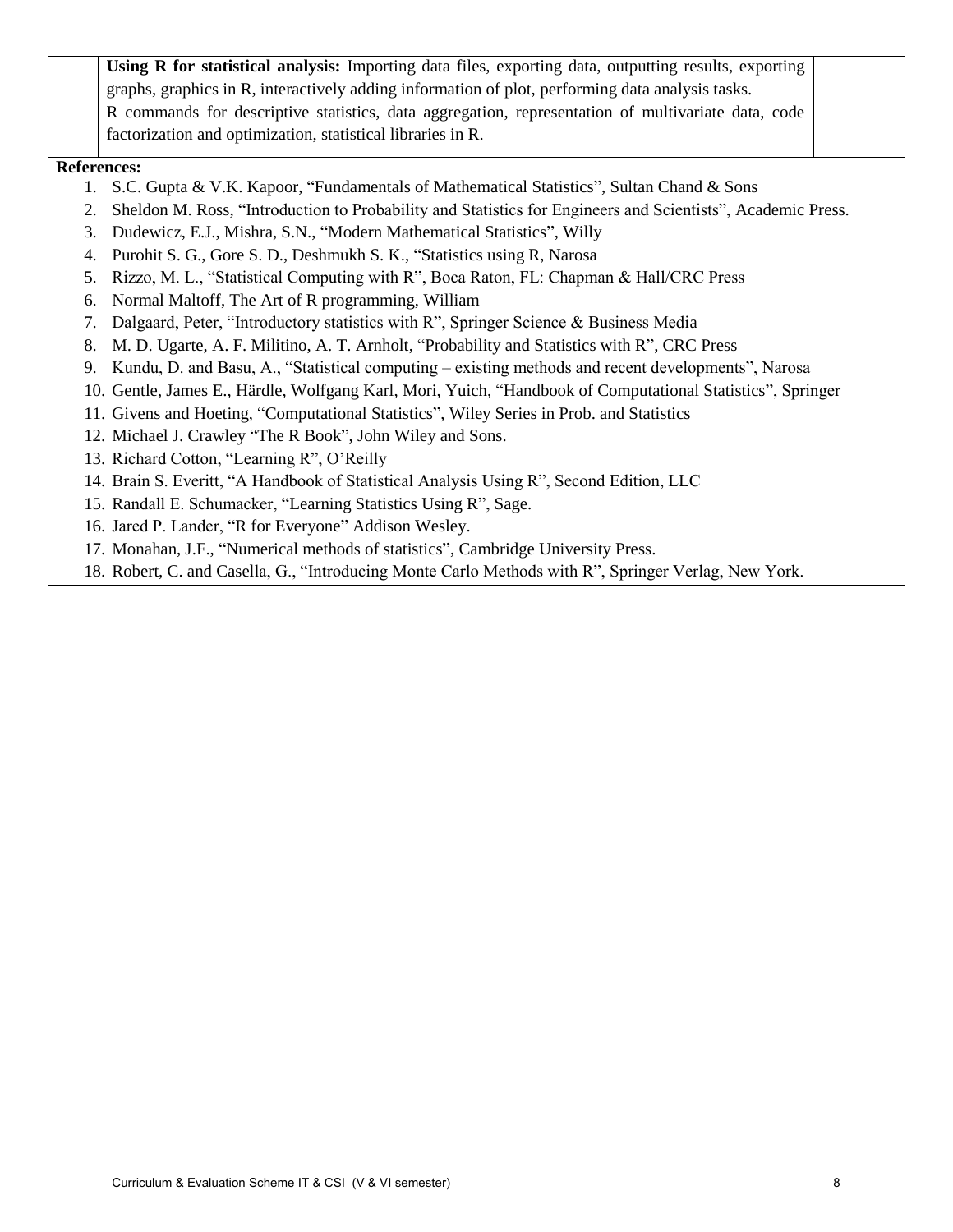**Using R for statistical analysis:** Importing data files, exporting data, outputting results, exporting graphs, graphics in R, interactively adding information of plot, performing data analysis tasks. R commands for descriptive statistics, data aggregation, representation of multivariate data, code factorization and optimization, statistical libraries in R.

#### **References:**

- 1. S.C. Gupta & V.K. Kapoor, "Fundamentals of Mathematical Statistics", Sultan Chand & Sons
- 2. Sheldon M. Ross, "Introduction to Probability and Statistics for Engineers and Scientists", Academic Press.
- 3. Dudewicz, E.J., Mishra, S.N., "Modern Mathematical Statistics", Willy
- 4. Purohit S. G., Gore S. D., Deshmukh S. K., "Statistics using R, Narosa
- 5. Rizzo, M. L., "Statistical Computing with R", Boca Raton, FL: Chapman & Hall/CRC Press
- 6. Normal Maltoff, The Art of R programming, William
- 7. Dalgaard, Peter, "Introductory statistics with R", Springer Science & Business Media
- 8. M. D. Ugarte, A. F. Militino, A. T. Arnholt, "Probability and Statistics with R", CRC Press
- 9. Kundu, D. and Basu, A., "Statistical computing existing methods and recent developments", Narosa
- 10. Gentle, James E., Härdle, Wolfgang Karl, Mori, Yuich, "Handbook of Computational Statistics", Springer
- 11. Givens and Hoeting, "Computational Statistics", Wiley Series in Prob. and Statistics
- 12. Michael J. Crawley "The R Book", John Wiley and Sons.
- 13. Richard Cotton, "Learning R", O'Reilly
- 14. Brain S. Everitt, "A Handbook of Statistical Analysis Using R", Second Edition, LLC
- 15. Randall E. Schumacker, "Learning Statistics Using R", Sage.
- 16. Jared P. Lander, "R for Everyone" Addison Wesley.
- 17. Monahan, J.F., "Numerical methods of statistics", Cambridge University Press.
- 18. Robert, C. and Casella, G., "Introducing Monte Carlo Methods with R", Springer Verlag, New York.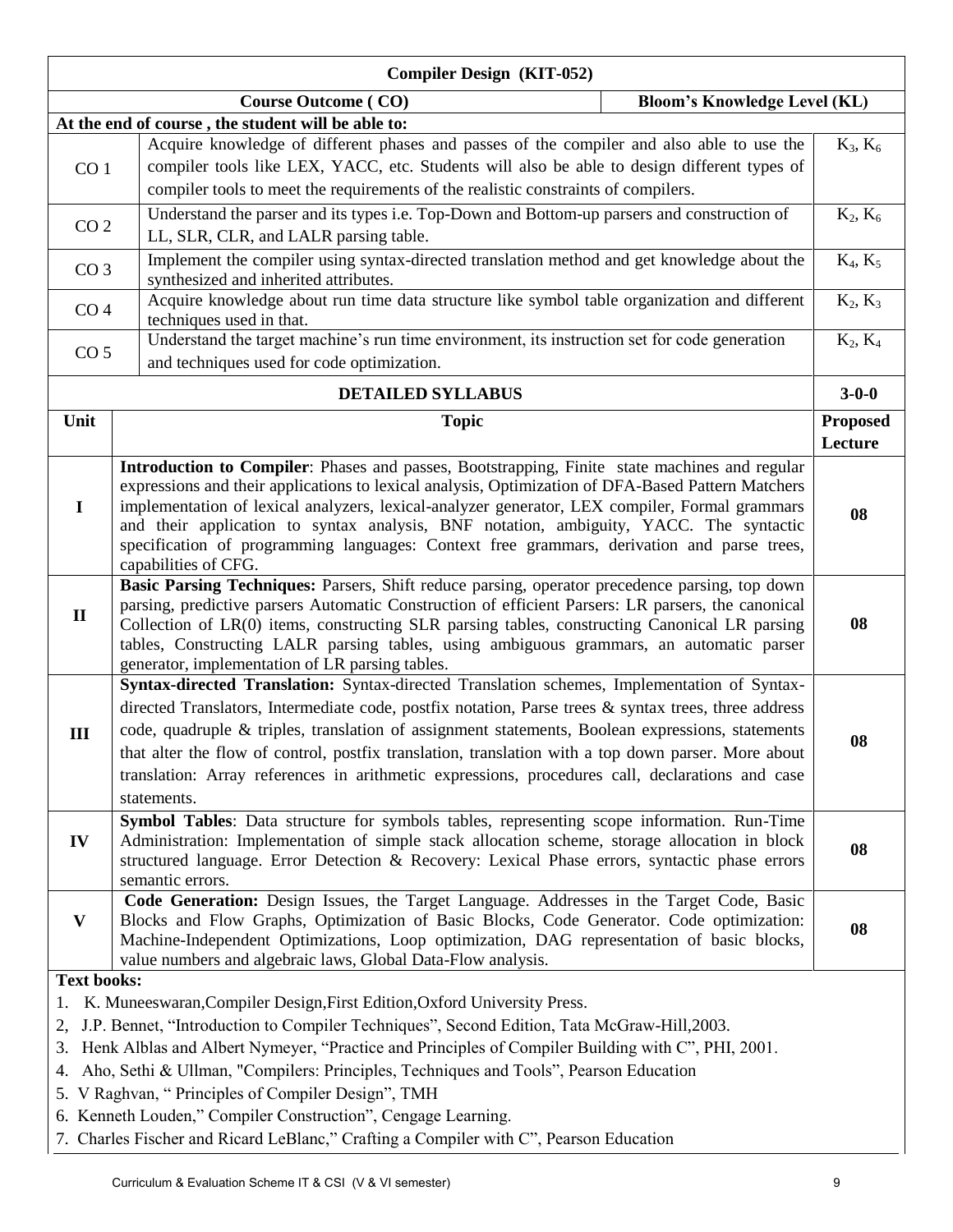|                    | <b>Compiler Design (KIT-052)</b>                                                                                                                                                                                                                                                                                                                                                                                                                                                                                                 |                 |
|--------------------|----------------------------------------------------------------------------------------------------------------------------------------------------------------------------------------------------------------------------------------------------------------------------------------------------------------------------------------------------------------------------------------------------------------------------------------------------------------------------------------------------------------------------------|-----------------|
|                    | <b>Bloom's Knowledge Level (KL)</b><br><b>Course Outcome (CO)</b>                                                                                                                                                                                                                                                                                                                                                                                                                                                                |                 |
|                    | At the end of course, the student will be able to:                                                                                                                                                                                                                                                                                                                                                                                                                                                                               |                 |
|                    | Acquire knowledge of different phases and passes of the compiler and also able to use the                                                                                                                                                                                                                                                                                                                                                                                                                                        | $K_3, K_6$      |
| CO <sub>1</sub>    | compiler tools like LEX, YACC, etc. Students will also be able to design different types of                                                                                                                                                                                                                                                                                                                                                                                                                                      |                 |
|                    | compiler tools to meet the requirements of the realistic constraints of compilers.                                                                                                                                                                                                                                                                                                                                                                                                                                               |                 |
|                    | Understand the parser and its types i.e. Top-Down and Bottom-up parsers and construction of                                                                                                                                                                                                                                                                                                                                                                                                                                      | $K_2, K_6$      |
| CO <sub>2</sub>    | LL, SLR, CLR, and LALR parsing table.                                                                                                                                                                                                                                                                                                                                                                                                                                                                                            |                 |
| CO <sub>3</sub>    | Implement the compiler using syntax-directed translation method and get knowledge about the<br>synthesized and inherited attributes.                                                                                                                                                                                                                                                                                                                                                                                             | $K_4, K_5$      |
| CO <sub>4</sub>    | Acquire knowledge about run time data structure like symbol table organization and different<br>techniques used in that.                                                                                                                                                                                                                                                                                                                                                                                                         | $K_2, K_3$      |
|                    | Understand the target machine's run time environment, its instruction set for code generation                                                                                                                                                                                                                                                                                                                                                                                                                                    | $K_2, K_4$      |
| CO <sub>5</sub>    | and techniques used for code optimization.                                                                                                                                                                                                                                                                                                                                                                                                                                                                                       |                 |
|                    | <b>DETAILED SYLLABUS</b>                                                                                                                                                                                                                                                                                                                                                                                                                                                                                                         | $3 - 0 - 0$     |
| Unit               | <b>Topic</b>                                                                                                                                                                                                                                                                                                                                                                                                                                                                                                                     | <b>Proposed</b> |
|                    |                                                                                                                                                                                                                                                                                                                                                                                                                                                                                                                                  | Lecture         |
| $\mathbf I$        | Introduction to Compiler: Phases and passes, Bootstrapping, Finite state machines and regular<br>expressions and their applications to lexical analysis, Optimization of DFA-Based Pattern Matchers<br>implementation of lexical analyzers, lexical-analyzer generator, LEX compiler, Formal grammars<br>and their application to syntax analysis, BNF notation, ambiguity, YACC. The syntactic<br>specification of programming languages: Context free grammars, derivation and parse trees,<br>capabilities of CFG.            | 08              |
| $\mathbf{I}$       | Basic Parsing Techniques: Parsers, Shift reduce parsing, operator precedence parsing, top down<br>parsing, predictive parsers Automatic Construction of efficient Parsers: LR parsers, the canonical<br>Collection of LR(0) items, constructing SLR parsing tables, constructing Canonical LR parsing<br>tables, Constructing LALR parsing tables, using ambiguous grammars, an automatic parser<br>generator, implementation of LR parsing tables.                                                                              | 08              |
| III                | Syntax-directed Translation: Syntax-directed Translation schemes, Implementation of Syntax-<br>directed Translators, Intermediate code, postfix notation, Parse trees & syntax trees, three address<br>code, quadruple & triples, translation of assignment statements, Boolean expressions, statements<br>that alter the flow of control, postfix translation, translation with a top down parser. More about<br>translation: Array references in arithmetic expressions, procedures call, declarations and case<br>statements. | 08              |
| IV                 | Symbol Tables: Data structure for symbols tables, representing scope information. Run-Time<br>Administration: Implementation of simple stack allocation scheme, storage allocation in block<br>structured language. Error Detection & Recovery: Lexical Phase errors, syntactic phase errors<br>semantic errors.                                                                                                                                                                                                                 | 08              |
| $\mathbf{V}$       | Code Generation: Design Issues, the Target Language. Addresses in the Target Code, Basic<br>Blocks and Flow Graphs, Optimization of Basic Blocks, Code Generator. Code optimization:<br>Machine-Independent Optimizations, Loop optimization, DAG representation of basic blocks,<br>value numbers and algebraic laws, Global Data-Flow analysis.                                                                                                                                                                                | 08              |
| <b>Text books:</b> |                                                                                                                                                                                                                                                                                                                                                                                                                                                                                                                                  |                 |
| 1.                 | K. Muneeswaran, Compiler Design, First Edition, Oxford University Press.                                                                                                                                                                                                                                                                                                                                                                                                                                                         |                 |
| 2,                 | J.P. Bennet, "Introduction to Compiler Techniques", Second Edition, Tata McGraw-Hill, 2003.                                                                                                                                                                                                                                                                                                                                                                                                                                      |                 |
| 3.                 | Henk Alblas and Albert Nymeyer, "Practice and Principles of Compiler Building with C", PHI, 2001.                                                                                                                                                                                                                                                                                                                                                                                                                                |                 |
| 4.                 | Aho, Sethi & Ullman, "Compilers: Principles, Techniques and Tools", Pearson Education                                                                                                                                                                                                                                                                                                                                                                                                                                            |                 |
|                    | 5. V Raghvan, "Principles of Compiler Design", TMH                                                                                                                                                                                                                                                                                                                                                                                                                                                                               |                 |
|                    | 6. Kenneth Louden," Compiler Construction", Cengage Learning.                                                                                                                                                                                                                                                                                                                                                                                                                                                                    |                 |
|                    |                                                                                                                                                                                                                                                                                                                                                                                                                                                                                                                                  |                 |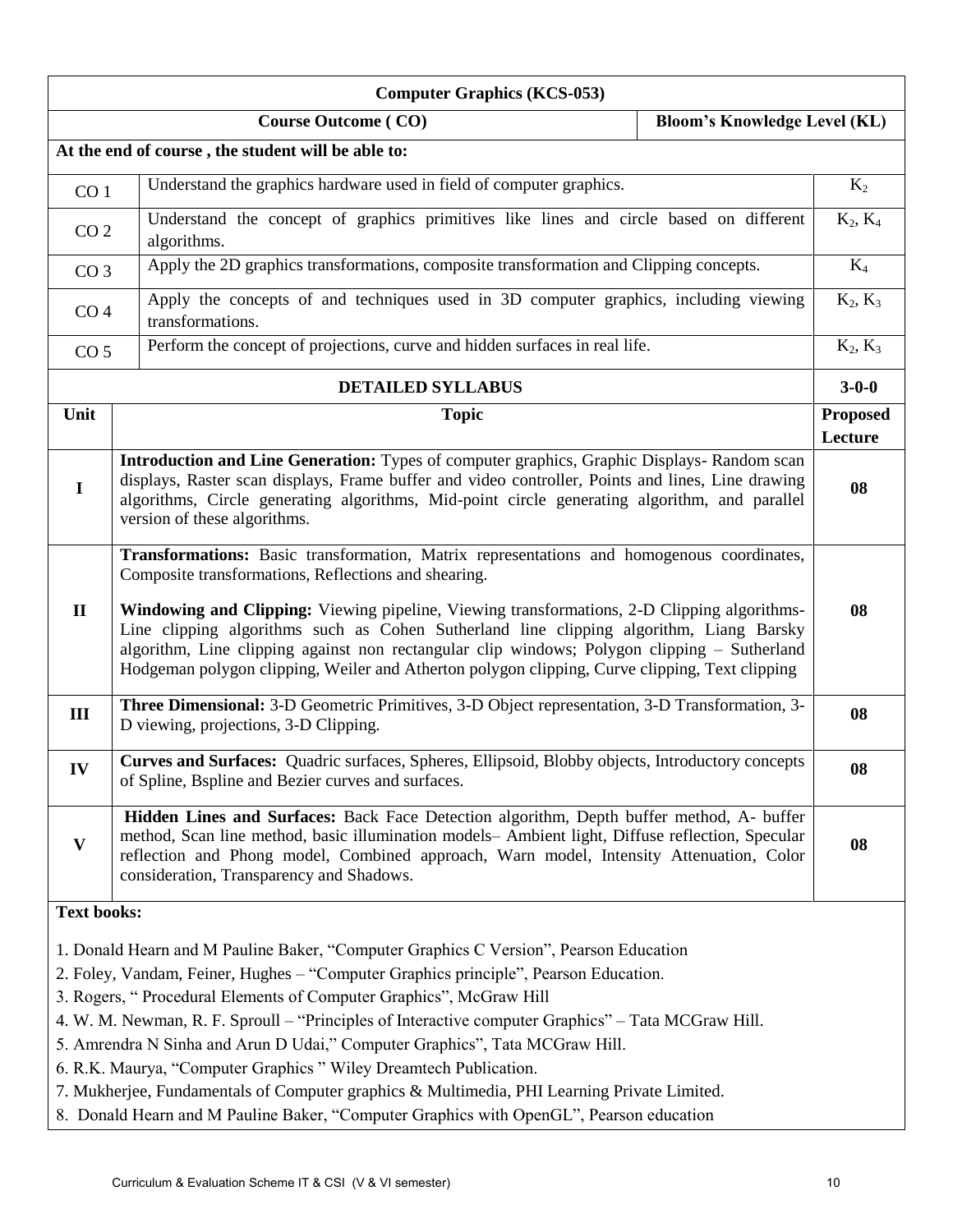| <b>Computer Graphics (KCS-053)</b>                                                                                                                                                                                                                                                                                                                                                                                                                                                                                                                                                                                                |                                                                                                                                                                                                                                                                                                                                                                                                                                                                                                                                                             |                 |  |  |  |  |
|-----------------------------------------------------------------------------------------------------------------------------------------------------------------------------------------------------------------------------------------------------------------------------------------------------------------------------------------------------------------------------------------------------------------------------------------------------------------------------------------------------------------------------------------------------------------------------------------------------------------------------------|-------------------------------------------------------------------------------------------------------------------------------------------------------------------------------------------------------------------------------------------------------------------------------------------------------------------------------------------------------------------------------------------------------------------------------------------------------------------------------------------------------------------------------------------------------------|-----------------|--|--|--|--|
|                                                                                                                                                                                                                                                                                                                                                                                                                                                                                                                                                                                                                                   | <b>Course Outcome (CO)</b><br><b>Bloom's Knowledge Level (KL)</b>                                                                                                                                                                                                                                                                                                                                                                                                                                                                                           |                 |  |  |  |  |
|                                                                                                                                                                                                                                                                                                                                                                                                                                                                                                                                                                                                                                   | At the end of course, the student will be able to:                                                                                                                                                                                                                                                                                                                                                                                                                                                                                                          |                 |  |  |  |  |
| CO <sub>1</sub>                                                                                                                                                                                                                                                                                                                                                                                                                                                                                                                                                                                                                   | Understand the graphics hardware used in field of computer graphics.                                                                                                                                                                                                                                                                                                                                                                                                                                                                                        | $K_2$           |  |  |  |  |
| CO <sub>2</sub>                                                                                                                                                                                                                                                                                                                                                                                                                                                                                                                                                                                                                   | Understand the concept of graphics primitives like lines and circle based on different<br>algorithms.                                                                                                                                                                                                                                                                                                                                                                                                                                                       |                 |  |  |  |  |
| CO <sub>3</sub>                                                                                                                                                                                                                                                                                                                                                                                                                                                                                                                                                                                                                   | Apply the 2D graphics transformations, composite transformation and Clipping concepts.                                                                                                                                                                                                                                                                                                                                                                                                                                                                      | $K_4$           |  |  |  |  |
| CO <sub>4</sub>                                                                                                                                                                                                                                                                                                                                                                                                                                                                                                                                                                                                                   | Apply the concepts of and techniques used in 3D computer graphics, including viewing<br>transformations.                                                                                                                                                                                                                                                                                                                                                                                                                                                    | $K_2, K_3$      |  |  |  |  |
| CO <sub>5</sub>                                                                                                                                                                                                                                                                                                                                                                                                                                                                                                                                                                                                                   | Perform the concept of projections, curve and hidden surfaces in real life.                                                                                                                                                                                                                                                                                                                                                                                                                                                                                 | $K_2, K_3$      |  |  |  |  |
|                                                                                                                                                                                                                                                                                                                                                                                                                                                                                                                                                                                                                                   | <b>DETAILED SYLLABUS</b>                                                                                                                                                                                                                                                                                                                                                                                                                                                                                                                                    | $3 - 0 - 0$     |  |  |  |  |
| Unit                                                                                                                                                                                                                                                                                                                                                                                                                                                                                                                                                                                                                              | <b>Topic</b>                                                                                                                                                                                                                                                                                                                                                                                                                                                                                                                                                | <b>Proposed</b> |  |  |  |  |
|                                                                                                                                                                                                                                                                                                                                                                                                                                                                                                                                                                                                                                   |                                                                                                                                                                                                                                                                                                                                                                                                                                                                                                                                                             | Lecture         |  |  |  |  |
| $\mathbf I$                                                                                                                                                                                                                                                                                                                                                                                                                                                                                                                                                                                                                       | Introduction and Line Generation: Types of computer graphics, Graphic Displays-Random scan<br>displays, Raster scan displays, Frame buffer and video controller, Points and lines, Line drawing<br>algorithms, Circle generating algorithms, Mid-point circle generating algorithm, and parallel<br>version of these algorithms.                                                                                                                                                                                                                            | 08              |  |  |  |  |
| $\mathbf{I}$                                                                                                                                                                                                                                                                                                                                                                                                                                                                                                                                                                                                                      | <b>Transformations:</b> Basic transformation, Matrix representations and homogenous coordinates,<br>Composite transformations, Reflections and shearing.<br><b>Windowing and Clipping:</b> Viewing pipeline, Viewing transformations, 2-D Clipping algorithms-<br>Line clipping algorithms such as Cohen Sutherland line clipping algorithm, Liang Barsky<br>algorithm, Line clipping against non rectangular clip windows; Polygon clipping - Sutherland<br>Hodgeman polygon clipping, Weiler and Atherton polygon clipping, Curve clipping, Text clipping |                 |  |  |  |  |
| III                                                                                                                                                                                                                                                                                                                                                                                                                                                                                                                                                                                                                               | Three Dimensional: 3-D Geometric Primitives, 3-D Object representation, 3-D Transformation, 3-<br>D viewing, projections, 3-D Clipping.                                                                                                                                                                                                                                                                                                                                                                                                                     | 08              |  |  |  |  |
| IV                                                                                                                                                                                                                                                                                                                                                                                                                                                                                                                                                                                                                                | Curves and Surfaces: Quadric surfaces, Spheres, Ellipsoid, Blobby objects, Introductory concepts<br>of Spline, Bspline and Bezier curves and surfaces.                                                                                                                                                                                                                                                                                                                                                                                                      | 08              |  |  |  |  |
| V                                                                                                                                                                                                                                                                                                                                                                                                                                                                                                                                                                                                                                 | Hidden Lines and Surfaces: Back Face Detection algorithm, Depth buffer method, A- buffer<br>method, Scan line method, basic illumination models- Ambient light, Diffuse reflection, Specular<br>reflection and Phong model, Combined approach, Warn model, Intensity Attenuation, Color<br>consideration, Transparency and Shadows.                                                                                                                                                                                                                         | 08              |  |  |  |  |
|                                                                                                                                                                                                                                                                                                                                                                                                                                                                                                                                                                                                                                   |                                                                                                                                                                                                                                                                                                                                                                                                                                                                                                                                                             |                 |  |  |  |  |
| <b>Text books:</b><br>1. Donald Hearn and M Pauline Baker, "Computer Graphics C Version", Pearson Education<br>2. Foley, Vandam, Feiner, Hughes - "Computer Graphics principle", Pearson Education.<br>3. Rogers, "Procedural Elements of Computer Graphics", McGraw Hill<br>4. W. M. Newman, R. F. Sproull – "Principles of Interactive computer Graphics" – Tata MCGraw Hill.<br>5. Amrendra N Sinha and Arun D Udai," Computer Graphics", Tata MCGraw Hill.<br>6. R.K. Maurya, "Computer Graphics" Wiley Dreamtech Publication.<br>7. Mukherjee, Fundamentals of Computer graphics & Multimedia, PHI Learning Private Limited. |                                                                                                                                                                                                                                                                                                                                                                                                                                                                                                                                                             |                 |  |  |  |  |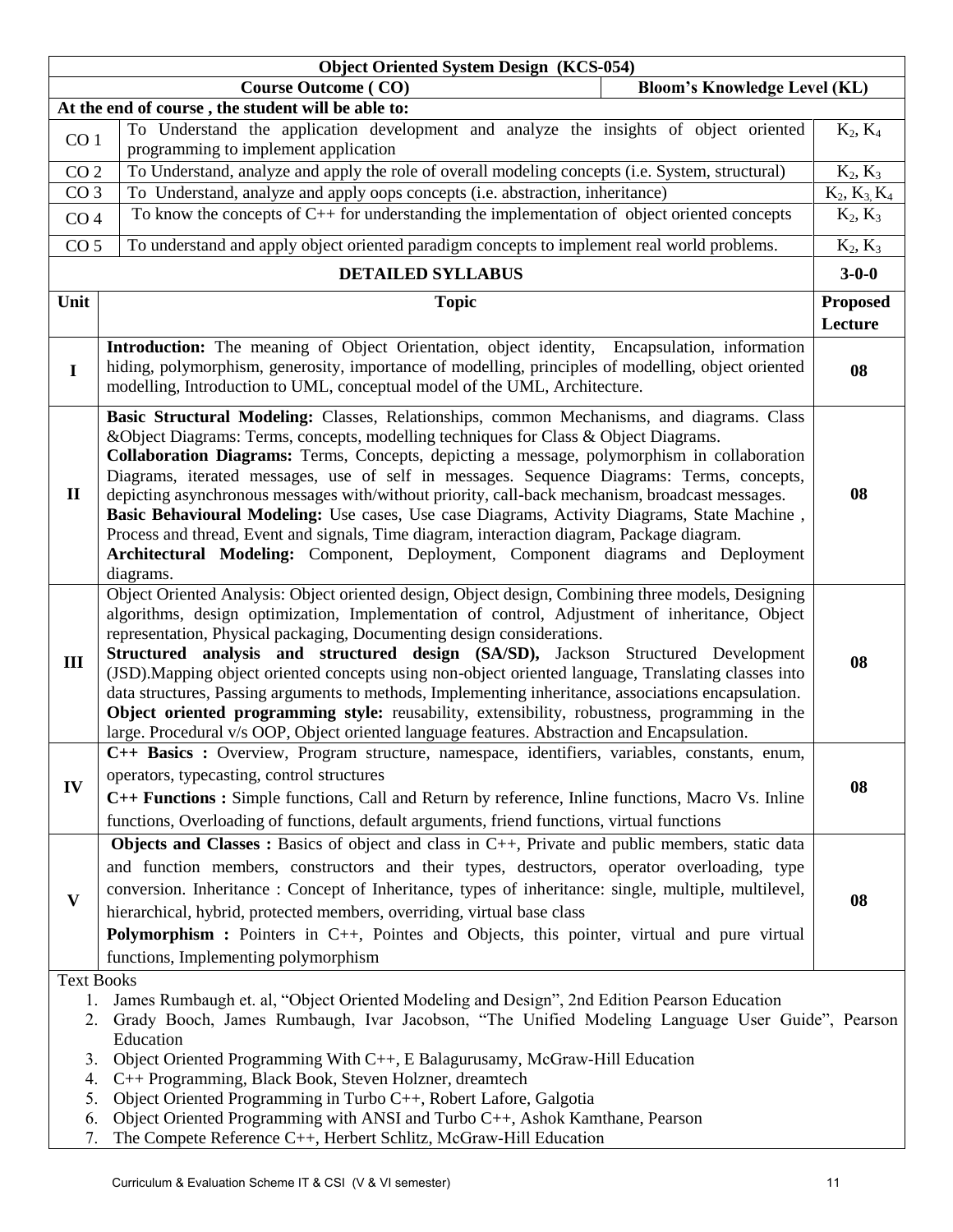|                                                             | <b>Object Oriented System Design (KCS-054)</b>                                                                                                                                                                                                                                                                                                                                                                                                                                                                                                                                                                                                                                                                                                                                      |                 |
|-------------------------------------------------------------|-------------------------------------------------------------------------------------------------------------------------------------------------------------------------------------------------------------------------------------------------------------------------------------------------------------------------------------------------------------------------------------------------------------------------------------------------------------------------------------------------------------------------------------------------------------------------------------------------------------------------------------------------------------------------------------------------------------------------------------------------------------------------------------|-----------------|
|                                                             | <b>Bloom's Knowledge Level (KL)</b><br><b>Course Outcome (CO)</b>                                                                                                                                                                                                                                                                                                                                                                                                                                                                                                                                                                                                                                                                                                                   |                 |
|                                                             | At the end of course, the student will be able to:                                                                                                                                                                                                                                                                                                                                                                                                                                                                                                                                                                                                                                                                                                                                  |                 |
| CO <sub>1</sub>                                             | To Understand the application development and analyze the insights of object oriented                                                                                                                                                                                                                                                                                                                                                                                                                                                                                                                                                                                                                                                                                               | $K_2, K_4$      |
|                                                             | programming to implement application                                                                                                                                                                                                                                                                                                                                                                                                                                                                                                                                                                                                                                                                                                                                                |                 |
| CO <sub>2</sub>                                             | To Understand, analyze and apply the role of overall modeling concepts (i.e. System, structural)                                                                                                                                                                                                                                                                                                                                                                                                                                                                                                                                                                                                                                                                                    | $K_2, K_3$      |
| CO <sub>3</sub>                                             | To Understand, analyze and apply oops concepts (i.e. abstraction, inheritance)<br>To know the concepts of $C_{++}$ for understanding the implementation of object oriented concepts                                                                                                                                                                                                                                                                                                                                                                                                                                                                                                                                                                                                 | $K_2, K_3, K_4$ |
| CO <sub>4</sub>                                             |                                                                                                                                                                                                                                                                                                                                                                                                                                                                                                                                                                                                                                                                                                                                                                                     | $K_2, K_3$      |
| CO <sub>5</sub>                                             | To understand and apply object oriented paradigm concepts to implement real world problems.                                                                                                                                                                                                                                                                                                                                                                                                                                                                                                                                                                                                                                                                                         | $K_2, K_3$      |
|                                                             | <b>DETAILED SYLLABUS</b>                                                                                                                                                                                                                                                                                                                                                                                                                                                                                                                                                                                                                                                                                                                                                            | $3 - 0 - 0$     |
| Unit                                                        | <b>Topic</b>                                                                                                                                                                                                                                                                                                                                                                                                                                                                                                                                                                                                                                                                                                                                                                        | <b>Proposed</b> |
|                                                             |                                                                                                                                                                                                                                                                                                                                                                                                                                                                                                                                                                                                                                                                                                                                                                                     | Lecture         |
| $\mathbf I$                                                 | <b>Introduction:</b> The meaning of Object Orientation, object identity, Encapsulation, information<br>hiding, polymorphism, generosity, importance of modelling, principles of modelling, object oriented                                                                                                                                                                                                                                                                                                                                                                                                                                                                                                                                                                          | 08              |
|                                                             | modelling, Introduction to UML, conceptual model of the UML, Architecture.                                                                                                                                                                                                                                                                                                                                                                                                                                                                                                                                                                                                                                                                                                          |                 |
| $\mathbf{I}$                                                | Basic Structural Modeling: Classes, Relationships, common Mechanisms, and diagrams. Class<br>&Object Diagrams: Terms, concepts, modelling techniques for Class & Object Diagrams.<br>Collaboration Diagrams: Terms, Concepts, depicting a message, polymorphism in collaboration<br>Diagrams, iterated messages, use of self in messages. Sequence Diagrams: Terms, concepts,<br>depicting asynchronous messages with/without priority, call-back mechanism, broadcast messages.<br>Basic Behavioural Modeling: Use cases, Use case Diagrams, Activity Diagrams, State Machine,<br>Process and thread, Event and signals, Time diagram, interaction diagram, Package diagram.<br>Architectural Modeling: Component, Deployment, Component diagrams and Deployment<br>diagrams.      | 08              |
| $\mathbf{III}$                                              | Object Oriented Analysis: Object oriented design, Object design, Combining three models, Designing<br>algorithms, design optimization, Implementation of control, Adjustment of inheritance, Object<br>representation, Physical packaging, Documenting design considerations.<br>Structured analysis and structured design (SA/SD), Jackson Structured Development<br>(JSD). Mapping object oriented concepts using non-object oriented language, Translating classes into<br>data structures, Passing arguments to methods, Implementing inheritance, associations encapsulation.<br>Object oriented programming style: reusability, extensibility, robustness, programming in the<br>large. Procedural v/s OOP, Object oriented language features. Abstraction and Encapsulation. | 08              |
| IV                                                          | C++ Basics : Overview, Program structure, namespace, identifiers, variables, constants, enum,<br>operators, typecasting, control structures<br>C++ Functions: Simple functions, Call and Return by reference, Inline functions, Macro Vs. Inline<br>functions, Overloading of functions, default arguments, friend functions, virtual functions                                                                                                                                                                                                                                                                                                                                                                                                                                     | 08              |
| $\mathbf{V}$                                                | Objects and Classes : Basics of object and class in C++, Private and public members, static data<br>and function members, constructors and their types, destructors, operator overloading, type<br>conversion. Inheritance: Concept of Inheritance, types of inheritance: single, multiple, multilevel,<br>hierarchical, hybrid, protected members, overriding, virtual base class<br><b>Polymorphism :</b> Pointers in C++, Pointes and Objects, this pointer, virtual and pure virtual<br>functions, Implementing polymorphism                                                                                                                                                                                                                                                    | 08              |
| <b>Text Books</b><br>1.<br>2.<br>3.<br>4.<br>5.<br>6.<br>7. | James Rumbaugh et. al, "Object Oriented Modeling and Design", 2nd Edition Pearson Education<br>Grady Booch, James Rumbaugh, Ivar Jacobson, "The Unified Modeling Language User Guide", Pearson<br>Education<br>Object Oriented Programming With C++, E Balagurusamy, McGraw-Hill Education<br>C++ Programming, Black Book, Steven Holzner, dreamtech<br>Object Oriented Programming in Turbo C++, Robert Lafore, Galgotia<br>Object Oriented Programming with ANSI and Turbo C++, Ashok Kamthane, Pearson<br>The Compete Reference C++, Herbert Schlitz, McGraw-Hill Education                                                                                                                                                                                                      |                 |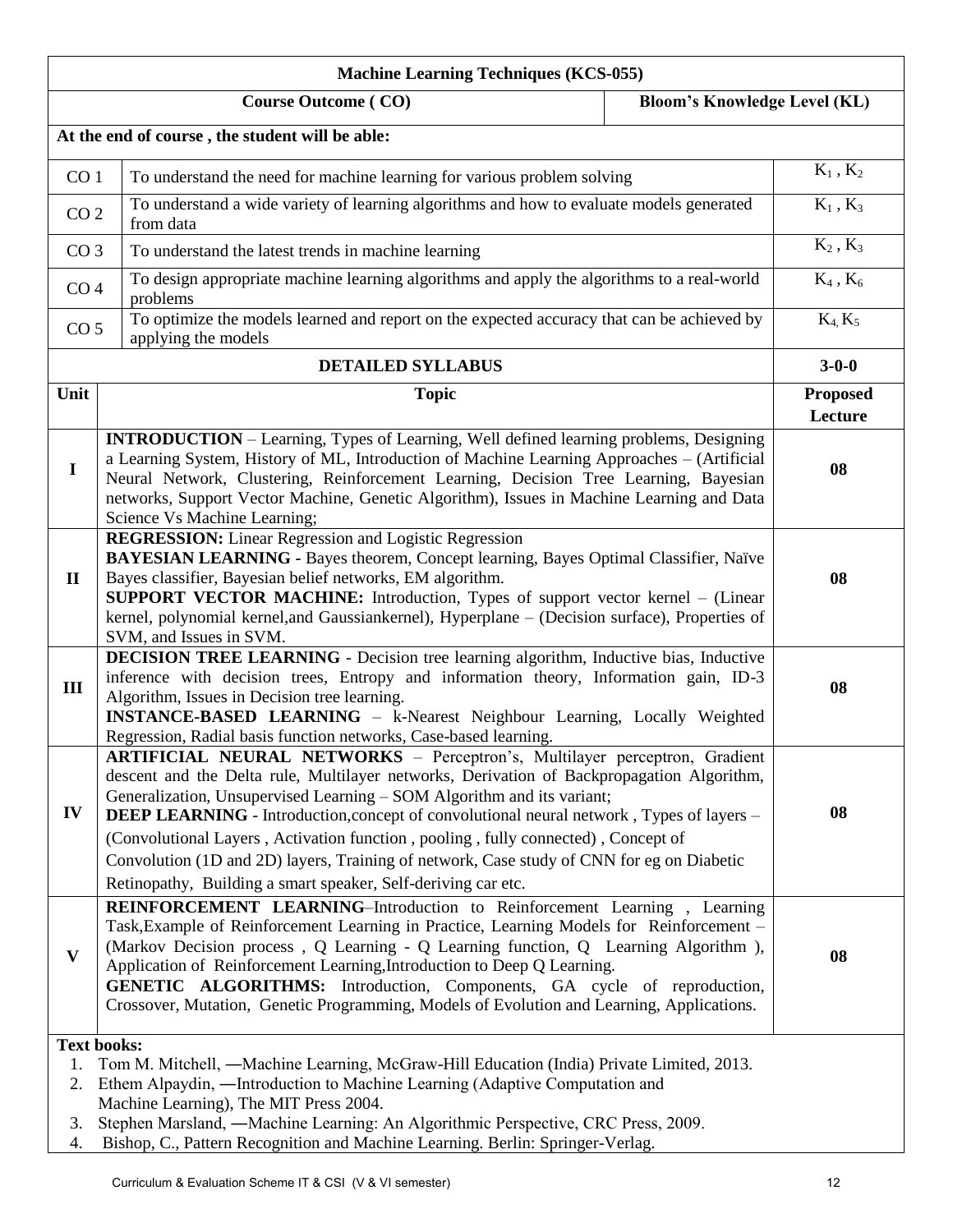| <b>Machine Learning Techniques (KCS-055)</b> |                                                                                                                                                                                                                                                                                                                                                                                                                                                                                                                                                                                                         |                            |  |  |  |  |
|----------------------------------------------|---------------------------------------------------------------------------------------------------------------------------------------------------------------------------------------------------------------------------------------------------------------------------------------------------------------------------------------------------------------------------------------------------------------------------------------------------------------------------------------------------------------------------------------------------------------------------------------------------------|----------------------------|--|--|--|--|
|                                              | <b>Bloom's Knowledge Level (KL)</b><br><b>Course Outcome (CO)</b>                                                                                                                                                                                                                                                                                                                                                                                                                                                                                                                                       |                            |  |  |  |  |
|                                              | At the end of course, the student will be able:                                                                                                                                                                                                                                                                                                                                                                                                                                                                                                                                                         |                            |  |  |  |  |
| CO <sub>1</sub>                              | To understand the need for machine learning for various problem solving                                                                                                                                                                                                                                                                                                                                                                                                                                                                                                                                 | $K_1$ , $K_2$              |  |  |  |  |
|                                              | To understand a wide variety of learning algorithms and how to evaluate models generated<br>CO <sub>2</sub><br>from data                                                                                                                                                                                                                                                                                                                                                                                                                                                                                |                            |  |  |  |  |
| CO <sub>3</sub>                              | To understand the latest trends in machine learning                                                                                                                                                                                                                                                                                                                                                                                                                                                                                                                                                     | $K_2$ , $K_3$              |  |  |  |  |
|                                              | To design appropriate machine learning algorithms and apply the algorithms to a real-world<br>CO <sub>4</sub><br>problems                                                                                                                                                                                                                                                                                                                                                                                                                                                                               |                            |  |  |  |  |
| CO <sub>5</sub>                              | To optimize the models learned and report on the expected accuracy that can be achieved by<br>applying the models                                                                                                                                                                                                                                                                                                                                                                                                                                                                                       | $K_4, K_5$                 |  |  |  |  |
|                                              | <b>DETAILED SYLLABUS</b>                                                                                                                                                                                                                                                                                                                                                                                                                                                                                                                                                                                | $3 - 0 - 0$                |  |  |  |  |
| Unit                                         | <b>Topic</b>                                                                                                                                                                                                                                                                                                                                                                                                                                                                                                                                                                                            | <b>Proposed</b><br>Lecture |  |  |  |  |
| $\mathbf I$                                  | <b>INTRODUCTION</b> – Learning, Types of Learning, Well defined learning problems, Designing<br>a Learning System, History of ML, Introduction of Machine Learning Approaches - (Artificial<br>Neural Network, Clustering, Reinforcement Learning, Decision Tree Learning, Bayesian<br>networks, Support Vector Machine, Genetic Algorithm), Issues in Machine Learning and Data<br>Science Vs Machine Learning;                                                                                                                                                                                        | 08                         |  |  |  |  |
| $\mathbf{I}$                                 | <b>REGRESSION:</b> Linear Regression and Logistic Regression<br>BAYESIAN LEARNING - Bayes theorem, Concept learning, Bayes Optimal Classifier, Naïve<br>Bayes classifier, Bayesian belief networks, EM algorithm.<br><b>SUPPORT VECTOR MACHINE:</b> Introduction, Types of support vector kernel - (Linear<br>kernel, polynomial kernel, and Gaussiankernel), Hyperplane – (Decision surface), Properties of<br>SVM, and Issues in SVM.                                                                                                                                                                 |                            |  |  |  |  |
| III                                          | DECISION TREE LEARNING - Decision tree learning algorithm, Inductive bias, Inductive<br>inference with decision trees, Entropy and information theory, Information gain, ID-3<br>Algorithm, Issues in Decision tree learning.<br>INSTANCE-BASED LEARNING - k-Nearest Neighbour Learning, Locally Weighted<br>Regression, Radial basis function networks, Case-based learning.                                                                                                                                                                                                                           | 08                         |  |  |  |  |
| IV                                           | ARTIFICIAL NEURAL NETWORKS - Perceptron's, Multilayer perceptron, Gradient<br>descent and the Delta rule, Multilayer networks, Derivation of Backpropagation Algorithm,<br>Generalization, Unsupervised Learning - SOM Algorithm and its variant;<br><b>DEEP LEARNING</b> - Introduction, concept of convolutional neural network, Types of layers -<br>(Convolutional Layers, Activation function, pooling, fully connected), Concept of<br>Convolution (1D and 2D) layers, Training of network, Case study of CNN for eg on Diabetic<br>Retinopathy, Building a smart speaker, Self-deriving car etc. | 08                         |  |  |  |  |
| $\mathbf{V}$                                 | REINFORCEMENT LEARNING-Introduction to Reinforcement Learning, Learning<br>Task, Example of Reinforcement Learning in Practice, Learning Models for Reinforcement –<br>(Markov Decision process, Q Learning - Q Learning function, Q Learning Algorithm),<br>Application of Reinforcement Learning, Introduction to Deep Q Learning.<br>GENETIC ALGORITHMS: Introduction, Components, GA cycle of reproduction,<br>Crossover, Mutation, Genetic Programming, Models of Evolution and Learning, Applications.                                                                                            | 08                         |  |  |  |  |
| 1.<br>2.<br>3.<br>4.                         | <b>Text books:</b><br>Tom M. Mitchell, —Machine Learning, McGraw-Hill Education (India) Private Limited, 2013.<br>Ethem Alpaydin, —Introduction to Machine Learning (Adaptive Computation and<br>Machine Learning), The MIT Press 2004.<br>Stephen Marsland, —Machine Learning: An Algorithmic Perspective, CRC Press, 2009.<br>Bishop, C., Pattern Recognition and Machine Learning. Berlin: Springer-Verlag.                                                                                                                                                                                          |                            |  |  |  |  |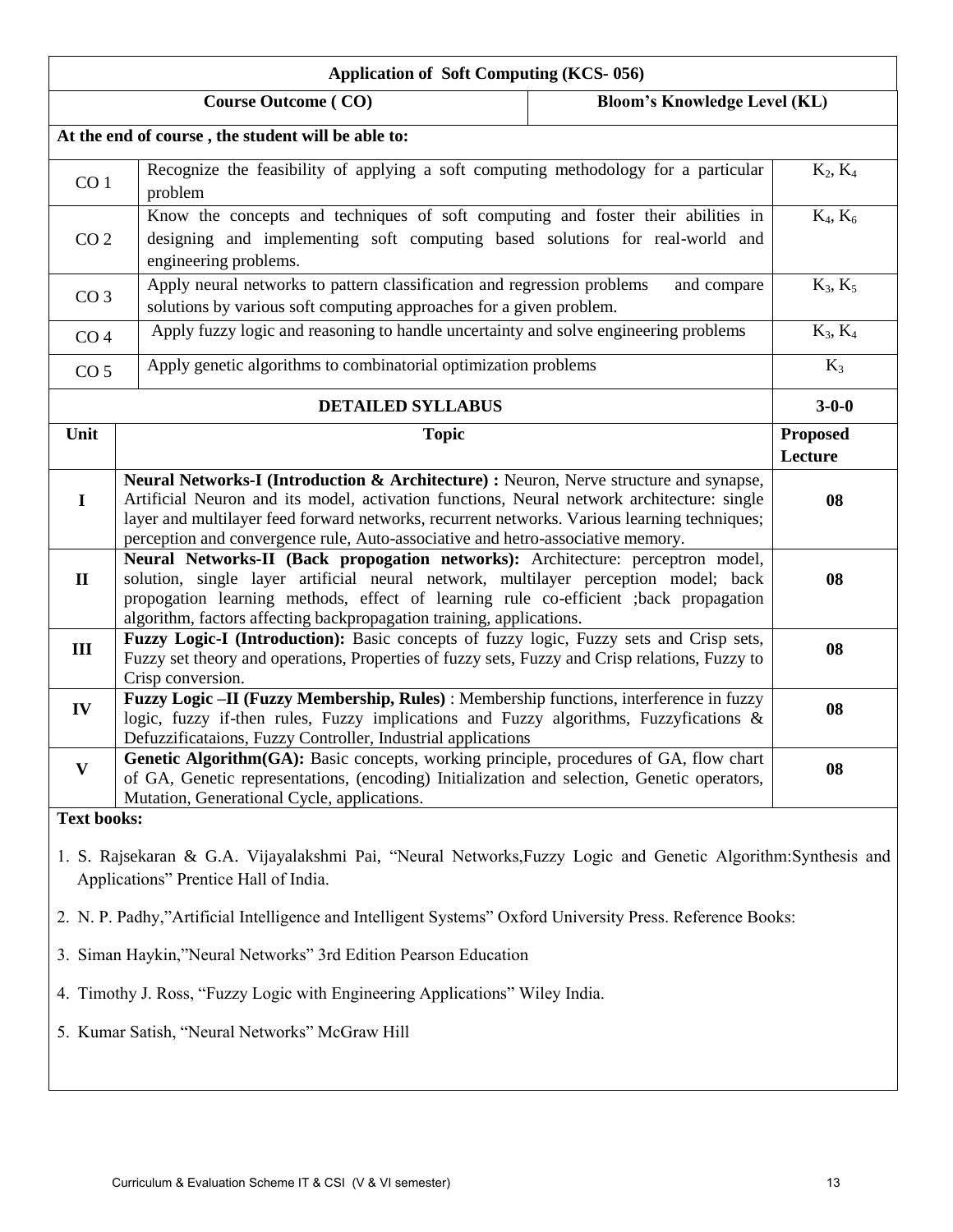| <b>Application of Soft Computing (KCS-056)</b>                                                                                                         |                                                                                                                                                                                                                                                                                                                                                                                    |                                     |                            |  |  |  |  |
|--------------------------------------------------------------------------------------------------------------------------------------------------------|------------------------------------------------------------------------------------------------------------------------------------------------------------------------------------------------------------------------------------------------------------------------------------------------------------------------------------------------------------------------------------|-------------------------------------|----------------------------|--|--|--|--|
|                                                                                                                                                        | <b>Course Outcome (CO)</b>                                                                                                                                                                                                                                                                                                                                                         | <b>Bloom's Knowledge Level (KL)</b> |                            |  |  |  |  |
|                                                                                                                                                        | At the end of course, the student will be able to:                                                                                                                                                                                                                                                                                                                                 |                                     |                            |  |  |  |  |
| CO <sub>1</sub>                                                                                                                                        | Recognize the feasibility of applying a soft computing methodology for a particular<br>problem                                                                                                                                                                                                                                                                                     |                                     | $K_2, K_4$                 |  |  |  |  |
| CO <sub>2</sub>                                                                                                                                        | Know the concepts and techniques of soft computing and foster their abilities in<br>designing and implementing soft computing based solutions for real-world and<br>engineering problems.                                                                                                                                                                                          | $K_4, K_6$                          |                            |  |  |  |  |
| CO <sub>3</sub>                                                                                                                                        | Apply neural networks to pattern classification and regression problems<br>solutions by various soft computing approaches for a given problem.                                                                                                                                                                                                                                     | and compare                         | $K_3, K_5$                 |  |  |  |  |
| CO <sub>4</sub>                                                                                                                                        | Apply fuzzy logic and reasoning to handle uncertainty and solve engineering problems                                                                                                                                                                                                                                                                                               |                                     | $K_3, K_4$                 |  |  |  |  |
| CO <sub>5</sub>                                                                                                                                        | Apply genetic algorithms to combinatorial optimization problems                                                                                                                                                                                                                                                                                                                    |                                     | $K_3$                      |  |  |  |  |
|                                                                                                                                                        | <b>DETAILED SYLLABUS</b>                                                                                                                                                                                                                                                                                                                                                           |                                     | $3 - 0 - 0$                |  |  |  |  |
| Unit                                                                                                                                                   | <b>Topic</b>                                                                                                                                                                                                                                                                                                                                                                       |                                     | <b>Proposed</b><br>Lecture |  |  |  |  |
| $\mathbf I$                                                                                                                                            | <b>Neural Networks-I (Introduction &amp; Architecture) : Neuron, Nerve structure and synapse,</b><br>Artificial Neuron and its model, activation functions, Neural network architecture: single<br>layer and multilayer feed forward networks, recurrent networks. Various learning techniques;<br>perception and convergence rule, Auto-associative and hetro-associative memory. |                                     |                            |  |  |  |  |
| $\mathbf{I}$                                                                                                                                           | Neural Networks-II (Back propogation networks): Architecture: perceptron model,<br>solution, single layer artificial neural network, multilayer perception model; back<br>propogation learning methods, effect of learning rule co-efficient ; back propagation<br>algorithm, factors affecting backpropagation training, applications.                                            |                                     |                            |  |  |  |  |
| III                                                                                                                                                    | Fuzzy Logic-I (Introduction): Basic concepts of fuzzy logic, Fuzzy sets and Crisp sets,<br>Fuzzy set theory and operations, Properties of fuzzy sets, Fuzzy and Crisp relations, Fuzzy to<br>Crisp conversion.                                                                                                                                                                     |                                     | 08                         |  |  |  |  |
| IV                                                                                                                                                     | Fuzzy Logic -II (Fuzzy Membership, Rules) : Membership functions, interference in fuzzy<br>logic, fuzzy if-then rules, Fuzzy implications and Fuzzy algorithms, Fuzzyfications $\&$<br>Defuzzificataions, Fuzzy Controller, Industrial applications                                                                                                                                |                                     | 08                         |  |  |  |  |
| $\mathbf{V}$                                                                                                                                           | Genetic Algorithm(GA): Basic concepts, working principle, procedures of GA, flow chart<br>of GA, Genetic representations, (encoding) Initialization and selection, Genetic operators,<br>Mutation, Generational Cycle, applications.                                                                                                                                               |                                     | 08                         |  |  |  |  |
| <b>Text books:</b>                                                                                                                                     |                                                                                                                                                                                                                                                                                                                                                                                    |                                     |                            |  |  |  |  |
| 1. S. Rajsekaran & G.A. Vijayalakshmi Pai, "Neural Networks, Fuzzy Logic and Genetic Algorithm: Synthesis and<br>Applications" Prentice Hall of India. |                                                                                                                                                                                                                                                                                                                                                                                    |                                     |                            |  |  |  |  |
|                                                                                                                                                        | 2. N. P. Padhy,"Artificial Intelligence and Intelligent Systems" Oxford University Press. Reference Books:                                                                                                                                                                                                                                                                         |                                     |                            |  |  |  |  |
|                                                                                                                                                        | 3. Siman Haykin,"Neural Networks" 3rd Edition Pearson Education                                                                                                                                                                                                                                                                                                                    |                                     |                            |  |  |  |  |
|                                                                                                                                                        | 4. Timothy J. Ross, "Fuzzy Logic with Engineering Applications" Wiley India.                                                                                                                                                                                                                                                                                                       |                                     |                            |  |  |  |  |
|                                                                                                                                                        | 5. Kumar Satish, "Neural Networks" McGraw Hill                                                                                                                                                                                                                                                                                                                                     |                                     |                            |  |  |  |  |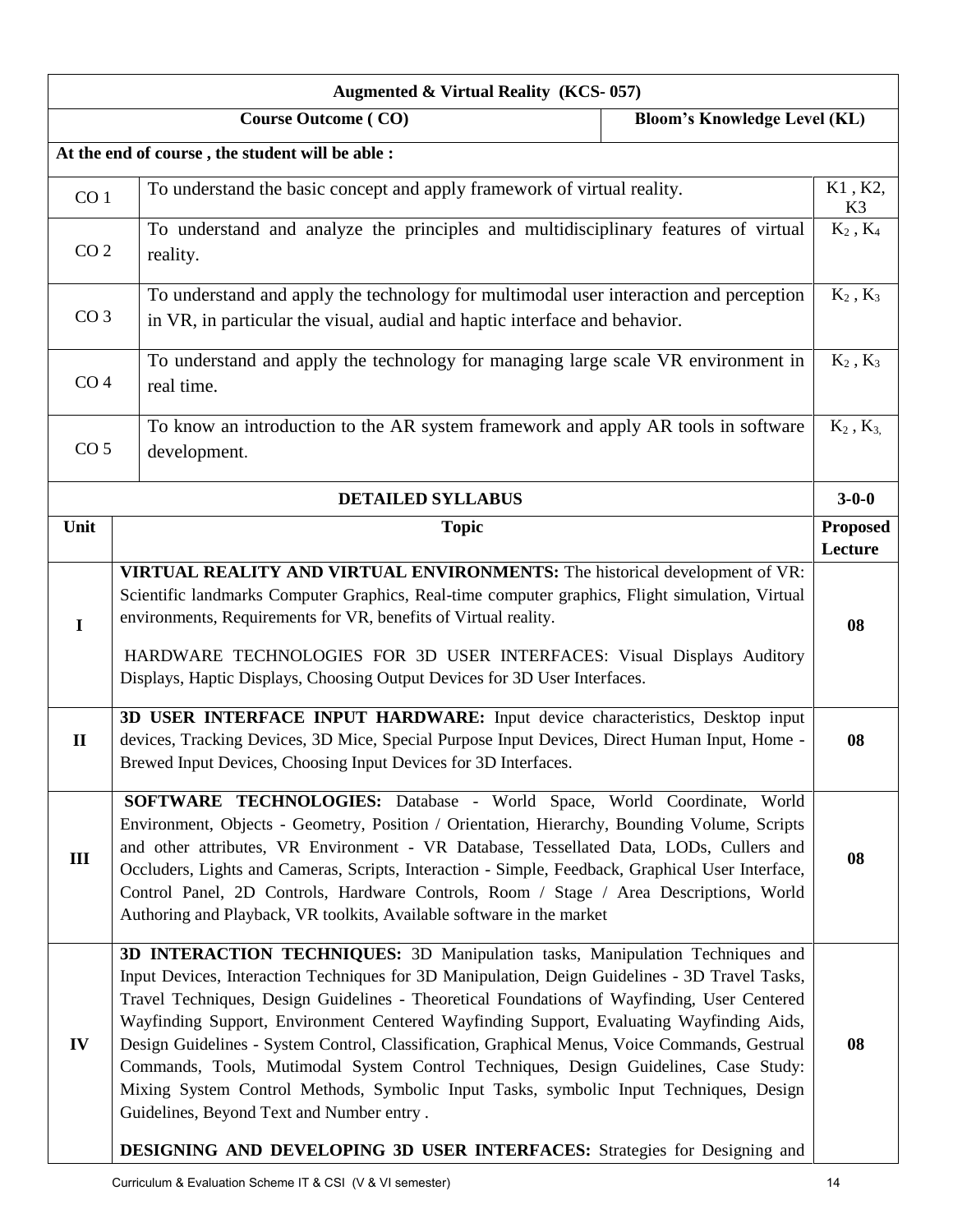| <b>Augmented &amp; Virtual Reality (KCS-057)</b> |                                                                                                                                                                                                                                                                                                                                                                                                                                                                                                                                                                                                                                                                                                                                                                                                |                                     |                            |  |  |  |
|--------------------------------------------------|------------------------------------------------------------------------------------------------------------------------------------------------------------------------------------------------------------------------------------------------------------------------------------------------------------------------------------------------------------------------------------------------------------------------------------------------------------------------------------------------------------------------------------------------------------------------------------------------------------------------------------------------------------------------------------------------------------------------------------------------------------------------------------------------|-------------------------------------|----------------------------|--|--|--|
|                                                  | <b>Course Outcome (CO)</b>                                                                                                                                                                                                                                                                                                                                                                                                                                                                                                                                                                                                                                                                                                                                                                     | <b>Bloom's Knowledge Level (KL)</b> |                            |  |  |  |
|                                                  | At the end of course, the student will be able :                                                                                                                                                                                                                                                                                                                                                                                                                                                                                                                                                                                                                                                                                                                                               |                                     |                            |  |  |  |
| CO <sub>1</sub>                                  | To understand the basic concept and apply framework of virtual reality.                                                                                                                                                                                                                                                                                                                                                                                                                                                                                                                                                                                                                                                                                                                        |                                     | K1, K2,<br>K3              |  |  |  |
| CO <sub>2</sub>                                  | To understand and analyze the principles and multidisciplinary features of virtual<br>reality.                                                                                                                                                                                                                                                                                                                                                                                                                                                                                                                                                                                                                                                                                                 |                                     | $K_2$ , $K_4$              |  |  |  |
| CO <sub>3</sub>                                  | To understand and apply the technology for multimodal user interaction and perception<br>in VR, in particular the visual, audial and haptic interface and behavior.                                                                                                                                                                                                                                                                                                                                                                                                                                                                                                                                                                                                                            |                                     | $K_2$ , $K_3$              |  |  |  |
| CO <sub>4</sub>                                  | To understand and apply the technology for managing large scale VR environment in<br>real time.                                                                                                                                                                                                                                                                                                                                                                                                                                                                                                                                                                                                                                                                                                |                                     | $K_2$ , $K_3$              |  |  |  |
| CO <sub>5</sub>                                  | To know an introduction to the AR system framework and apply AR tools in software<br>development.                                                                                                                                                                                                                                                                                                                                                                                                                                                                                                                                                                                                                                                                                              |                                     | $K_2$ , $K_3$              |  |  |  |
|                                                  | <b>DETAILED SYLLABUS</b>                                                                                                                                                                                                                                                                                                                                                                                                                                                                                                                                                                                                                                                                                                                                                                       |                                     | $3 - 0 - 0$                |  |  |  |
| Unit                                             | <b>Topic</b>                                                                                                                                                                                                                                                                                                                                                                                                                                                                                                                                                                                                                                                                                                                                                                                   |                                     | <b>Proposed</b><br>Lecture |  |  |  |
| $\mathbf I$                                      | <b>VIRTUAL REALITY AND VIRTUAL ENVIRONMENTS:</b> The historical development of VR:<br>Scientific landmarks Computer Graphics, Real-time computer graphics, Flight simulation, Virtual<br>environments, Requirements for VR, benefits of Virtual reality.<br>HARDWARE TECHNOLOGIES FOR 3D USER INTERFACES: Visual Displays Auditory<br>Displays, Haptic Displays, Choosing Output Devices for 3D User Interfaces.                                                                                                                                                                                                                                                                                                                                                                               |                                     | 08                         |  |  |  |
| $\mathbf{I}$                                     | 3D USER INTERFACE INPUT HARDWARE: Input device characteristics, Desktop input<br>devices, Tracking Devices, 3D Mice, Special Purpose Input Devices, Direct Human Input, Home -<br>Brewed Input Devices, Choosing Input Devices for 3D Interfaces.                                                                                                                                                                                                                                                                                                                                                                                                                                                                                                                                              |                                     |                            |  |  |  |
| III                                              | SOFTWARE TECHNOLOGIES: Database - World Space, World Coordinate, World<br>Environment, Objects - Geometry, Position / Orientation, Hierarchy, Bounding Volume, Scripts<br>and other attributes, VR Environment - VR Database, Tessellated Data, LODs, Cullers and<br>Occluders, Lights and Cameras, Scripts, Interaction - Simple, Feedback, Graphical User Interface,<br>Control Panel, 2D Controls, Hardware Controls, Room / Stage / Area Descriptions, World<br>Authoring and Playback, VR toolkits, Available software in the market                                                                                                                                                                                                                                                      |                                     | 08                         |  |  |  |
| IV                                               | 3D INTERACTION TECHNIQUES: 3D Manipulation tasks, Manipulation Techniques and<br>Input Devices, Interaction Techniques for 3D Manipulation, Deign Guidelines - 3D Travel Tasks,<br>Travel Techniques, Design Guidelines - Theoretical Foundations of Wayfinding, User Centered<br>Wayfinding Support, Environment Centered Wayfinding Support, Evaluating Wayfinding Aids,<br>Design Guidelines - System Control, Classification, Graphical Menus, Voice Commands, Gestrual<br>Commands, Tools, Mutimodal System Control Techniques, Design Guidelines, Case Study:<br>Mixing System Control Methods, Symbolic Input Tasks, symbolic Input Techniques, Design<br>Guidelines, Beyond Text and Number entry.<br><b>DESIGNING AND DEVELOPING 3D USER INTERFACES:</b> Strategies for Designing and |                                     |                            |  |  |  |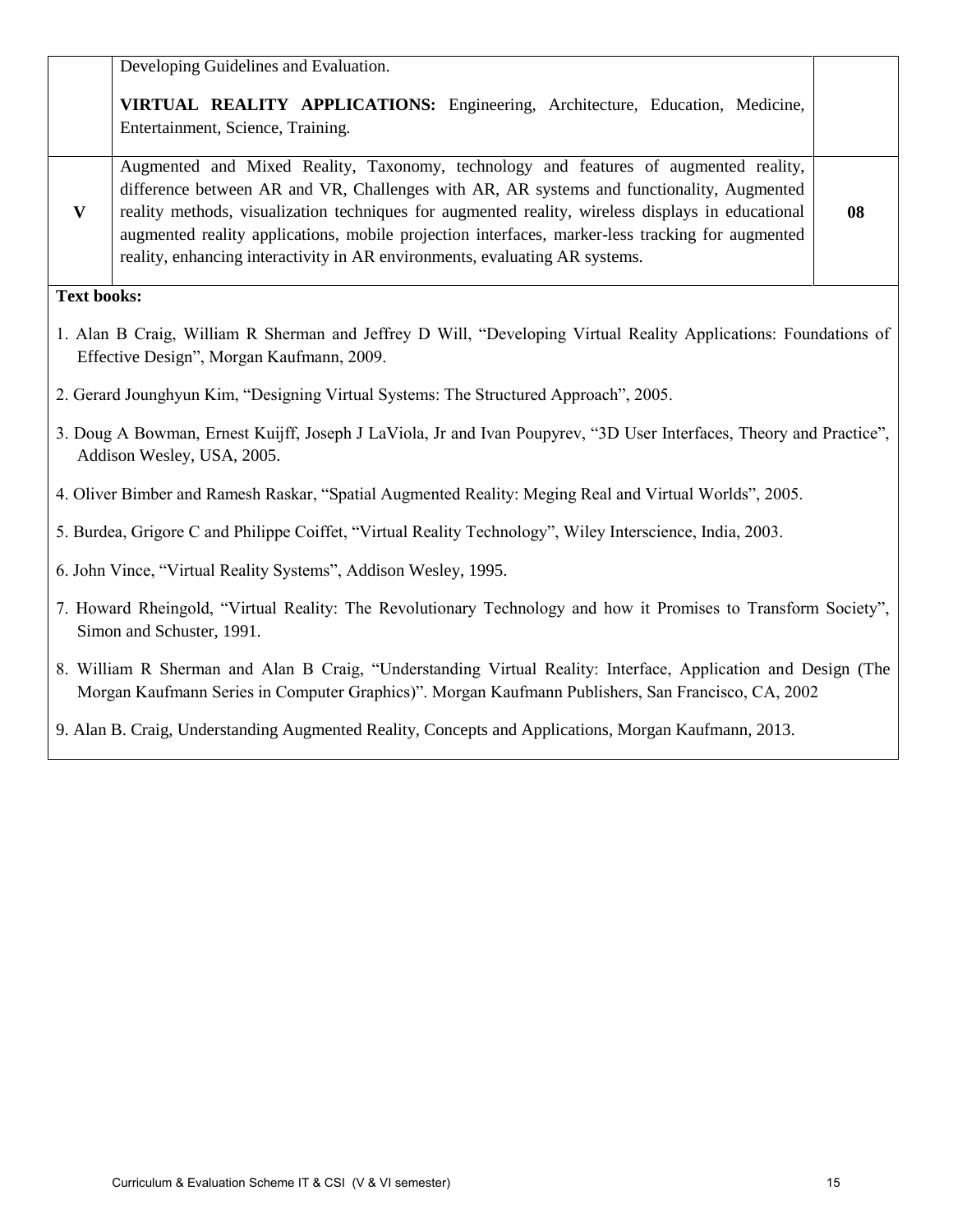|                                                                                                                                                              | Developing Guidelines and Evaluation.                                                                                                                                                                                                                                                                                                                                                                                                                                     |    |  |
|--------------------------------------------------------------------------------------------------------------------------------------------------------------|---------------------------------------------------------------------------------------------------------------------------------------------------------------------------------------------------------------------------------------------------------------------------------------------------------------------------------------------------------------------------------------------------------------------------------------------------------------------------|----|--|
|                                                                                                                                                              | VIRTUAL REALITY APPLICATIONS: Engineering, Architecture, Education, Medicine,<br>Entertainment, Science, Training.                                                                                                                                                                                                                                                                                                                                                        |    |  |
| $\mathbf{V}$                                                                                                                                                 | Augmented and Mixed Reality, Taxonomy, technology and features of augmented reality,<br>difference between AR and VR, Challenges with AR, AR systems and functionality, Augmented<br>reality methods, visualization techniques for augmented reality, wireless displays in educational<br>augmented reality applications, mobile projection interfaces, marker-less tracking for augmented<br>reality, enhancing interactivity in AR environments, evaluating AR systems. | 08 |  |
| <b>Text books:</b>                                                                                                                                           |                                                                                                                                                                                                                                                                                                                                                                                                                                                                           |    |  |
| 1. Alan B Craig, William R Sherman and Jeffrey D Will, "Developing Virtual Reality Applications: Foundations of<br>Effective Design", Morgan Kaufmann, 2009. |                                                                                                                                                                                                                                                                                                                                                                                                                                                                           |    |  |
|                                                                                                                                                              | 2. Gerard Jounghyun Kim, "Designing Virtual Systems: The Structured Approach", 2005.                                                                                                                                                                                                                                                                                                                                                                                      |    |  |
| 3. Doug A Bowman, Ernest Kuijff, Joseph J LaViola, Jr and Ivan Poupyrev, "3D User Interfaces, Theory and Practice",<br>Addison Wesley, USA, 2005.            |                                                                                                                                                                                                                                                                                                                                                                                                                                                                           |    |  |
|                                                                                                                                                              | 4. Oliver Bimber and Ramesh Raskar, "Spatial Augmented Reality: Meging Real and Virtual Worlds", 2005.                                                                                                                                                                                                                                                                                                                                                                    |    |  |
| 5. Burdea, Grigore C and Philippe Coiffet, "Virtual Reality Technology", Wiley Interscience, India, 2003.                                                    |                                                                                                                                                                                                                                                                                                                                                                                                                                                                           |    |  |
| 6. John Vince, "Virtual Reality Systems", Addison Wesley, 1995.                                                                                              |                                                                                                                                                                                                                                                                                                                                                                                                                                                                           |    |  |
| 7. Howard Rheingold, "Virtual Reality: The Revolutionary Technology and how it Promises to Transform Society",<br>Simon and Schuster, 1991.                  |                                                                                                                                                                                                                                                                                                                                                                                                                                                                           |    |  |
|                                                                                                                                                              | 8. William R Sherman and Alan B Craig, "Understanding Virtual Reality: Interface, Application and Design (The<br>Morgan Kaufmann Series in Computer Graphics)". Morgan Kaufmann Publishers, San Francisco, CA, 2002                                                                                                                                                                                                                                                       |    |  |

9. Alan B. Craig, Understanding Augmented Reality, Concepts and Applications, Morgan Kaufmann, 2013.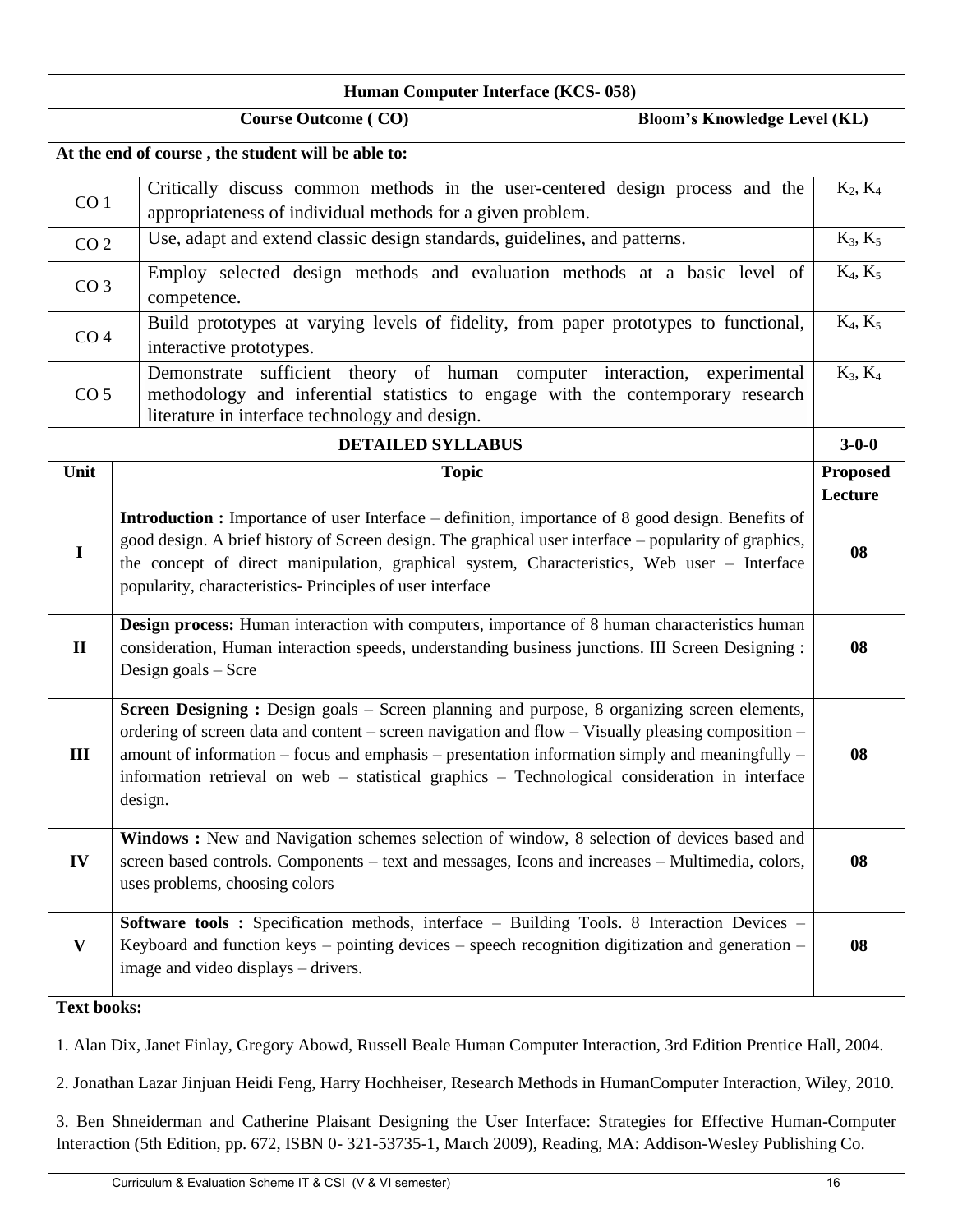| Human Computer Interface (KCS-058)                                                                                                                                                                                                                                                                                                                                                                                       |                                                                                                                                                                                                                   |                                     |                            |
|--------------------------------------------------------------------------------------------------------------------------------------------------------------------------------------------------------------------------------------------------------------------------------------------------------------------------------------------------------------------------------------------------------------------------|-------------------------------------------------------------------------------------------------------------------------------------------------------------------------------------------------------------------|-------------------------------------|----------------------------|
|                                                                                                                                                                                                                                                                                                                                                                                                                          | <b>Course Outcome (CO)</b>                                                                                                                                                                                        | <b>Bloom's Knowledge Level (KL)</b> |                            |
|                                                                                                                                                                                                                                                                                                                                                                                                                          | At the end of course, the student will be able to:                                                                                                                                                                |                                     |                            |
| Critically discuss common methods in the user-centered design process and the<br>CO <sub>1</sub><br>appropriateness of individual methods for a given problem.                                                                                                                                                                                                                                                           |                                                                                                                                                                                                                   | $K_2, K_4$                          |                            |
| CO <sub>2</sub>                                                                                                                                                                                                                                                                                                                                                                                                          | Use, adapt and extend classic design standards, guidelines, and patterns.                                                                                                                                         |                                     | $K_3, K_5$                 |
| CO <sub>3</sub>                                                                                                                                                                                                                                                                                                                                                                                                          | Employ selected design methods and evaluation methods at a basic level of<br>competence.                                                                                                                          |                                     | $K_4, K_5$                 |
| CO <sub>4</sub>                                                                                                                                                                                                                                                                                                                                                                                                          | Build prototypes at varying levels of fidelity, from paper prototypes to functional,<br>interactive prototypes.                                                                                                   |                                     | $K_4, K_5$                 |
| CO <sub>5</sub>                                                                                                                                                                                                                                                                                                                                                                                                          | sufficient theory of human computer interaction, experimental<br>Demonstrate<br>methodology and inferential statistics to engage with the contemporary research<br>literature in interface technology and design. |                                     | $K_3, K_4$                 |
|                                                                                                                                                                                                                                                                                                                                                                                                                          | <b>DETAILED SYLLABUS</b>                                                                                                                                                                                          |                                     | $3 - 0 - 0$                |
| Unit                                                                                                                                                                                                                                                                                                                                                                                                                     | <b>Topic</b>                                                                                                                                                                                                      |                                     | <b>Proposed</b><br>Lecture |
| <b>Introduction :</b> Importance of user Interface – definition, importance of 8 good design. Benefits of<br>good design. A brief history of Screen design. The graphical user interface – popularity of graphics,<br>$\mathbf I$<br>the concept of direct manipulation, graphical system, Characteristics, Web user - Interface<br>popularity, characteristics- Principles of user interface                            |                                                                                                                                                                                                                   |                                     | 08                         |
| Design process: Human interaction with computers, importance of 8 human characteristics human<br>consideration, Human interaction speeds, understanding business junctions. III Screen Designing :<br>$\mathbf{I}$<br>Design goals - Scre                                                                                                                                                                                |                                                                                                                                                                                                                   |                                     | 08                         |
| Screen Designing: Design goals – Screen planning and purpose, 8 organizing screen elements,<br>ordering of screen data and content – screen navigation and flow – Visually pleasing composition –<br>III<br>amount of information – focus and emphasis – presentation information simply and meaningfully –<br>information retrieval on web - statistical graphics - Technological consideration in interface<br>design. |                                                                                                                                                                                                                   | 08                                  |                            |
| Windows: New and Navigation schemes selection of window, 8 selection of devices based and<br>IV<br>screen based controls. Components - text and messages, Icons and increases - Multimedia, colors,<br>uses problems, choosing colors                                                                                                                                                                                    |                                                                                                                                                                                                                   | 08                                  |                            |
| Software tools: Specification methods, interface - Building Tools. 8 Interaction Devices -<br>Keyboard and function keys – pointing devices – speech recognition digitization and generation –<br>$\mathbf{V}$<br>image and video displays – drivers.                                                                                                                                                                    |                                                                                                                                                                                                                   |                                     | 08                         |
| <b>Text books:</b>                                                                                                                                                                                                                                                                                                                                                                                                       |                                                                                                                                                                                                                   |                                     |                            |
| 1. Alan Dix, Janet Finlay, Gregory Abowd, Russell Beale Human Computer Interaction, 3rd Edition Prentice Hall, 2004.                                                                                                                                                                                                                                                                                                     |                                                                                                                                                                                                                   |                                     |                            |
| 2. Jonathan Lazar Jinjuan Heidi Feng, Harry Hochheiser, Research Methods in HumanComputer Interaction, Wiley, 2010.                                                                                                                                                                                                                                                                                                      |                                                                                                                                                                                                                   |                                     |                            |
| 3. Ben Shneiderman and Catherine Plaisant Designing the User Interface: Strategies for Effective Human-Computer<br>Interaction (5th Edition, pp. 672, ISBN 0-321-53735-1, March 2009), Reading, MA: Addison-Wesley Publishing Co.                                                                                                                                                                                        |                                                                                                                                                                                                                   |                                     |                            |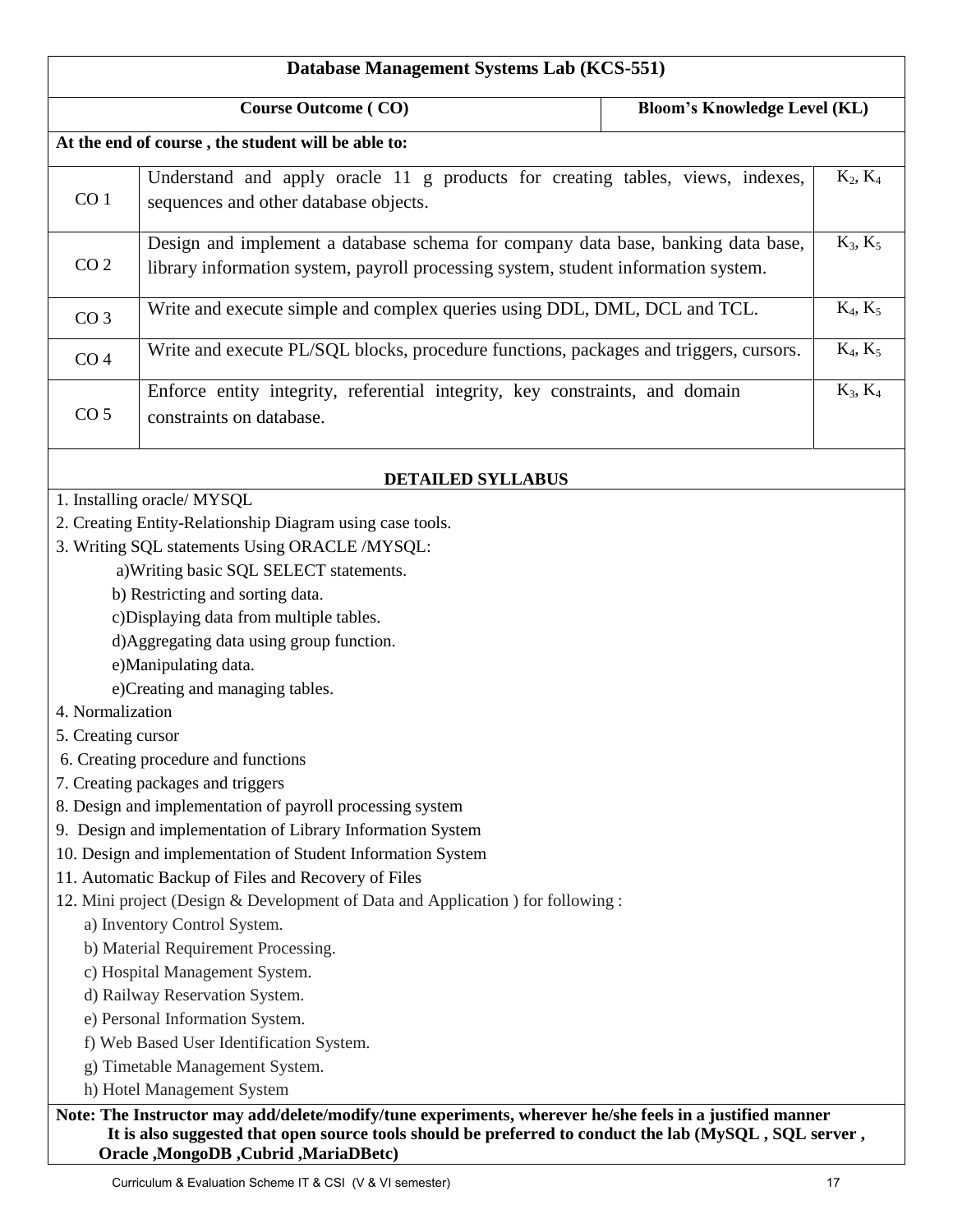| <b>Course Outcome (CO)</b><br><b>Bloom's Knowledge Level (KL)</b><br>At the end of course, the student will be able to:<br>Understand and apply oracle 11 g products for creating tables, views, indexes,<br>CO <sub>1</sub><br>sequences and other database objects.<br>Design and implement a database schema for company data base, banking data base,<br>CO <sub>2</sub><br>library information system, payroll processing system, student information system.<br>Write and execute simple and complex queries using DDL, DML, DCL and TCL.<br>CO <sub>3</sub><br>Write and execute PL/SQL blocks, procedure functions, packages and triggers, cursors.<br>CO <sub>4</sub><br>Enforce entity integrity, referential integrity, key constraints, and domain<br>CO <sub>5</sub><br>constraints on database.<br><b>DETAILED SYLLABUS</b><br>1. Installing oracle/ MYSQL<br>2. Creating Entity-Relationship Diagram using case tools.<br>3. Writing SQL statements Using ORACLE /MYSQL:<br>a) Writing basic SQL SELECT statements.<br>b) Restricting and sorting data.<br>c)Displaying data from multiple tables.<br>d)Aggregating data using group function.<br>e)Manipulating data.<br>e)Creating and managing tables.<br>4. Normalization<br>5. Creating cursor<br>6. Creating procedure and functions<br>7. Creating packages and triggers<br>8. Design and implementation of payroll processing system<br>9. Design and implementation of Library Information System<br>10. Design and implementation of Student Information System<br>11. Automatic Backup of Files and Recovery of Files<br>12. Mini project (Design & Development of Data and Application ) for following :<br>a) Inventory Control System.<br>b) Material Requirement Processing.<br>c) Hospital Management System.<br>d) Railway Reservation System. | Database Management Systems Lab (KCS-551) |  |  |            |
|--------------------------------------------------------------------------------------------------------------------------------------------------------------------------------------------------------------------------------------------------------------------------------------------------------------------------------------------------------------------------------------------------------------------------------------------------------------------------------------------------------------------------------------------------------------------------------------------------------------------------------------------------------------------------------------------------------------------------------------------------------------------------------------------------------------------------------------------------------------------------------------------------------------------------------------------------------------------------------------------------------------------------------------------------------------------------------------------------------------------------------------------------------------------------------------------------------------------------------------------------------------------------------------------------------------------------------------------------------------------------------------------------------------------------------------------------------------------------------------------------------------------------------------------------------------------------------------------------------------------------------------------------------------------------------------------------------------------------------------------------------------------------------------------------------------------------------|-------------------------------------------|--|--|------------|
|                                                                                                                                                                                                                                                                                                                                                                                                                                                                                                                                                                                                                                                                                                                                                                                                                                                                                                                                                                                                                                                                                                                                                                                                                                                                                                                                                                                                                                                                                                                                                                                                                                                                                                                                                                                                                                |                                           |  |  |            |
|                                                                                                                                                                                                                                                                                                                                                                                                                                                                                                                                                                                                                                                                                                                                                                                                                                                                                                                                                                                                                                                                                                                                                                                                                                                                                                                                                                                                                                                                                                                                                                                                                                                                                                                                                                                                                                |                                           |  |  |            |
|                                                                                                                                                                                                                                                                                                                                                                                                                                                                                                                                                                                                                                                                                                                                                                                                                                                                                                                                                                                                                                                                                                                                                                                                                                                                                                                                                                                                                                                                                                                                                                                                                                                                                                                                                                                                                                |                                           |  |  | $K_2, K_4$ |
|                                                                                                                                                                                                                                                                                                                                                                                                                                                                                                                                                                                                                                                                                                                                                                                                                                                                                                                                                                                                                                                                                                                                                                                                                                                                                                                                                                                                                                                                                                                                                                                                                                                                                                                                                                                                                                |                                           |  |  | $K_3, K_5$ |
|                                                                                                                                                                                                                                                                                                                                                                                                                                                                                                                                                                                                                                                                                                                                                                                                                                                                                                                                                                                                                                                                                                                                                                                                                                                                                                                                                                                                                                                                                                                                                                                                                                                                                                                                                                                                                                |                                           |  |  | $K_4, K_5$ |
|                                                                                                                                                                                                                                                                                                                                                                                                                                                                                                                                                                                                                                                                                                                                                                                                                                                                                                                                                                                                                                                                                                                                                                                                                                                                                                                                                                                                                                                                                                                                                                                                                                                                                                                                                                                                                                |                                           |  |  | $K_4, K_5$ |
|                                                                                                                                                                                                                                                                                                                                                                                                                                                                                                                                                                                                                                                                                                                                                                                                                                                                                                                                                                                                                                                                                                                                                                                                                                                                                                                                                                                                                                                                                                                                                                                                                                                                                                                                                                                                                                |                                           |  |  | $K_3, K_4$ |
|                                                                                                                                                                                                                                                                                                                                                                                                                                                                                                                                                                                                                                                                                                                                                                                                                                                                                                                                                                                                                                                                                                                                                                                                                                                                                                                                                                                                                                                                                                                                                                                                                                                                                                                                                                                                                                |                                           |  |  |            |
| e) Personal Information System.<br>f) Web Based User Identification System.<br>g) Timetable Management System.                                                                                                                                                                                                                                                                                                                                                                                                                                                                                                                                                                                                                                                                                                                                                                                                                                                                                                                                                                                                                                                                                                                                                                                                                                                                                                                                                                                                                                                                                                                                                                                                                                                                                                                 |                                           |  |  |            |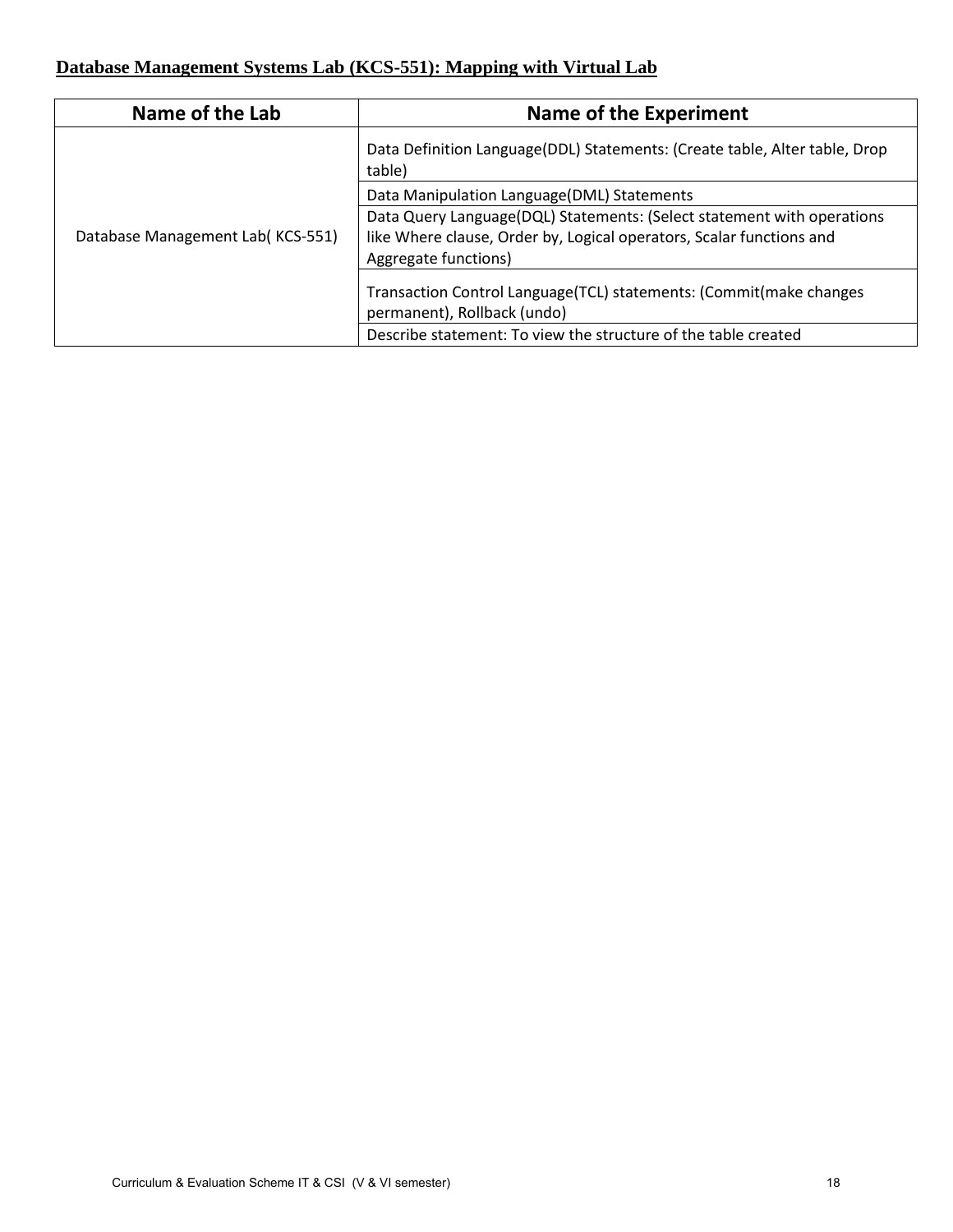## **Database Management Systems Lab (KCS-551): Mapping with Virtual Lab**

| Name of the Lab                  | <b>Name of the Experiment</b>                                                                                                                                          |
|----------------------------------|------------------------------------------------------------------------------------------------------------------------------------------------------------------------|
|                                  | Data Definition Language (DDL) Statements: (Create table, Alter table, Drop<br>table)                                                                                  |
|                                  | Data Manipulation Language(DML) Statements                                                                                                                             |
| Database Management Lab(KCS-551) | Data Query Language(DQL) Statements: (Select statement with operations<br>like Where clause, Order by, Logical operators, Scalar functions and<br>Aggregate functions) |
|                                  | Transaction Control Language(TCL) statements: (Commit(make changes<br>permanent), Rollback (undo)                                                                      |
|                                  | Describe statement: To view the structure of the table created                                                                                                         |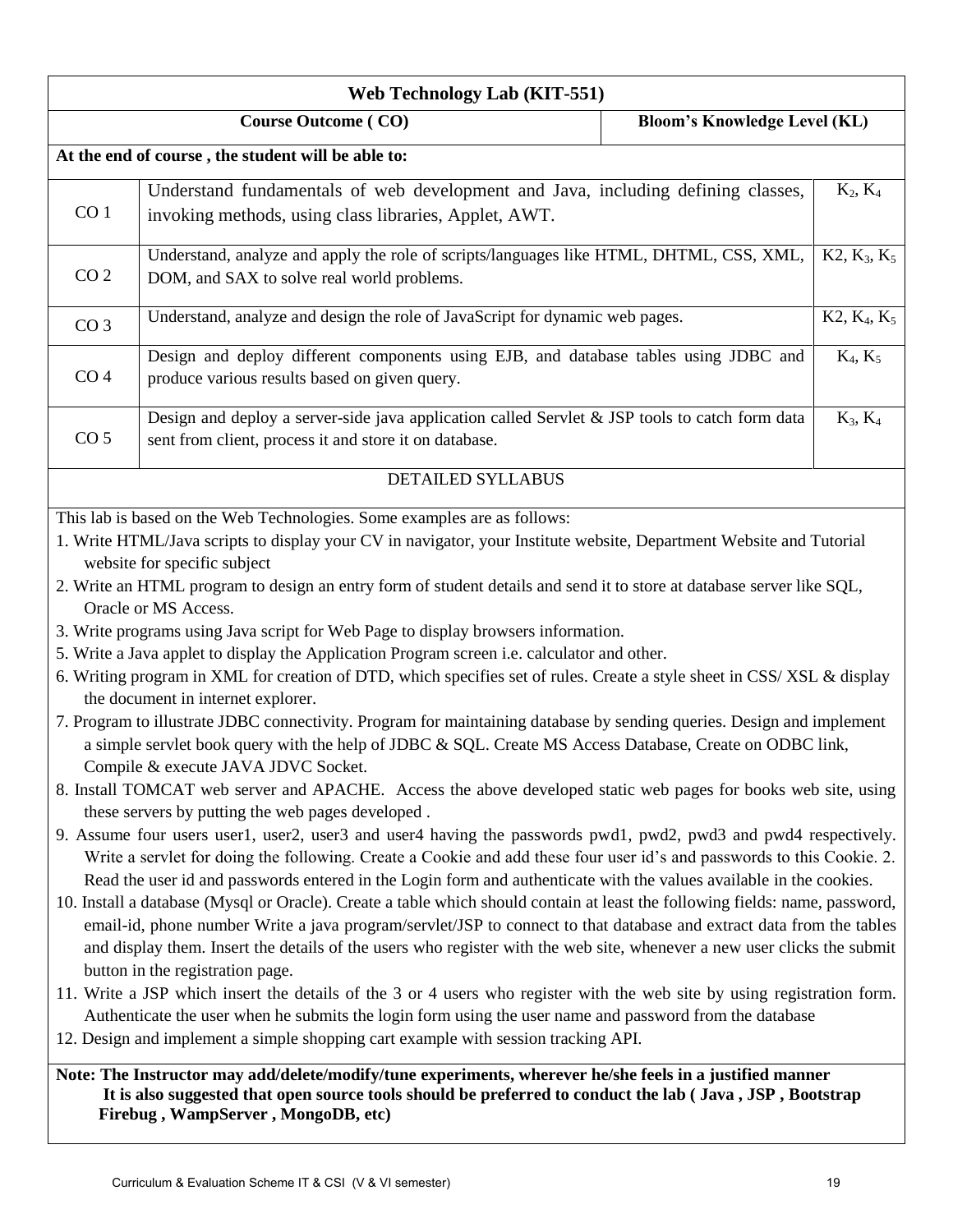| <b>Web Technology Lab (KIT-551)</b>                                                                                                                                                                                                                                                                                                                                                                                                                                                                                                                                                                                                                                                                                                                                                                                                                                                                                                                                                                                                                                                                                                                                                                                                                                                                                                                                                                                                                                                                                                                                                                                                                                                                                                                                                                                                                                                                                                                                                                                                                                                                                                                                                                                      |                                                                                                                                                          |  |                |
|--------------------------------------------------------------------------------------------------------------------------------------------------------------------------------------------------------------------------------------------------------------------------------------------------------------------------------------------------------------------------------------------------------------------------------------------------------------------------------------------------------------------------------------------------------------------------------------------------------------------------------------------------------------------------------------------------------------------------------------------------------------------------------------------------------------------------------------------------------------------------------------------------------------------------------------------------------------------------------------------------------------------------------------------------------------------------------------------------------------------------------------------------------------------------------------------------------------------------------------------------------------------------------------------------------------------------------------------------------------------------------------------------------------------------------------------------------------------------------------------------------------------------------------------------------------------------------------------------------------------------------------------------------------------------------------------------------------------------------------------------------------------------------------------------------------------------------------------------------------------------------------------------------------------------------------------------------------------------------------------------------------------------------------------------------------------------------------------------------------------------------------------------------------------------------------------------------------------------|----------------------------------------------------------------------------------------------------------------------------------------------------------|--|----------------|
| <b>Course Outcome (CO)</b><br><b>Bloom's Knowledge Level (KL)</b>                                                                                                                                                                                                                                                                                                                                                                                                                                                                                                                                                                                                                                                                                                                                                                                                                                                                                                                                                                                                                                                                                                                                                                                                                                                                                                                                                                                                                                                                                                                                                                                                                                                                                                                                                                                                                                                                                                                                                                                                                                                                                                                                                        |                                                                                                                                                          |  |                |
|                                                                                                                                                                                                                                                                                                                                                                                                                                                                                                                                                                                                                                                                                                                                                                                                                                                                                                                                                                                                                                                                                                                                                                                                                                                                                                                                                                                                                                                                                                                                                                                                                                                                                                                                                                                                                                                                                                                                                                                                                                                                                                                                                                                                                          | At the end of course, the student will be able to:                                                                                                       |  |                |
| CO <sub>1</sub>                                                                                                                                                                                                                                                                                                                                                                                                                                                                                                                                                                                                                                                                                                                                                                                                                                                                                                                                                                                                                                                                                                                                                                                                                                                                                                                                                                                                                                                                                                                                                                                                                                                                                                                                                                                                                                                                                                                                                                                                                                                                                                                                                                                                          | Understand fundamentals of web development and Java, including defining classes,<br>invoking methods, using class libraries, Applet, AWT.                |  | $K_2, K_4$     |
| CO <sub>2</sub>                                                                                                                                                                                                                                                                                                                                                                                                                                                                                                                                                                                                                                                                                                                                                                                                                                                                                                                                                                                                                                                                                                                                                                                                                                                                                                                                                                                                                                                                                                                                                                                                                                                                                                                                                                                                                                                                                                                                                                                                                                                                                                                                                                                                          | Understand, analyze and apply the role of scripts/languages like HTML, DHTML, CSS, XML,<br>DOM, and SAX to solve real world problems.                    |  | $K2, K_3, K_5$ |
| CO <sub>3</sub>                                                                                                                                                                                                                                                                                                                                                                                                                                                                                                                                                                                                                                                                                                                                                                                                                                                                                                                                                                                                                                                                                                                                                                                                                                                                                                                                                                                                                                                                                                                                                                                                                                                                                                                                                                                                                                                                                                                                                                                                                                                                                                                                                                                                          | Understand, analyze and design the role of JavaScript for dynamic web pages.                                                                             |  | $K2, K_4, K_5$ |
| CO <sub>4</sub>                                                                                                                                                                                                                                                                                                                                                                                                                                                                                                                                                                                                                                                                                                                                                                                                                                                                                                                                                                                                                                                                                                                                                                                                                                                                                                                                                                                                                                                                                                                                                                                                                                                                                                                                                                                                                                                                                                                                                                                                                                                                                                                                                                                                          | Design and deploy different components using EJB, and database tables using JDBC and<br>produce various results based on given query.                    |  | $K_4, K_5$     |
| CO <sub>5</sub>                                                                                                                                                                                                                                                                                                                                                                                                                                                                                                                                                                                                                                                                                                                                                                                                                                                                                                                                                                                                                                                                                                                                                                                                                                                                                                                                                                                                                                                                                                                                                                                                                                                                                                                                                                                                                                                                                                                                                                                                                                                                                                                                                                                                          | Design and deploy a server-side java application called Servlet & JSP tools to catch form data<br>sent from client, process it and store it on database. |  | $K_3, K_4$     |
|                                                                                                                                                                                                                                                                                                                                                                                                                                                                                                                                                                                                                                                                                                                                                                                                                                                                                                                                                                                                                                                                                                                                                                                                                                                                                                                                                                                                                                                                                                                                                                                                                                                                                                                                                                                                                                                                                                                                                                                                                                                                                                                                                                                                                          | <b>DETAILED SYLLABUS</b>                                                                                                                                 |  |                |
| This lab is based on the Web Technologies. Some examples are as follows:<br>1. Write HTML/Java scripts to display your CV in navigator, your Institute website, Department Website and Tutorial<br>website for specific subject<br>2. Write an HTML program to design an entry form of student details and send it to store at database server like SQL,<br>Oracle or MS Access.<br>3. Write programs using Java script for Web Page to display browsers information.<br>5. Write a Java applet to display the Application Program screen i.e. calculator and other.<br>6. Writing program in XML for creation of DTD, which specifies set of rules. Create a style sheet in CSS/XSL & display<br>the document in internet explorer.<br>7. Program to illustrate JDBC connectivity. Program for maintaining database by sending queries. Design and implement<br>a simple servlet book query with the help of JDBC & SQL. Create MS Access Database, Create on ODBC link,<br>Compile & execute JAVA JDVC Socket.<br>8. Install TOMCAT web server and APACHE. Access the above developed static web pages for books web site, using<br>these servers by putting the web pages developed.<br>9. Assume four users user1, user2, user3 and user4 having the passwords pwd1, pwd2, pwd3 and pwd4 respectively.<br>Write a servlet for doing the following. Create a Cookie and add these four user id's and passwords to this Cookie. 2.<br>Read the user id and passwords entered in the Login form and authenticate with the values available in the cookies.<br>10. Install a database (Mysql or Oracle). Create a table which should contain at least the following fields: name, password,<br>email-id, phone number Write a java program/servlet/JSP to connect to that database and extract data from the tables<br>and display them. Insert the details of the users who register with the web site, whenever a new user clicks the submit<br>button in the registration page.<br>11. Write a JSP which insert the details of the 3 or 4 users who register with the web site by using registration form.<br>Authenticate the user when he submits the login form using the user name and password from the database |                                                                                                                                                          |  |                |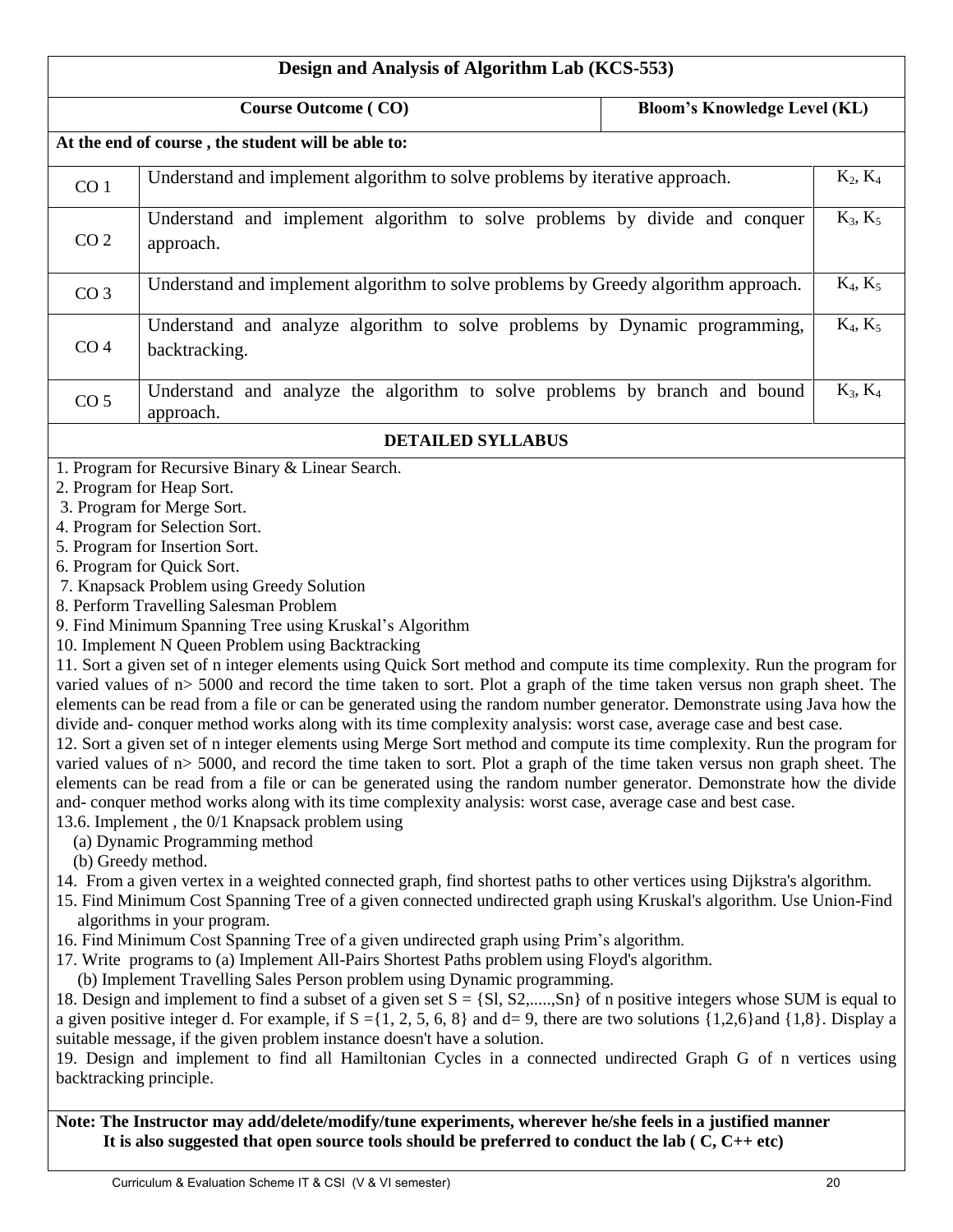| Design and Analysis of Algorithm Lab (KCS-553) |                                                                                                                                                                                                                                                                                                                                                                                                                                                                                                                                                                                                                                                                                                                                                                                                                                                                                                                                                                                                                                                                                                                                                                                                                                                                                                                                                                                                                                                                                                                                                                                                                                                                                                                                                                                                                                                                                                                                                                                                                                                                                                                                                                                                                                                                                                                                                                                                                                                                                                                                                                                                            |                                     |            |
|------------------------------------------------|------------------------------------------------------------------------------------------------------------------------------------------------------------------------------------------------------------------------------------------------------------------------------------------------------------------------------------------------------------------------------------------------------------------------------------------------------------------------------------------------------------------------------------------------------------------------------------------------------------------------------------------------------------------------------------------------------------------------------------------------------------------------------------------------------------------------------------------------------------------------------------------------------------------------------------------------------------------------------------------------------------------------------------------------------------------------------------------------------------------------------------------------------------------------------------------------------------------------------------------------------------------------------------------------------------------------------------------------------------------------------------------------------------------------------------------------------------------------------------------------------------------------------------------------------------------------------------------------------------------------------------------------------------------------------------------------------------------------------------------------------------------------------------------------------------------------------------------------------------------------------------------------------------------------------------------------------------------------------------------------------------------------------------------------------------------------------------------------------------------------------------------------------------------------------------------------------------------------------------------------------------------------------------------------------------------------------------------------------------------------------------------------------------------------------------------------------------------------------------------------------------------------------------------------------------------------------------------------------------|-------------------------------------|------------|
|                                                | <b>Course Outcome (CO)</b>                                                                                                                                                                                                                                                                                                                                                                                                                                                                                                                                                                                                                                                                                                                                                                                                                                                                                                                                                                                                                                                                                                                                                                                                                                                                                                                                                                                                                                                                                                                                                                                                                                                                                                                                                                                                                                                                                                                                                                                                                                                                                                                                                                                                                                                                                                                                                                                                                                                                                                                                                                                 | <b>Bloom's Knowledge Level (KL)</b> |            |
|                                                | At the end of course, the student will be able to:                                                                                                                                                                                                                                                                                                                                                                                                                                                                                                                                                                                                                                                                                                                                                                                                                                                                                                                                                                                                                                                                                                                                                                                                                                                                                                                                                                                                                                                                                                                                                                                                                                                                                                                                                                                                                                                                                                                                                                                                                                                                                                                                                                                                                                                                                                                                                                                                                                                                                                                                                         |                                     |            |
| CO <sub>1</sub>                                | Understand and implement algorithm to solve problems by iterative approach.                                                                                                                                                                                                                                                                                                                                                                                                                                                                                                                                                                                                                                                                                                                                                                                                                                                                                                                                                                                                                                                                                                                                                                                                                                                                                                                                                                                                                                                                                                                                                                                                                                                                                                                                                                                                                                                                                                                                                                                                                                                                                                                                                                                                                                                                                                                                                                                                                                                                                                                                |                                     | $K_2, K_4$ |
| CO <sub>2</sub>                                | Understand and implement algorithm to solve problems by divide and conquer<br>approach.                                                                                                                                                                                                                                                                                                                                                                                                                                                                                                                                                                                                                                                                                                                                                                                                                                                                                                                                                                                                                                                                                                                                                                                                                                                                                                                                                                                                                                                                                                                                                                                                                                                                                                                                                                                                                                                                                                                                                                                                                                                                                                                                                                                                                                                                                                                                                                                                                                                                                                                    |                                     | $K_3, K_5$ |
| CO <sub>3</sub>                                | Understand and implement algorithm to solve problems by Greedy algorithm approach.                                                                                                                                                                                                                                                                                                                                                                                                                                                                                                                                                                                                                                                                                                                                                                                                                                                                                                                                                                                                                                                                                                                                                                                                                                                                                                                                                                                                                                                                                                                                                                                                                                                                                                                                                                                                                                                                                                                                                                                                                                                                                                                                                                                                                                                                                                                                                                                                                                                                                                                         |                                     | $K_4, K_5$ |
| CO <sub>4</sub>                                | Understand and analyze algorithm to solve problems by Dynamic programming,<br>backtracking.                                                                                                                                                                                                                                                                                                                                                                                                                                                                                                                                                                                                                                                                                                                                                                                                                                                                                                                                                                                                                                                                                                                                                                                                                                                                                                                                                                                                                                                                                                                                                                                                                                                                                                                                                                                                                                                                                                                                                                                                                                                                                                                                                                                                                                                                                                                                                                                                                                                                                                                |                                     | $K_4, K_5$ |
| CO <sub>5</sub>                                | Understand and analyze the algorithm to solve problems by branch and bound<br>approach.                                                                                                                                                                                                                                                                                                                                                                                                                                                                                                                                                                                                                                                                                                                                                                                                                                                                                                                                                                                                                                                                                                                                                                                                                                                                                                                                                                                                                                                                                                                                                                                                                                                                                                                                                                                                                                                                                                                                                                                                                                                                                                                                                                                                                                                                                                                                                                                                                                                                                                                    |                                     | $K_3, K_4$ |
|                                                | <b>DETAILED SYLLABUS</b>                                                                                                                                                                                                                                                                                                                                                                                                                                                                                                                                                                                                                                                                                                                                                                                                                                                                                                                                                                                                                                                                                                                                                                                                                                                                                                                                                                                                                                                                                                                                                                                                                                                                                                                                                                                                                                                                                                                                                                                                                                                                                                                                                                                                                                                                                                                                                                                                                                                                                                                                                                                   |                                     |            |
|                                                | 1. Program for Recursive Binary & Linear Search.<br>2. Program for Heap Sort.<br>3. Program for Merge Sort.<br>4. Program for Selection Sort.<br>5. Program for Insertion Sort.<br>6. Program for Quick Sort.<br>7. Knapsack Problem using Greedy Solution<br>8. Perform Travelling Salesman Problem<br>9. Find Minimum Spanning Tree using Kruskal's Algorithm<br>10. Implement N Queen Problem using Backtracking<br>11. Sort a given set of n integer elements using Quick Sort method and compute its time complexity. Run the program for<br>varied values of n> 5000 and record the time taken to sort. Plot a graph of the time taken versus non graph sheet. The<br>elements can be read from a file or can be generated using the random number generator. Demonstrate using Java how the<br>divide and- conquer method works along with its time complexity analysis: worst case, average case and best case.<br>12. Sort a given set of n integer elements using Merge Sort method and compute its time complexity. Run the program for<br>varied values of $n > 5000$ , and record the time taken to sort. Plot a graph of the time taken versus non graph sheet. The<br>elements can be read from a file or can be generated using the random number generator. Demonstrate how the divide<br>and-conquer method works along with its time complexity analysis: worst case, average case and best case.<br>13.6. Implement, the 0/1 Knapsack problem using<br>(a) Dynamic Programming method<br>(b) Greedy method.<br>14. From a given vertex in a weighted connected graph, find shortest paths to other vertices using Dijkstra's algorithm.<br>15. Find Minimum Cost Spanning Tree of a given connected undirected graph using Kruskal's algorithm. Use Union-Find<br>algorithms in your program.<br>16. Find Minimum Cost Spanning Tree of a given undirected graph using Prim's algorithm.<br>17. Write programs to (a) Implement All-Pairs Shortest Paths problem using Floyd's algorithm.<br>(b) Implement Travelling Sales Person problem using Dynamic programming.<br>18. Design and implement to find a subset of a given set $S = \{S1, S2, \ldots, Sn\}$ of n positive integers whose SUM is equal to<br>a given positive integer d. For example, if $S = \{1, 2, 5, 6, 8\}$ and $d = 9$ , there are two solutions $\{1,2,6\}$ and $\{1,8\}$ . Display a<br>suitable message, if the given problem instance doesn't have a solution.<br>19. Design and implement to find all Hamiltonian Cycles in a connected undirected Graph G of n vertices using<br>backtracking principle. |                                     |            |

**Note: The Instructor may add/delete/modify/tune experiments, wherever he/she feels in a justified manner It is also suggested that open source tools should be preferred to conduct the lab ( C, C++ etc)**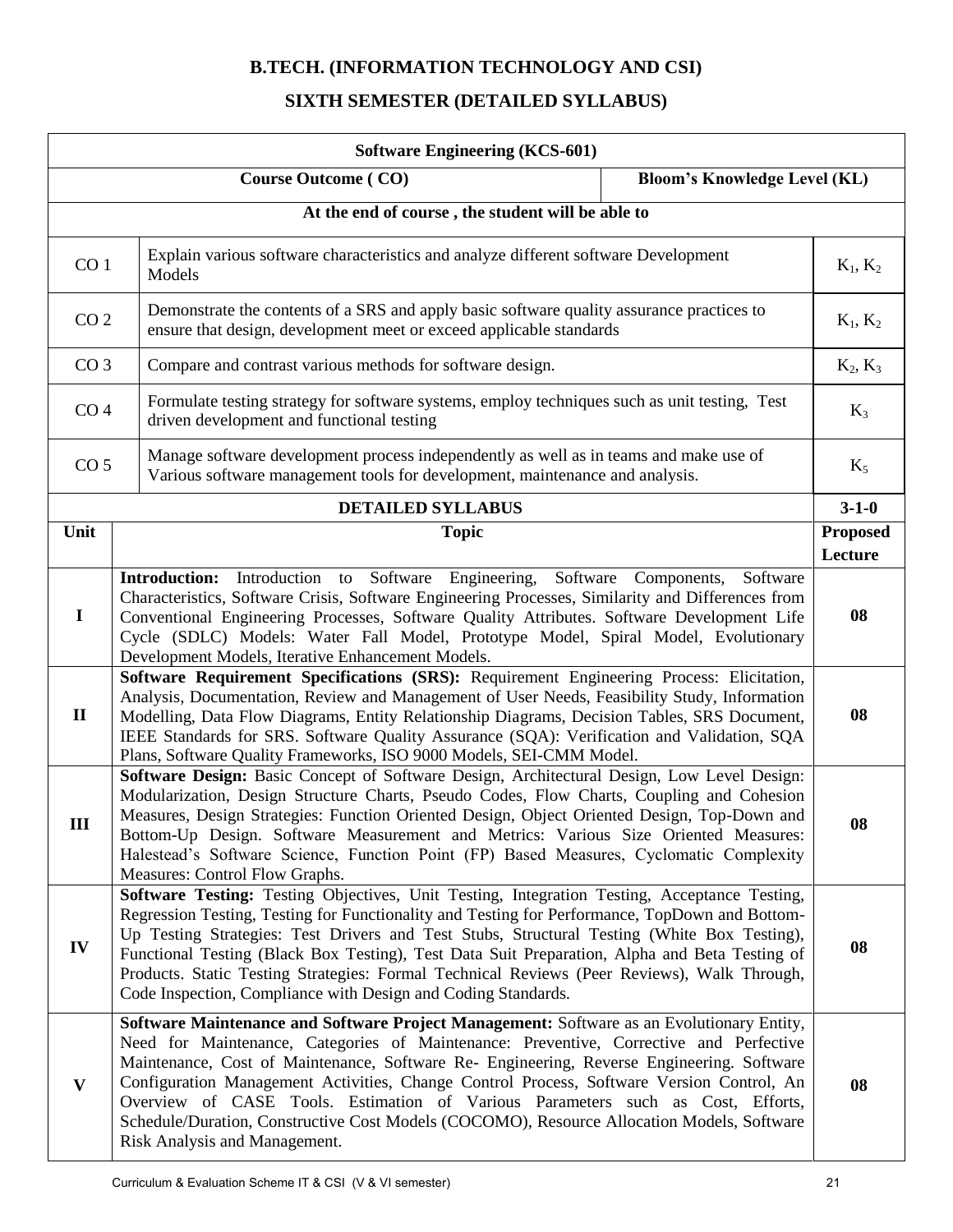# **B.TECH. (INFORMATION TECHNOLOGY AND CSI)**

## **SIXTH SEMESTER (DETAILED SYLLABUS)**

| <b>Software Engineering (KCS-601)</b> |                                                                                                                                                                                                                                                                                                                                                                                                                                                                                                                                                                                                 |                                     |                            |
|---------------------------------------|-------------------------------------------------------------------------------------------------------------------------------------------------------------------------------------------------------------------------------------------------------------------------------------------------------------------------------------------------------------------------------------------------------------------------------------------------------------------------------------------------------------------------------------------------------------------------------------------------|-------------------------------------|----------------------------|
|                                       | <b>Course Outcome (CO)</b>                                                                                                                                                                                                                                                                                                                                                                                                                                                                                                                                                                      | <b>Bloom's Knowledge Level (KL)</b> |                            |
|                                       | At the end of course, the student will be able to                                                                                                                                                                                                                                                                                                                                                                                                                                                                                                                                               |                                     |                            |
| CO <sub>1</sub>                       | Explain various software characteristics and analyze different software Development<br>Models                                                                                                                                                                                                                                                                                                                                                                                                                                                                                                   |                                     | $K_1, K_2$                 |
| CO <sub>2</sub>                       | Demonstrate the contents of a SRS and apply basic software quality assurance practices to<br>ensure that design, development meet or exceed applicable standards                                                                                                                                                                                                                                                                                                                                                                                                                                |                                     | $K_1, K_2$                 |
| CO <sub>3</sub>                       | Compare and contrast various methods for software design.                                                                                                                                                                                                                                                                                                                                                                                                                                                                                                                                       |                                     | $K_2, K_3$                 |
| CO <sub>4</sub>                       | Formulate testing strategy for software systems, employ techniques such as unit testing, Test<br>driven development and functional testing                                                                                                                                                                                                                                                                                                                                                                                                                                                      |                                     | $K_3$                      |
| CO <sub>5</sub>                       | Manage software development process independently as well as in teams and make use of<br>Various software management tools for development, maintenance and analysis.                                                                                                                                                                                                                                                                                                                                                                                                                           |                                     | $K_5$                      |
|                                       | <b>DETAILED SYLLABUS</b>                                                                                                                                                                                                                                                                                                                                                                                                                                                                                                                                                                        |                                     | $3-1-0$                    |
| Unit                                  | <b>Topic</b>                                                                                                                                                                                                                                                                                                                                                                                                                                                                                                                                                                                    |                                     | <b>Proposed</b><br>Lecture |
| $\mathbf I$                           | Introduction: Introduction to Software Engineering, Software Components, Software<br>Characteristics, Software Crisis, Software Engineering Processes, Similarity and Differences from<br>Conventional Engineering Processes, Software Quality Attributes. Software Development Life<br>Cycle (SDLC) Models: Water Fall Model, Prototype Model, Spiral Model, Evolutionary<br>Development Models, Iterative Enhancement Models.                                                                                                                                                                 |                                     | 08                         |
| $\mathbf{I}$                          | Software Requirement Specifications (SRS): Requirement Engineering Process: Elicitation,<br>Analysis, Documentation, Review and Management of User Needs, Feasibility Study, Information<br>Modelling, Data Flow Diagrams, Entity Relationship Diagrams, Decision Tables, SRS Document,<br>IEEE Standards for SRS. Software Quality Assurance (SQA): Verification and Validation, SQA<br>Plans, Software Quality Frameworks, ISO 9000 Models, SEI-CMM Model.                                                                                                                                    |                                     | 08                         |
| III                                   | Software Design: Basic Concept of Software Design, Architectural Design, Low Level Design:<br>Modularization, Design Structure Charts, Pseudo Codes, Flow Charts, Coupling and Cohesion<br>Measures, Design Strategies: Function Oriented Design, Object Oriented Design, Top-Down and<br>Bottom-Up Design. Software Measurement and Metrics: Various Size Oriented Measures:<br>Halestead's Software Science, Function Point (FP) Based Measures, Cyclomatic Complexity<br>Measures: Control Flow Graphs.                                                                                      |                                     | 08                         |
| IV                                    | Software Testing: Testing Objectives, Unit Testing, Integration Testing, Acceptance Testing,<br>Regression Testing, Testing for Functionality and Testing for Performance, TopDown and Bottom-<br>Up Testing Strategies: Test Drivers and Test Stubs, Structural Testing (White Box Testing),<br>Functional Testing (Black Box Testing), Test Data Suit Preparation, Alpha and Beta Testing of<br>Products. Static Testing Strategies: Formal Technical Reviews (Peer Reviews), Walk Through,<br>Code Inspection, Compliance with Design and Coding Standards.                                  |                                     | 08                         |
| $\mathbf{V}$                          | Software Maintenance and Software Project Management: Software as an Evolutionary Entity,<br>Need for Maintenance, Categories of Maintenance: Preventive, Corrective and Perfective<br>Maintenance, Cost of Maintenance, Software Re- Engineering, Reverse Engineering. Software<br>Configuration Management Activities, Change Control Process, Software Version Control, An<br>Overview of CASE Tools. Estimation of Various Parameters such as Cost, Efforts,<br>Schedule/Duration, Constructive Cost Models (COCOMO), Resource Allocation Models, Software<br>Risk Analysis and Management. |                                     | 08                         |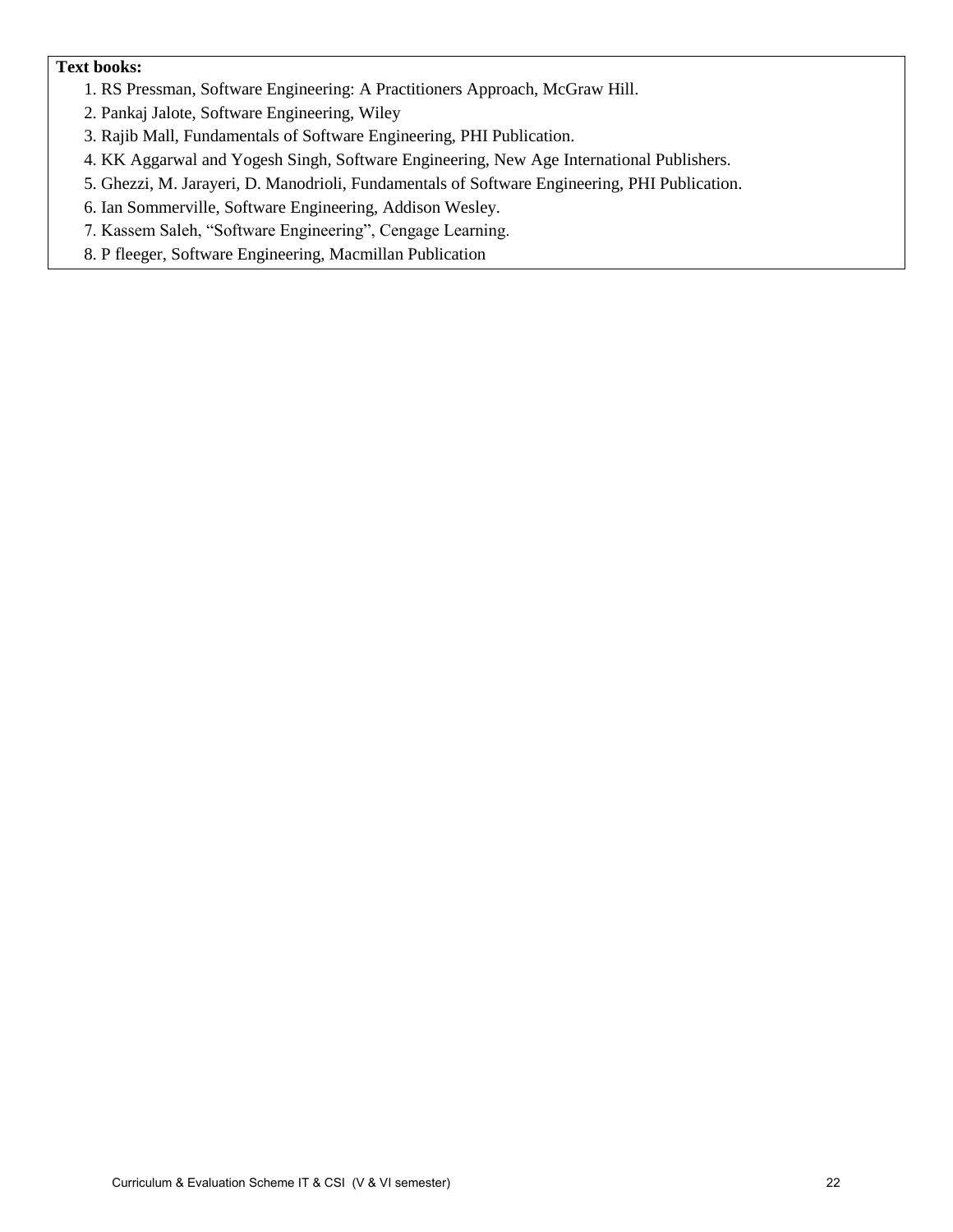#### **Text books:**

- 1. RS Pressman, Software Engineering: A Practitioners Approach, McGraw Hill.
- 2. Pankaj Jalote, Software Engineering, Wiley
- 3. Rajib Mall, Fundamentals of Software Engineering, PHI Publication.
- 4. KK Aggarwal and Yogesh Singh, Software Engineering, New Age International Publishers.
- 5. Ghezzi, M. Jarayeri, D. Manodrioli, Fundamentals of Software Engineering, PHI Publication.
- 6. Ian Sommerville, Software Engineering, Addison Wesley.
- 7. Kassem Saleh, "Software Engineering", Cengage Learning.
- 8. P fleeger, Software Engineering, Macmillan Publication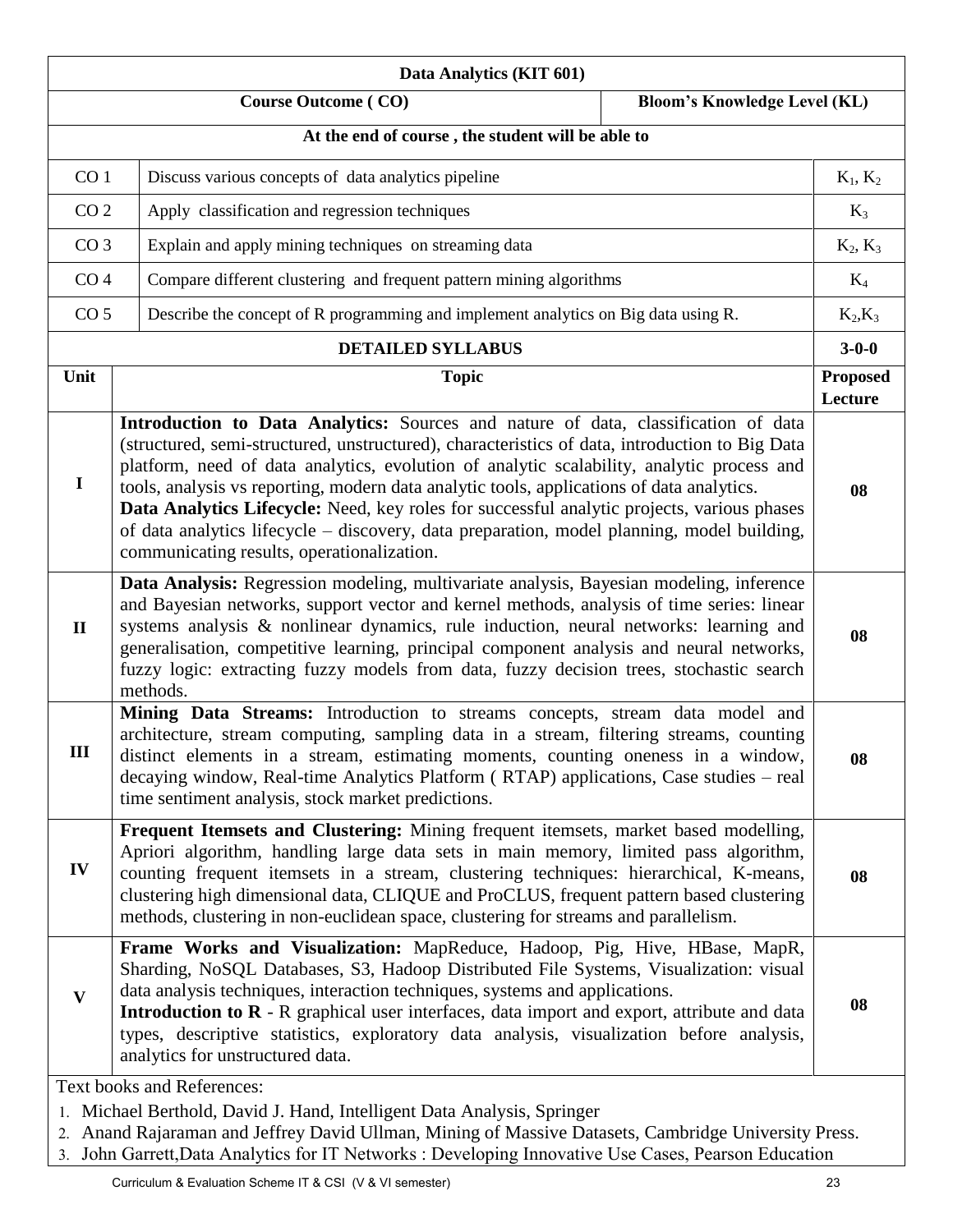| Data Analytics (KIT 601)                                          |                                                                                                                                                                                                                                                                                                                                                                                                                                                                                                                                                                                                                          |  |                            |
|-------------------------------------------------------------------|--------------------------------------------------------------------------------------------------------------------------------------------------------------------------------------------------------------------------------------------------------------------------------------------------------------------------------------------------------------------------------------------------------------------------------------------------------------------------------------------------------------------------------------------------------------------------------------------------------------------------|--|----------------------------|
| <b>Course Outcome (CO)</b><br><b>Bloom's Knowledge Level (KL)</b> |                                                                                                                                                                                                                                                                                                                                                                                                                                                                                                                                                                                                                          |  |                            |
|                                                                   | At the end of course, the student will be able to                                                                                                                                                                                                                                                                                                                                                                                                                                                                                                                                                                        |  |                            |
| CO <sub>1</sub>                                                   | Discuss various concepts of data analytics pipeline                                                                                                                                                                                                                                                                                                                                                                                                                                                                                                                                                                      |  | $K_1, K_2$                 |
| CO <sub>2</sub>                                                   | Apply classification and regression techniques                                                                                                                                                                                                                                                                                                                                                                                                                                                                                                                                                                           |  | $K_3$                      |
| CO <sub>3</sub>                                                   | Explain and apply mining techniques on streaming data                                                                                                                                                                                                                                                                                                                                                                                                                                                                                                                                                                    |  | $K_2, K_3$                 |
| CO <sub>4</sub>                                                   | Compare different clustering and frequent pattern mining algorithms                                                                                                                                                                                                                                                                                                                                                                                                                                                                                                                                                      |  | $K_4$                      |
| CO <sub>5</sub>                                                   | Describe the concept of R programming and implement analytics on Big data using R.                                                                                                                                                                                                                                                                                                                                                                                                                                                                                                                                       |  | $K_2,K_3$                  |
|                                                                   | <b>DETAILED SYLLABUS</b>                                                                                                                                                                                                                                                                                                                                                                                                                                                                                                                                                                                                 |  | $3 - 0 - 0$                |
| Unit                                                              | <b>Topic</b>                                                                                                                                                                                                                                                                                                                                                                                                                                                                                                                                                                                                             |  | <b>Proposed</b><br>Lecture |
| $\mathbf I$                                                       | Introduction to Data Analytics: Sources and nature of data, classification of data<br>(structured, semi-structured, unstructured), characteristics of data, introduction to Big Data<br>platform, need of data analytics, evolution of analytic scalability, analytic process and<br>tools, analysis vs reporting, modern data analytic tools, applications of data analytics.<br>Data Analytics Lifecycle: Need, key roles for successful analytic projects, various phases<br>of data analytics lifecycle – discovery, data preparation, model planning, model building,<br>communicating results, operationalization. |  | 08                         |
| $\mathbf{I}$                                                      | Data Analysis: Regression modeling, multivariate analysis, Bayesian modeling, inference<br>and Bayesian networks, support vector and kernel methods, analysis of time series: linear<br>systems analysis & nonlinear dynamics, rule induction, neural networks: learning and<br>generalisation, competitive learning, principal component analysis and neural networks,<br>fuzzy logic: extracting fuzzy models from data, fuzzy decision trees, stochastic search<br>methods.                                                                                                                                           |  | 08                         |
| Ш                                                                 | Mining Data Streams: Introduction to streams concepts, stream data model and<br>architecture, stream computing, sampling data in a stream, filtering streams, counting<br>distinct elements in a stream, estimating moments, counting oneness in a window,<br>decaying window, Real-time Analytics Platform (RTAP) applications, Case studies – real<br>time sentiment analysis, stock market predictions.                                                                                                                                                                                                               |  | 08                         |
| IV                                                                | Frequent Itemsets and Clustering: Mining frequent itemsets, market based modelling,<br>Apriori algorithm, handling large data sets in main memory, limited pass algorithm,<br>counting frequent itemsets in a stream, clustering techniques: hierarchical, K-means,<br>clustering high dimensional data, CLIQUE and ProCLUS, frequent pattern based clustering<br>methods, clustering in non-euclidean space, clustering for streams and parallelism.                                                                                                                                                                    |  | 08                         |
| $\mathbf{V}$                                                      | Frame Works and Visualization: MapReduce, Hadoop, Pig, Hive, HBase, MapR,<br>Sharding, NoSQL Databases, S3, Hadoop Distributed File Systems, Visualization: visual<br>data analysis techniques, interaction techniques, systems and applications.<br><b>Introduction to <math>\mathbb{R}</math></b> - $\mathbb{R}$ graphical user interfaces, data import and export, attribute and data<br>types, descriptive statistics, exploratory data analysis, visualization before analysis,<br>analytics for unstructured data.                                                                                                 |  | 08                         |
|                                                                   | <b>Text books and References:</b><br>1. Michael Berthold, David J. Hand, Intelligent Data Analysis, Springer<br>2. Anand Rajaraman and Jeffrey David Ullman, Mining of Massive Datasets, Cambridge University Press.<br>3. John Garrett, Data Analytics for IT Networks : Developing Innovative Use Cases, Pearson Education                                                                                                                                                                                                                                                                                             |  |                            |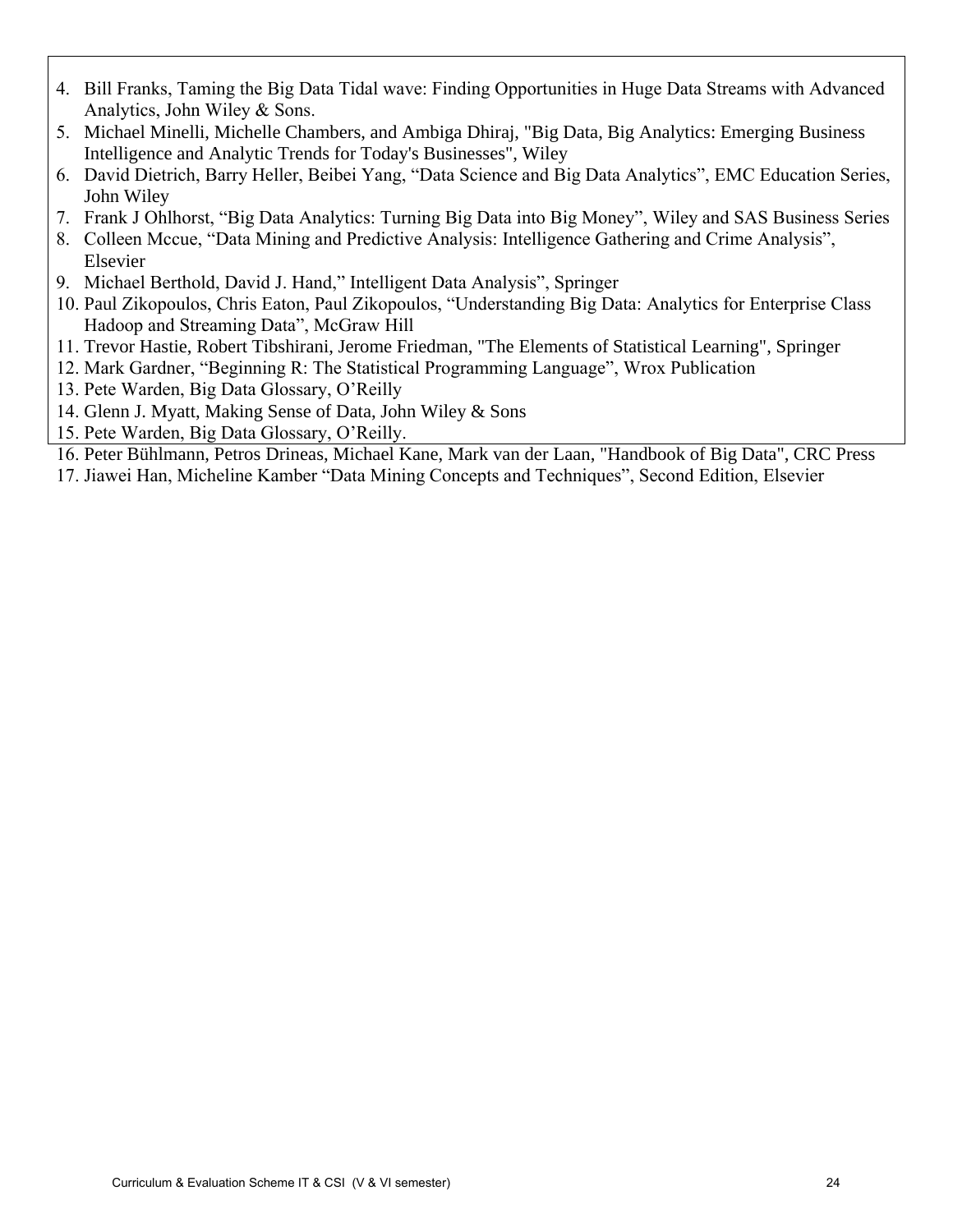- 4. Bill Franks, Taming the Big Data Tidal wave: Finding Opportunities in Huge Data Streams with Advanced Analytics, John Wiley & Sons.
- 5. Michael Minelli, Michelle Chambers, and Ambiga Dhiraj, "Big Data, Big Analytics: Emerging Business Intelligence and Analytic Trends for Today's Businesses", Wiley
- 6. David Dietrich, Barry Heller, Beibei Yang, "Data Science and Big Data Analytics", EMC Education Series, John Wiley
- 7. Frank J Ohlhorst, "Big Data Analytics: Turning Big Data into Big Money", Wiley and SAS Business Series
- 8. Colleen Mccue, "Data Mining and Predictive Analysis: Intelligence Gathering and Crime Analysis", Elsevier
- 9. Michael Berthold, David J. Hand," Intelligent Data Analysis", Springer
- 10. Paul Zikopoulos, Chris Eaton, Paul Zikopoulos, "Understanding Big Data: Analytics for Enterprise Class Hadoop and Streaming Data", McGraw Hill
- 11. Trevor Hastie, Robert Tibshirani, Jerome Friedman, "The Elements of Statistical Learning", Springer
- 12. Mark Gardner, "Beginning R: The Statistical Programming Language", Wrox Publication
- 13. Pete Warden, Big Data Glossary, O'Reilly
- 14. Glenn J. Myatt, Making Sense of Data, John Wiley & Sons
- 15. Pete Warden, Big Data Glossary, O'Reilly.
- 16. Peter Bühlmann, Petros Drineas, Michael Kane, Mark van der Laan, "Handbook of Big Data", CRC Press
- 17. Jiawei Han, Micheline Kamber "Data Mining Concepts and Techniques", Second Edition, Elsevier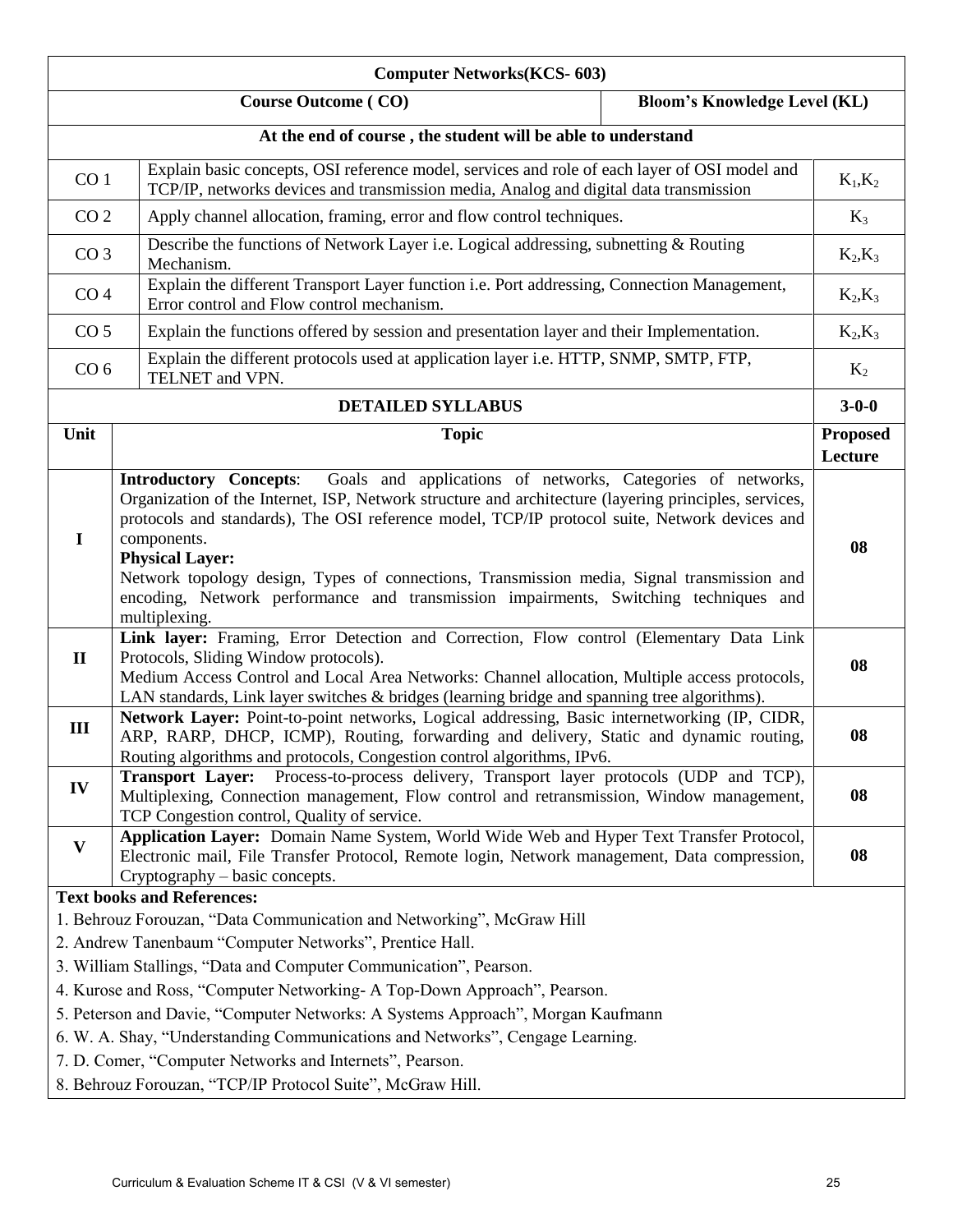| <b>Computer Networks(KCS-603)</b>                                                                                                                                                                                                                                                                                                                                                                                                                                                                                                                                     |                                                                                                                                                                                                                                                                 |                            |  |
|-----------------------------------------------------------------------------------------------------------------------------------------------------------------------------------------------------------------------------------------------------------------------------------------------------------------------------------------------------------------------------------------------------------------------------------------------------------------------------------------------------------------------------------------------------------------------|-----------------------------------------------------------------------------------------------------------------------------------------------------------------------------------------------------------------------------------------------------------------|----------------------------|--|
| <b>Course Outcome (CO)</b><br><b>Bloom's Knowledge Level (KL)</b>                                                                                                                                                                                                                                                                                                                                                                                                                                                                                                     |                                                                                                                                                                                                                                                                 |                            |  |
|                                                                                                                                                                                                                                                                                                                                                                                                                                                                                                                                                                       | At the end of course, the student will be able to understand                                                                                                                                                                                                    |                            |  |
| CO <sub>1</sub>                                                                                                                                                                                                                                                                                                                                                                                                                                                                                                                                                       | Explain basic concepts, OSI reference model, services and role of each layer of OSI model and<br>TCP/IP, networks devices and transmission media, Analog and digital data transmission                                                                          | $K_1,K_2$                  |  |
| CO <sub>2</sub>                                                                                                                                                                                                                                                                                                                                                                                                                                                                                                                                                       | Apply channel allocation, framing, error and flow control techniques.                                                                                                                                                                                           | $K_3$                      |  |
| CO <sub>3</sub>                                                                                                                                                                                                                                                                                                                                                                                                                                                                                                                                                       | Describe the functions of Network Layer i.e. Logical addressing, subnetting $\&$ Routing<br>Mechanism.                                                                                                                                                          | $K_2,K_3$                  |  |
| CO <sub>4</sub>                                                                                                                                                                                                                                                                                                                                                                                                                                                                                                                                                       | Explain the different Transport Layer function i.e. Port addressing, Connection Management,<br>Error control and Flow control mechanism.                                                                                                                        | $K_2,K_3$                  |  |
| CO <sub>5</sub>                                                                                                                                                                                                                                                                                                                                                                                                                                                                                                                                                       | Explain the functions offered by session and presentation layer and their Implementation.                                                                                                                                                                       | $K_2,K_3$                  |  |
| CO <sub>6</sub>                                                                                                                                                                                                                                                                                                                                                                                                                                                                                                                                                       | Explain the different protocols used at application layer i.e. HTTP, SNMP, SMTP, FTP,<br>TELNET and VPN.                                                                                                                                                        | $K_2$                      |  |
|                                                                                                                                                                                                                                                                                                                                                                                                                                                                                                                                                                       | <b>DETAILED SYLLABUS</b>                                                                                                                                                                                                                                        | $3 - 0 - 0$                |  |
| Unit                                                                                                                                                                                                                                                                                                                                                                                                                                                                                                                                                                  | <b>Topic</b>                                                                                                                                                                                                                                                    | <b>Proposed</b><br>Lecture |  |
| Goals and applications of networks, Categories of networks,<br><b>Introductory Concepts:</b><br>Organization of the Internet, ISP, Network structure and architecture (layering principles, services,<br>protocols and standards), The OSI reference model, TCP/IP protocol suite, Network devices and<br>components.<br>$\mathbf I$<br><b>Physical Layer:</b><br>Network topology design, Types of connections, Transmission media, Signal transmission and<br>encoding, Network performance and transmission impairments, Switching techniques and<br>multiplexing. |                                                                                                                                                                                                                                                                 |                            |  |
| Link layer: Framing, Error Detection and Correction, Flow control (Elementary Data Link<br>Protocols, Sliding Window protocols).<br>$\mathbf{I}$<br>Medium Access Control and Local Area Networks: Channel allocation, Multiple access protocols,<br>LAN standards, Link layer switches & bridges (learning bridge and spanning tree algorithms).                                                                                                                                                                                                                     |                                                                                                                                                                                                                                                                 | 08                         |  |
| III                                                                                                                                                                                                                                                                                                                                                                                                                                                                                                                                                                   | Network Layer: Point-to-point networks, Logical addressing, Basic internetworking (IP, CIDR,<br>ARP, RARP, DHCP, ICMP), Routing, forwarding and delivery, Static and dynamic routing,<br>Routing algorithms and protocols, Congestion control algorithms, IPv6. | 08                         |  |
| IV                                                                                                                                                                                                                                                                                                                                                                                                                                                                                                                                                                    | Process-to-process delivery, Transport layer protocols (UDP and TCP),<br><b>Transport Layer:</b><br>Multiplexing, Connection management, Flow control and retransmission, Window management,<br>TCP Congestion control, Quality of service.                     | 08                         |  |
| Application Layer: Domain Name System, World Wide Web and Hyper Text Transfer Protocol,<br>V<br>Electronic mail, File Transfer Protocol, Remote login, Network management, Data compression,<br>Cryptography – basic concepts.                                                                                                                                                                                                                                                                                                                                        |                                                                                                                                                                                                                                                                 |                            |  |
| <b>Text books and References:</b>                                                                                                                                                                                                                                                                                                                                                                                                                                                                                                                                     |                                                                                                                                                                                                                                                                 |                            |  |
| 1. Behrouz Forouzan, "Data Communication and Networking", McGraw Hill                                                                                                                                                                                                                                                                                                                                                                                                                                                                                                 |                                                                                                                                                                                                                                                                 |                            |  |
| 2. Andrew Tanenbaum "Computer Networks", Prentice Hall.                                                                                                                                                                                                                                                                                                                                                                                                                                                                                                               |                                                                                                                                                                                                                                                                 |                            |  |
| 3. William Stallings, "Data and Computer Communication", Pearson.                                                                                                                                                                                                                                                                                                                                                                                                                                                                                                     |                                                                                                                                                                                                                                                                 |                            |  |
| 4. Kurose and Ross, "Computer Networking- A Top-Down Approach", Pearson.                                                                                                                                                                                                                                                                                                                                                                                                                                                                                              |                                                                                                                                                                                                                                                                 |                            |  |
| 5. Peterson and Davie, "Computer Networks: A Systems Approach", Morgan Kaufmann                                                                                                                                                                                                                                                                                                                                                                                                                                                                                       |                                                                                                                                                                                                                                                                 |                            |  |
| 6. W. A. Shay, "Understanding Communications and Networks", Cengage Learning.                                                                                                                                                                                                                                                                                                                                                                                                                                                                                         |                                                                                                                                                                                                                                                                 |                            |  |
| 7. D. Comer, "Computer Networks and Internets", Pearson.                                                                                                                                                                                                                                                                                                                                                                                                                                                                                                              |                                                                                                                                                                                                                                                                 |                            |  |
| 8. Behrouz Forouzan, "TCP/IP Protocol Suite", McGraw Hill.                                                                                                                                                                                                                                                                                                                                                                                                                                                                                                            |                                                                                                                                                                                                                                                                 |                            |  |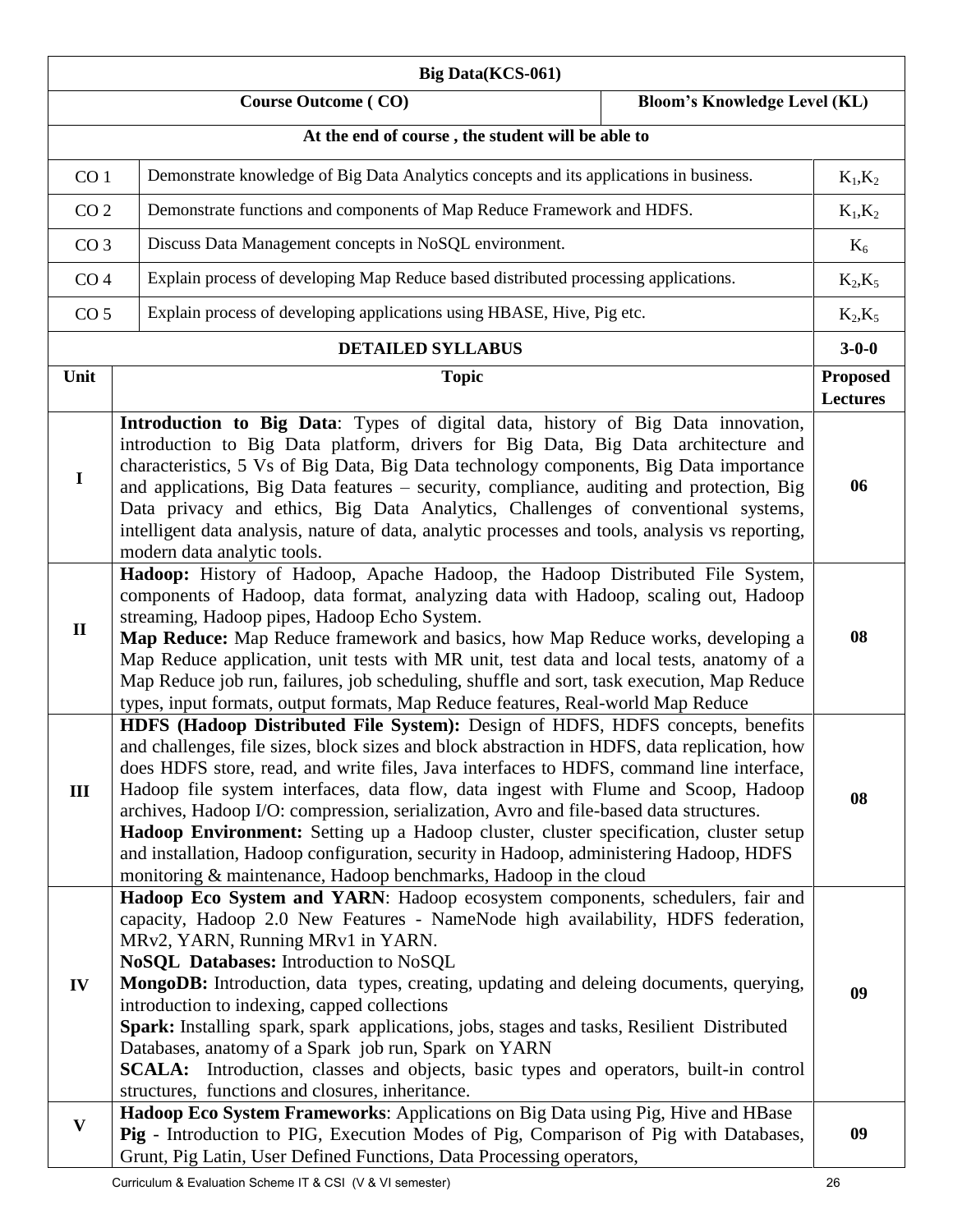|                 | <b>Big Data(KCS-061)</b>                                                                                                                                                                                                                                                                                                                                                                                                                                                                                                                                                                                                                                                                                          |                                    |
|-----------------|-------------------------------------------------------------------------------------------------------------------------------------------------------------------------------------------------------------------------------------------------------------------------------------------------------------------------------------------------------------------------------------------------------------------------------------------------------------------------------------------------------------------------------------------------------------------------------------------------------------------------------------------------------------------------------------------------------------------|------------------------------------|
|                 | <b>Course Outcome (CO)</b><br><b>Bloom's Knowledge Level (KL)</b>                                                                                                                                                                                                                                                                                                                                                                                                                                                                                                                                                                                                                                                 |                                    |
|                 | At the end of course, the student will be able to                                                                                                                                                                                                                                                                                                                                                                                                                                                                                                                                                                                                                                                                 |                                    |
| CO <sub>1</sub> | Demonstrate knowledge of Big Data Analytics concepts and its applications in business.                                                                                                                                                                                                                                                                                                                                                                                                                                                                                                                                                                                                                            | $K_1,K_2$                          |
| CO <sub>2</sub> | Demonstrate functions and components of Map Reduce Framework and HDFS.                                                                                                                                                                                                                                                                                                                                                                                                                                                                                                                                                                                                                                            | $K_1,K_2$                          |
| CO <sub>3</sub> | Discuss Data Management concepts in NoSQL environment.                                                                                                                                                                                                                                                                                                                                                                                                                                                                                                                                                                                                                                                            | $K_6$                              |
| CO <sub>4</sub> | Explain process of developing Map Reduce based distributed processing applications.                                                                                                                                                                                                                                                                                                                                                                                                                                                                                                                                                                                                                               | $K_2,K_5$                          |
| CO <sub>5</sub> | Explain process of developing applications using HBASE, Hive, Pig etc.                                                                                                                                                                                                                                                                                                                                                                                                                                                                                                                                                                                                                                            | $K_2,K_5$                          |
|                 | <b>DETAILED SYLLABUS</b>                                                                                                                                                                                                                                                                                                                                                                                                                                                                                                                                                                                                                                                                                          | $3 - 0 - 0$                        |
| Unit            | <b>Topic</b>                                                                                                                                                                                                                                                                                                                                                                                                                                                                                                                                                                                                                                                                                                      | <b>Proposed</b><br><b>Lectures</b> |
| $\mathbf I$     | Introduction to Big Data: Types of digital data, history of Big Data innovation,<br>introduction to Big Data platform, drivers for Big Data, Big Data architecture and<br>characteristics, 5 Vs of Big Data, Big Data technology components, Big Data importance<br>and applications, Big Data features - security, compliance, auditing and protection, Big<br>Data privacy and ethics, Big Data Analytics, Challenges of conventional systems,<br>intelligent data analysis, nature of data, analytic processes and tools, analysis vs reporting,<br>modern data analytic tools.                                                                                                                                | 06                                 |
| $\mathbf{I}$    | Hadoop: History of Hadoop, Apache Hadoop, the Hadoop Distributed File System,<br>components of Hadoop, data format, analyzing data with Hadoop, scaling out, Hadoop<br>streaming, Hadoop pipes, Hadoop Echo System.<br>Map Reduce: Map Reduce framework and basics, how Map Reduce works, developing a<br>Map Reduce application, unit tests with MR unit, test data and local tests, anatomy of a<br>Map Reduce job run, failures, job scheduling, shuffle and sort, task execution, Map Reduce<br>types, input formats, output formats, Map Reduce features, Real-world Map Reduce                                                                                                                              | 08                                 |
| III             | HDFS (Hadoop Distributed File System): Design of HDFS, HDFS concepts, benefits<br>and challenges, file sizes, block sizes and block abstraction in HDFS, data replication, how<br>does HDFS store, read, and write files, Java interfaces to HDFS, command line interface,<br>Hadoop file system interfaces, data flow, data ingest with Flume and Scoop, Hadoop<br>archives, Hadoop I/O: compression, serialization, Avro and file-based data structures.<br>Hadoop Environment: Setting up a Hadoop cluster, cluster specification, cluster setup<br>and installation, Hadoop configuration, security in Hadoop, administering Hadoop, HDFS<br>monitoring & maintenance, Hadoop benchmarks, Hadoop in the cloud | 08                                 |
| IV              | Hadoop Eco System and YARN: Hadoop ecosystem components, schedulers, fair and<br>capacity, Hadoop 2.0 New Features - NameNode high availability, HDFS federation,<br>MRv2, YARN, Running MRv1 in YARN.<br>NoSQL Databases: Introduction to NoSQL<br>MongoDB: Introduction, data types, creating, updating and deleing documents, querying,<br>introduction to indexing, capped collections<br>Spark: Installing spark, spark applications, jobs, stages and tasks, Resilient Distributed<br>Databases, anatomy of a Spark job run, Spark on YARN<br>SCALA: Introduction, classes and objects, basic types and operators, built-in control<br>structures, functions and closures, inheritance.                     | 09                                 |
| $\mathbf{V}$    | Hadoop Eco System Frameworks: Applications on Big Data using Pig, Hive and HBase<br>Pig - Introduction to PIG, Execution Modes of Pig, Comparison of Pig with Databases,<br>Grunt, Pig Latin, User Defined Functions, Data Processing operators,                                                                                                                                                                                                                                                                                                                                                                                                                                                                  | 09                                 |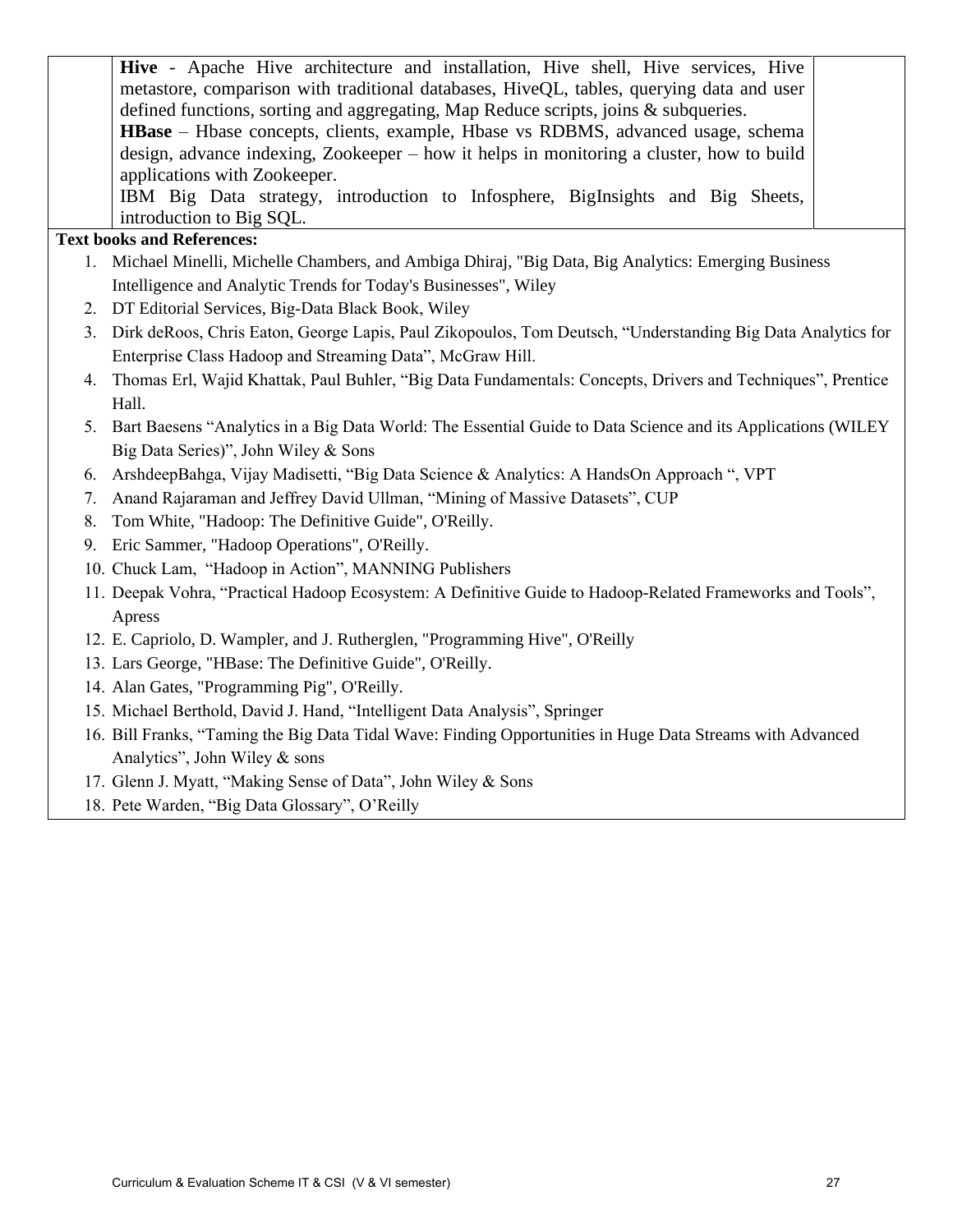|    | Hive - Apache Hive architecture and installation, Hive shell, Hive services, Hive                            |
|----|--------------------------------------------------------------------------------------------------------------|
|    | metastore, comparison with traditional databases, HiveQL, tables, querying data and user                     |
|    | defined functions, sorting and aggregating, Map Reduce scripts, joins & subqueries.                          |
|    | <b>HBase</b> – Hbase concepts, clients, example, Hbase vs RDBMS, advanced usage, schema                      |
|    | design, advance indexing, Zookeeper – how it helps in monitoring a cluster, how to build                     |
|    | applications with Zookeeper.                                                                                 |
|    | IBM Big Data strategy, introduction to Infosphere, BigInsights and Big Sheets,                               |
|    | introduction to Big SQL.                                                                                     |
|    | <b>Text books and References:</b>                                                                            |
|    | 1. Michael Minelli, Michelle Chambers, and Ambiga Dhiraj, "Big Data, Big Analytics: Emerging Business        |
|    | Intelligence and Analytic Trends for Today's Businesses", Wiley                                              |
|    | 2. DT Editorial Services, Big-Data Black Book, Wiley                                                         |
| 3. | Dirk deRoos, Chris Eaton, George Lapis, Paul Zikopoulos, Tom Deutsch, "Understanding Big Data Analytics for  |
|    | Enterprise Class Hadoop and Streaming Data", McGraw Hill.                                                    |
| 4. | Thomas Erl, Wajid Khattak, Paul Buhler, "Big Data Fundamentals: Concepts, Drivers and Techniques", Prentice  |
|    | Hall.                                                                                                        |
| 5. | Bart Baesens "Analytics in a Big Data World: The Essential Guide to Data Science and its Applications (WILEY |
|    | Big Data Series)", John Wiley & Sons                                                                         |
| 6. | ArshdeepBahga, Vijay Madisetti, "Big Data Science & Analytics: A HandsOn Approach ", VPT                     |
| 7. | Anand Rajaraman and Jeffrey David Ullman, "Mining of Massive Datasets", CUP                                  |
| 8. | Tom White, "Hadoop: The Definitive Guide", O'Reilly.                                                         |
| 9. | Eric Sammer, "Hadoop Operations", O'Reilly.                                                                  |
|    | 10. Chuck Lam, "Hadoop in Action", MANNING Publishers                                                        |
|    | 11. Deepak Vohra, "Practical Hadoop Ecosystem: A Definitive Guide to Hadoop-Related Frameworks and Tools",   |
|    | Apress                                                                                                       |
|    | 12. E. Capriolo, D. Wampler, and J. Rutherglen, "Programming Hive", O'Reilly                                 |
|    | 13. Lars George, "HBase: The Definitive Guide", O'Reilly.                                                    |
|    |                                                                                                              |

- 14. Alan Gates, "Programming Pig", O'Reilly.
- 15. Michael Berthold, David J. Hand, "Intelligent Data Analysis", Springer
- 16. Bill Franks, "Taming the Big Data Tidal Wave: Finding Opportunities in Huge Data Streams with Advanced Analytics", John Wiley & sons
- 17. Glenn J. Myatt, "Making Sense of Data", John Wiley & Sons
- 18. Pete Warden, "Big Data Glossary", O'Reilly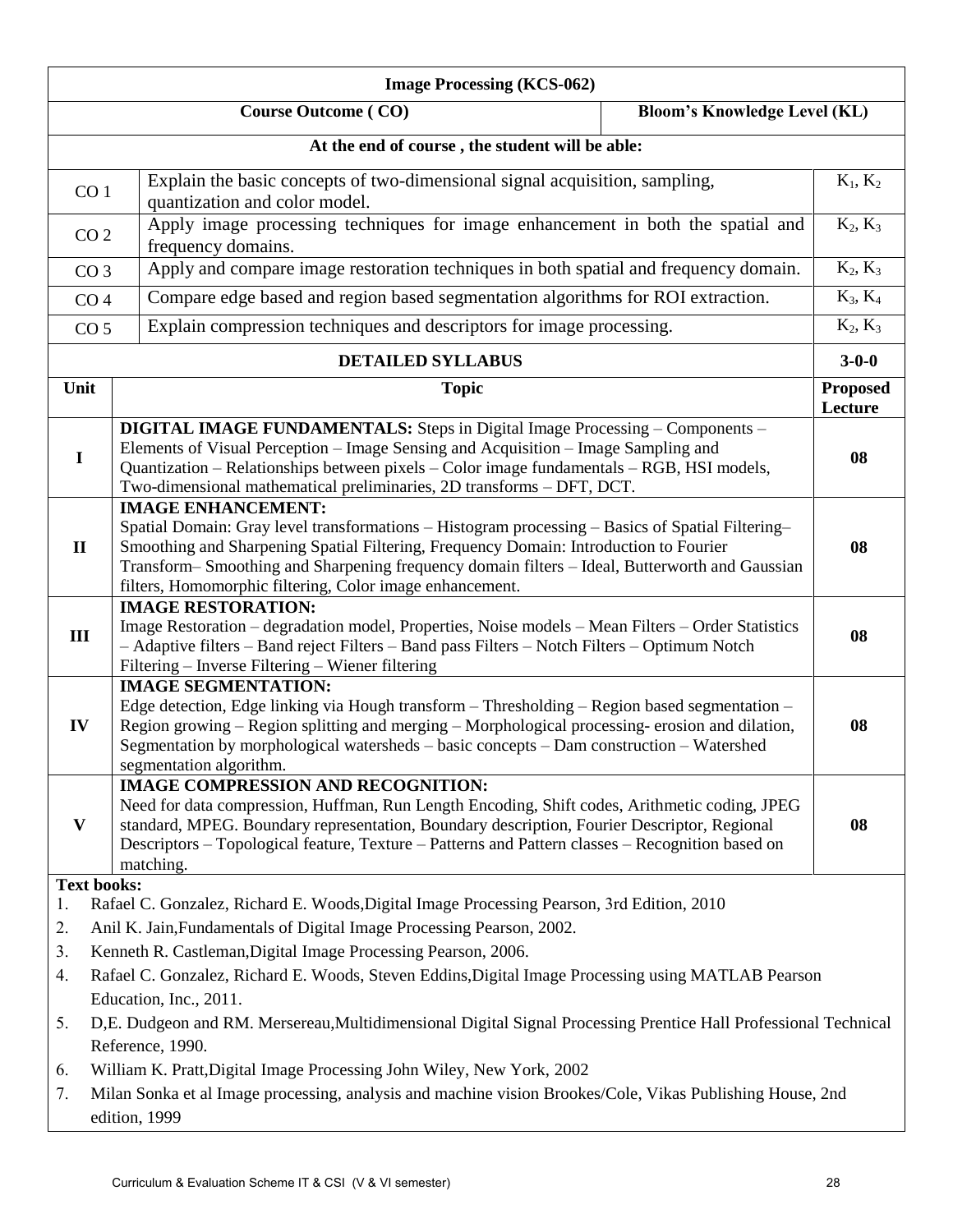|                                                                                                          | <b>Image Processing (KCS-062)</b>                                                                                                                                                                                                                                                                                                                                                   |                            |  |  |
|----------------------------------------------------------------------------------------------------------|-------------------------------------------------------------------------------------------------------------------------------------------------------------------------------------------------------------------------------------------------------------------------------------------------------------------------------------------------------------------------------------|----------------------------|--|--|
|                                                                                                          | <b>Course Outcome (CO)</b><br><b>Bloom's Knowledge Level (KL)</b>                                                                                                                                                                                                                                                                                                                   |                            |  |  |
|                                                                                                          | At the end of course, the student will be able:                                                                                                                                                                                                                                                                                                                                     |                            |  |  |
| CO <sub>1</sub>                                                                                          | Explain the basic concepts of two-dimensional signal acquisition, sampling,<br>quantization and color model.                                                                                                                                                                                                                                                                        | $K_1, K_2$                 |  |  |
| CO <sub>2</sub>                                                                                          | Apply image processing techniques for image enhancement in both the spatial and<br>frequency domains.                                                                                                                                                                                                                                                                               | $K_2, K_3$                 |  |  |
| CO <sub>3</sub>                                                                                          | Apply and compare image restoration techniques in both spatial and frequency domain.                                                                                                                                                                                                                                                                                                | $K_2, K_3$                 |  |  |
| CO <sub>4</sub>                                                                                          | Compare edge based and region based segmentation algorithms for ROI extraction.                                                                                                                                                                                                                                                                                                     | $K_3, K_4$                 |  |  |
| CO <sub>5</sub>                                                                                          | Explain compression techniques and descriptors for image processing.                                                                                                                                                                                                                                                                                                                | $K_2, K_3$                 |  |  |
|                                                                                                          | <b>DETAILED SYLLABUS</b>                                                                                                                                                                                                                                                                                                                                                            | $3 - 0 - 0$                |  |  |
| Unit                                                                                                     | <b>Topic</b>                                                                                                                                                                                                                                                                                                                                                                        | <b>Proposed</b><br>Lecture |  |  |
| $\mathbf I$                                                                                              | DIGITAL IMAGE FUNDAMENTALS: Steps in Digital Image Processing - Components -<br>Elements of Visual Perception – Image Sensing and Acquisition – Image Sampling and<br>Quantization – Relationships between pixels – Color image fundamentals – RGB, HSI models,<br>Two-dimensional mathematical preliminaries, 2D transforms - DFT, DCT.                                            | 08                         |  |  |
| $\mathbf{I}$                                                                                             | <b>IMAGE ENHANCEMENT:</b><br>Spatial Domain: Gray level transformations - Histogram processing - Basics of Spatial Filtering-<br>Smoothing and Sharpening Spatial Filtering, Frequency Domain: Introduction to Fourier<br>Transform-Smoothing and Sharpening frequency domain filters - Ideal, Butterworth and Gaussian<br>filters, Homomorphic filtering, Color image enhancement. | 08                         |  |  |
| III                                                                                                      | <b>IMAGE RESTORATION:</b><br>Image Restoration – degradation model, Properties, Noise models – Mean Filters – Order Statistics<br>- Adaptive filters - Band reject Filters - Band pass Filters - Notch Filters - Optimum Notch<br>Filtering - Inverse Filtering - Wiener filtering                                                                                                  | 08                         |  |  |
| IV                                                                                                       | <b>IMAGE SEGMENTATION:</b><br>Edge detection, Edge linking via Hough transform $-$ Thresholding $-$ Region based segmentation $-$<br>Region growing – Region splitting and merging – Morphological processing-erosion and dilation,<br>Segmentation by morphological watersheds - basic concepts - Dam construction - Watershed<br>segmentation algorithm.                          | 08                         |  |  |
| $\mathbf{V}$                                                                                             | <b>IMAGE COMPRESSION AND RECOGNITION:</b><br>Need for data compression, Huffman, Run Length Encoding, Shift codes, Arithmetic coding, JPEG<br>standard, MPEG. Boundary representation, Boundary description, Fourier Descriptor, Regional<br>Descriptors - Topological feature, Texture - Patterns and Pattern classes - Recognition based on<br>matching.                          | 08                         |  |  |
| <b>Text books:</b>                                                                                       |                                                                                                                                                                                                                                                                                                                                                                                     |                            |  |  |
|                                                                                                          | Rafael C. Gonzalez, Richard E. Woods, Digital Image Processing Pearson, 3rd Edition, 2010<br>1.<br>Anil K. Jain, Fundamentals of Digital Image Processing Pearson, 2002.<br>2.                                                                                                                                                                                                      |                            |  |  |
| Kenneth R. Castleman, Digital Image Processing Pearson, 2006.<br>3.                                      |                                                                                                                                                                                                                                                                                                                                                                                     |                            |  |  |
| Rafael C. Gonzalez, Richard E. Woods, Steven Eddins, Digital Image Processing using MATLAB Pearson<br>4. |                                                                                                                                                                                                                                                                                                                                                                                     |                            |  |  |
|                                                                                                          | Education, Inc., 2011.                                                                                                                                                                                                                                                                                                                                                              |                            |  |  |
| 5.                                                                                                       | D,E. Dudgeon and RM. Mersereau, Multidimensional Digital Signal Processing Prentice Hall Professional Technical<br>Reference, 1990.                                                                                                                                                                                                                                                 |                            |  |  |
| 6.                                                                                                       | William K. Pratt, Digital Image Processing John Wiley, New York, 2002                                                                                                                                                                                                                                                                                                               |                            |  |  |
| 7.                                                                                                       | Milan Sonka et al Image processing, analysis and machine vision Brookes/Cole, Vikas Publishing House, 2nd<br>edition, 1999                                                                                                                                                                                                                                                          |                            |  |  |
|                                                                                                          |                                                                                                                                                                                                                                                                                                                                                                                     |                            |  |  |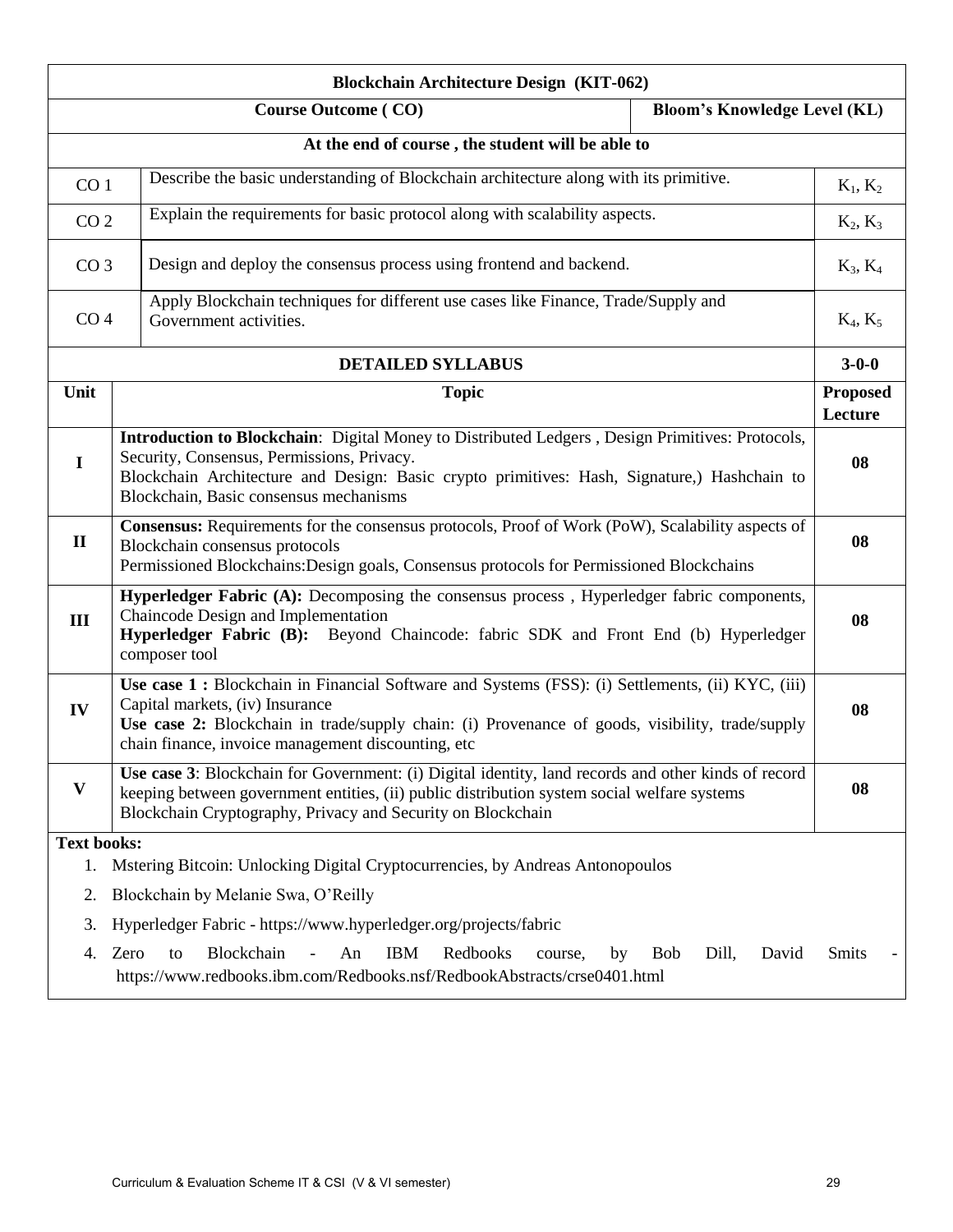| <b>Blockchain Architecture Design (KIT-062)</b>   |                                                                                                                                                                                                                                                                                               |                            |
|---------------------------------------------------|-----------------------------------------------------------------------------------------------------------------------------------------------------------------------------------------------------------------------------------------------------------------------------------------------|----------------------------|
|                                                   | <b>Bloom's Knowledge Level (KL)</b><br><b>Course Outcome (CO)</b>                                                                                                                                                                                                                             |                            |
| At the end of course, the student will be able to |                                                                                                                                                                                                                                                                                               |                            |
| CO <sub>1</sub>                                   | Describe the basic understanding of Blockchain architecture along with its primitive.                                                                                                                                                                                                         |                            |
| CO <sub>2</sub>                                   | Explain the requirements for basic protocol along with scalability aspects.                                                                                                                                                                                                                   | $K_2, K_3$                 |
| CO <sub>3</sub>                                   | Design and deploy the consensus process using frontend and backend.                                                                                                                                                                                                                           | $K_3, K_4$                 |
|                                                   | Apply Blockchain techniques for different use cases like Finance, Trade/Supply and<br>CO <sub>4</sub><br>Government activities.                                                                                                                                                               |                            |
|                                                   | <b>DETAILED SYLLABUS</b>                                                                                                                                                                                                                                                                      | $3 - 0 - 0$                |
| Unit                                              | <b>Topic</b>                                                                                                                                                                                                                                                                                  | <b>Proposed</b><br>Lecture |
| $\mathbf I$                                       | Introduction to Blockchain: Digital Money to Distributed Ledgers, Design Primitives: Protocols,<br>Security, Consensus, Permissions, Privacy.<br>Blockchain Architecture and Design: Basic crypto primitives: Hash, Signature,) Hashchain to<br>Blockchain, Basic consensus mechanisms        | 08                         |
| $\mathbf{I}$                                      | Consensus: Requirements for the consensus protocols, Proof of Work (PoW), Scalability aspects of<br>Blockchain consensus protocols<br>Permissioned Blockchains: Design goals, Consensus protocols for Permissioned Blockchains                                                                |                            |
| III                                               | Hyperledger Fabric (A): Decomposing the consensus process, Hyperledger fabric components,<br>Chaincode Design and Implementation<br>Hyperledger Fabric (B): Beyond Chaincode: fabric SDK and Front End (b) Hyperledger<br>composer tool                                                       | 08                         |
| IV                                                | Use case 1 : Blockchain in Financial Software and Systems (FSS): (i) Settlements, (ii) KYC, (iii)<br>Capital markets, (iv) Insurance<br>Use case 2: Blockchain in trade/supply chain: (i) Provenance of goods, visibility, trade/supply<br>chain finance, invoice management discounting, etc | 08                         |
| V                                                 | Use case 3: Blockchain for Government: (i) Digital identity, land records and other kinds of record<br>keeping between government entities, (ii) public distribution system social welfare systems<br>Blockchain Cryptography, Privacy and Security on Blockchain                             | 08                         |
| <b>Text books:</b>                                |                                                                                                                                                                                                                                                                                               |                            |
| 1.                                                | Mstering Bitcoin: Unlocking Digital Cryptocurrencies, by Andreas Antonopoulos                                                                                                                                                                                                                 |                            |
| Blockchain by Melanie Swa, O'Reilly<br>2.         |                                                                                                                                                                                                                                                                                               |                            |
| 3.                                                | Hyperledger Fabric - https://www.hyperledger.org/projects/fabric                                                                                                                                                                                                                              |                            |
| 4.                                                | Blockchain<br><b>IBM</b><br>Redbooks<br>Zero<br>An<br>Dill,<br>David<br><b>Bob</b><br>to<br>by<br>course,<br>https://www.redbooks.ibm.com/Redbooks.nsf/RedbookAbstracts/crse0401.html                                                                                                         | <b>Smits</b>               |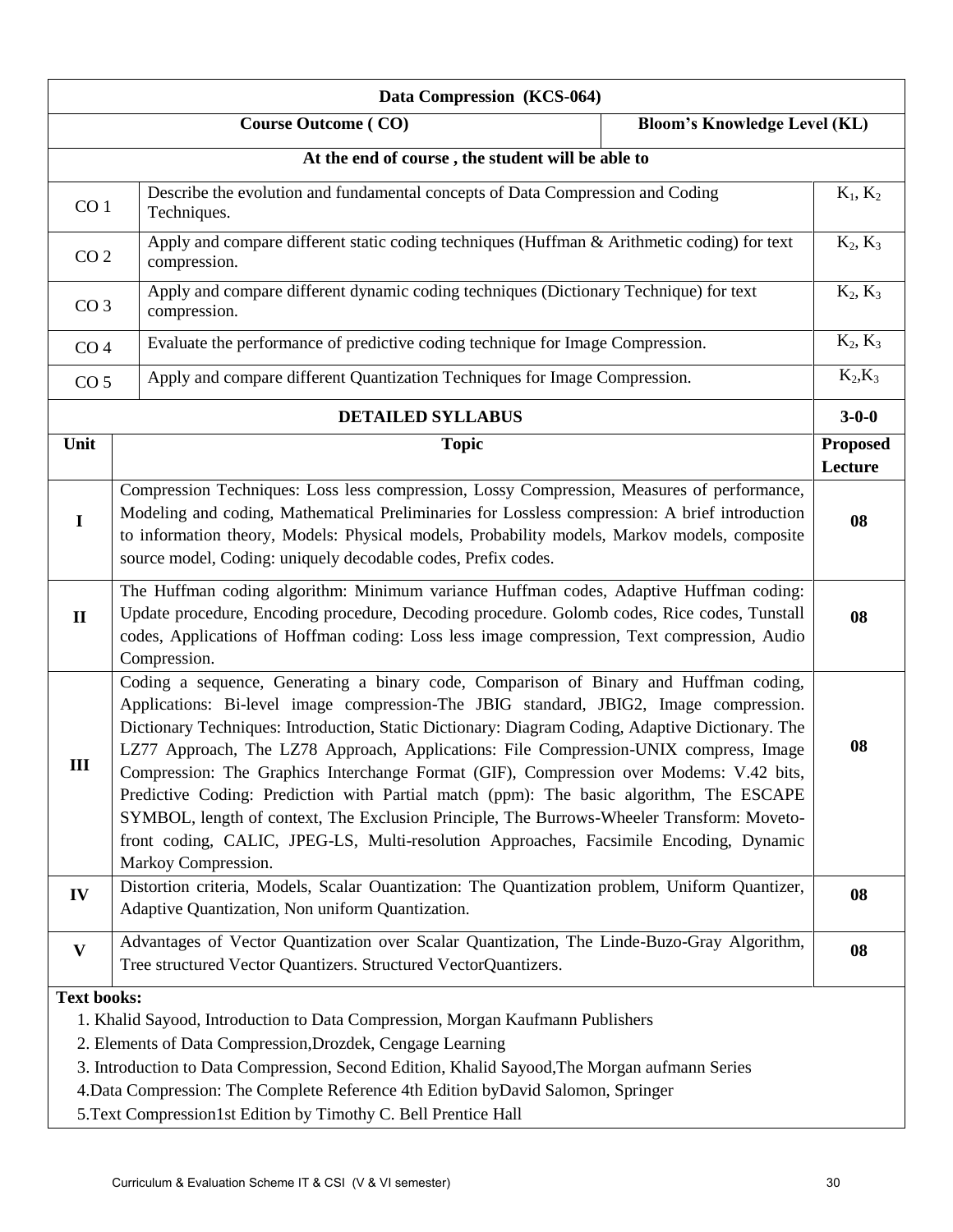| Data Compression (KCS-064)                                        |                                                                                                                                                                                                                                                                                                                                                                                                                                                                                                                                                                                                                                                                                                                                                                                  |  |                            |
|-------------------------------------------------------------------|----------------------------------------------------------------------------------------------------------------------------------------------------------------------------------------------------------------------------------------------------------------------------------------------------------------------------------------------------------------------------------------------------------------------------------------------------------------------------------------------------------------------------------------------------------------------------------------------------------------------------------------------------------------------------------------------------------------------------------------------------------------------------------|--|----------------------------|
| <b>Bloom's Knowledge Level (KL)</b><br><b>Course Outcome (CO)</b> |                                                                                                                                                                                                                                                                                                                                                                                                                                                                                                                                                                                                                                                                                                                                                                                  |  |                            |
|                                                                   | At the end of course, the student will be able to                                                                                                                                                                                                                                                                                                                                                                                                                                                                                                                                                                                                                                                                                                                                |  |                            |
| CO <sub>1</sub>                                                   | Describe the evolution and fundamental concepts of Data Compression and Coding<br>Techniques.                                                                                                                                                                                                                                                                                                                                                                                                                                                                                                                                                                                                                                                                                    |  | $K_1, K_2$                 |
| CO <sub>2</sub>                                                   | Apply and compare different static coding techniques (Huffman & Arithmetic coding) for text<br>compression.                                                                                                                                                                                                                                                                                                                                                                                                                                                                                                                                                                                                                                                                      |  | $K_2, K_3$                 |
| CO <sub>3</sub>                                                   | Apply and compare different dynamic coding techniques (Dictionary Technique) for text<br>compression.                                                                                                                                                                                                                                                                                                                                                                                                                                                                                                                                                                                                                                                                            |  | $K_2, K_3$                 |
| CO <sub>4</sub>                                                   | Evaluate the performance of predictive coding technique for Image Compression.                                                                                                                                                                                                                                                                                                                                                                                                                                                                                                                                                                                                                                                                                                   |  | $K_2, K_3$                 |
| CO <sub>5</sub>                                                   | Apply and compare different Quantization Techniques for Image Compression.                                                                                                                                                                                                                                                                                                                                                                                                                                                                                                                                                                                                                                                                                                       |  | $K_2,K_3$                  |
|                                                                   | <b>DETAILED SYLLABUS</b>                                                                                                                                                                                                                                                                                                                                                                                                                                                                                                                                                                                                                                                                                                                                                         |  | $3 - 0 - 0$                |
| Unit                                                              | <b>Topic</b>                                                                                                                                                                                                                                                                                                                                                                                                                                                                                                                                                                                                                                                                                                                                                                     |  | <b>Proposed</b><br>Lecture |
| $\mathbf I$                                                       | Compression Techniques: Loss less compression, Lossy Compression, Measures of performance,<br>Modeling and coding, Mathematical Preliminaries for Lossless compression: A brief introduction<br>to information theory, Models: Physical models, Probability models, Markov models, composite<br>source model, Coding: uniquely decodable codes, Prefix codes.                                                                                                                                                                                                                                                                                                                                                                                                                    |  | 08                         |
| $\mathbf{I}$                                                      | The Huffman coding algorithm: Minimum variance Huffman codes, Adaptive Huffman coding:<br>Update procedure, Encoding procedure, Decoding procedure. Golomb codes, Rice codes, Tunstall<br>codes, Applications of Hoffman coding: Loss less image compression, Text compression, Audio<br>Compression.                                                                                                                                                                                                                                                                                                                                                                                                                                                                            |  | 08                         |
| III                                                               | Coding a sequence, Generating a binary code, Comparison of Binary and Huffman coding,<br>Applications: Bi-level image compression-The JBIG standard, JBIG2, Image compression.<br>Dictionary Techniques: Introduction, Static Dictionary: Diagram Coding, Adaptive Dictionary. The<br>LZ77 Approach, The LZ78 Approach, Applications: File Compression-UNIX compress, Image<br>Compression: The Graphics Interchange Format (GIF), Compression over Modems: V.42 bits,<br>Predictive Coding: Prediction with Partial match (ppm): The basic algorithm, The ESCAPE<br>SYMBOL, length of context, The Exclusion Principle, The Burrows-Wheeler Transform: Moveto-<br>front coding, CALIC, JPEG-LS, Multi-resolution Approaches, Facsimile Encoding, Dynamic<br>Markoy Compression. |  | 08                         |
| IV                                                                | Distortion criteria, Models, Scalar Ouantization: The Quantization problem, Uniform Quantizer,<br>Adaptive Quantization, Non uniform Quantization.                                                                                                                                                                                                                                                                                                                                                                                                                                                                                                                                                                                                                               |  | 08                         |
| $\mathbf{V}$                                                      | Advantages of Vector Quantization over Scalar Quantization, The Linde-Buzo-Gray Algorithm,<br>Tree structured Vector Quantizers. Structured VectorQuantizers.                                                                                                                                                                                                                                                                                                                                                                                                                                                                                                                                                                                                                    |  | 08                         |
| <b>Text books:</b>                                                | 1. Khalid Sayood, Introduction to Data Compression, Morgan Kaufmann Publishers<br>2. Elements of Data Compression, Drozdek, Cengage Learning<br>3. Introduction to Data Compression, Second Edition, Khalid Sayood, The Morgan aufmann Series<br>4. Data Compression: The Complete Reference 4th Edition by David Salomon, Springer<br>5. Text Compression1st Edition by Timothy C. Bell Prentice Hall                                                                                                                                                                                                                                                                                                                                                                           |  |                            |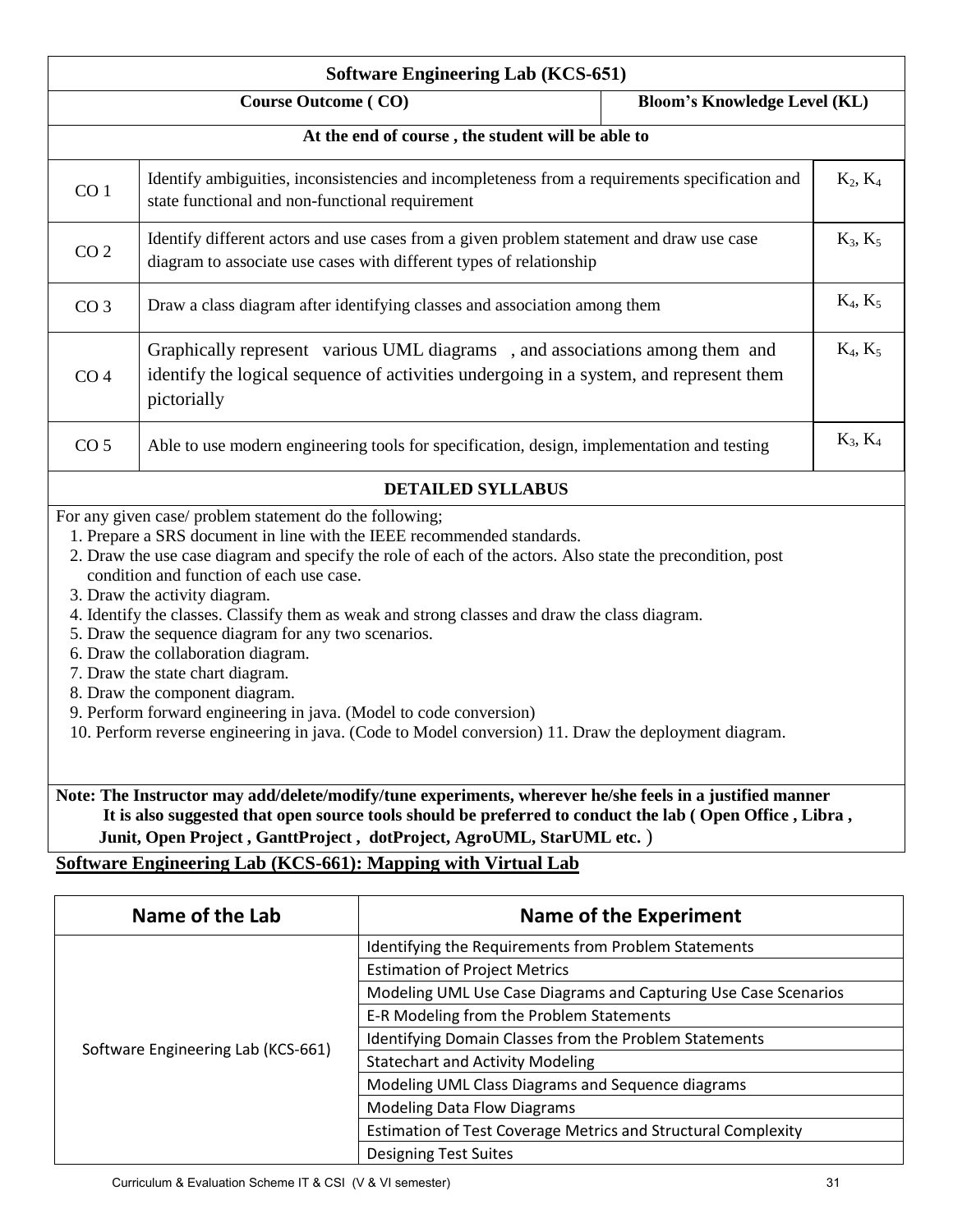| <b>Software Engineering Lab (KCS-651)</b> |                                                                                                                                                                                                                                                                                                                                                                                                                                                                                                                                                                                                                                                                                                                                                                                |                                     |            |
|-------------------------------------------|--------------------------------------------------------------------------------------------------------------------------------------------------------------------------------------------------------------------------------------------------------------------------------------------------------------------------------------------------------------------------------------------------------------------------------------------------------------------------------------------------------------------------------------------------------------------------------------------------------------------------------------------------------------------------------------------------------------------------------------------------------------------------------|-------------------------------------|------------|
|                                           | <b>Course Outcome (CO)</b>                                                                                                                                                                                                                                                                                                                                                                                                                                                                                                                                                                                                                                                                                                                                                     | <b>Bloom's Knowledge Level (KL)</b> |            |
|                                           | At the end of course, the student will be able to                                                                                                                                                                                                                                                                                                                                                                                                                                                                                                                                                                                                                                                                                                                              |                                     |            |
| CO <sub>1</sub>                           | Identify ambiguities, inconsistencies and incompleteness from a requirements specification and<br>state functional and non-functional requirement                                                                                                                                                                                                                                                                                                                                                                                                                                                                                                                                                                                                                              |                                     | $K_2, K_4$ |
| CO <sub>2</sub>                           | Identify different actors and use cases from a given problem statement and draw use case<br>diagram to associate use cases with different types of relationship                                                                                                                                                                                                                                                                                                                                                                                                                                                                                                                                                                                                                |                                     | $K_3, K_5$ |
| CO <sub>3</sub>                           | Draw a class diagram after identifying classes and association among them                                                                                                                                                                                                                                                                                                                                                                                                                                                                                                                                                                                                                                                                                                      |                                     | $K_4, K_5$ |
| CO <sub>4</sub>                           | Graphically represent various UML diagrams, and associations among them and<br>identify the logical sequence of activities undergoing in a system, and represent them<br>pictorially                                                                                                                                                                                                                                                                                                                                                                                                                                                                                                                                                                                           |                                     | $K_4, K_5$ |
| CO <sub>5</sub>                           | Able to use modern engineering tools for specification, design, implementation and testing                                                                                                                                                                                                                                                                                                                                                                                                                                                                                                                                                                                                                                                                                     |                                     | $K_3, K_4$ |
|                                           | <b>DETAILED SYLLABUS</b>                                                                                                                                                                                                                                                                                                                                                                                                                                                                                                                                                                                                                                                                                                                                                       |                                     |            |
|                                           | For any given case/ problem statement do the following;<br>1. Prepare a SRS document in line with the IEEE recommended standards.<br>2. Draw the use case diagram and specify the role of each of the actors. Also state the precondition, post<br>condition and function of each use case.<br>3. Draw the activity diagram.<br>4. Identify the classes. Classify them as weak and strong classes and draw the class diagram.<br>5. Draw the sequence diagram for any two scenarios.<br>6. Draw the collaboration diagram.<br>7. Draw the state chart diagram.<br>8. Draw the component diagram.<br>9. Perform forward engineering in java. (Model to code conversion)<br>10. Perform reverse engineering in java. (Code to Model conversion) 11. Draw the deployment diagram. |                                     |            |
|                                           | Note: The Instructor may add/delete/modify/tune experiments, wherever he/she feels in a justified manner<br>It is also suggested that open source tools should be preferred to conduct the lab (Open Office, Libra,<br>Junit, Open Project, GanttProject, dotProject, AgroUML, StarUML etc.)                                                                                                                                                                                                                                                                                                                                                                                                                                                                                   |                                     |            |

# **Software Engineering Lab (KCS-661): Mapping with Virtual Lab**

| Name of the Lab                    | Name of the Experiment                                               |
|------------------------------------|----------------------------------------------------------------------|
|                                    | Identifying the Requirements from Problem Statements                 |
|                                    | <b>Estimation of Project Metrics</b>                                 |
|                                    | Modeling UML Use Case Diagrams and Capturing Use Case Scenarios      |
|                                    | E-R Modeling from the Problem Statements                             |
| Software Engineering Lab (KCS-661) | Identifying Domain Classes from the Problem Statements               |
|                                    | <b>Statechart and Activity Modeling</b>                              |
|                                    | Modeling UML Class Diagrams and Sequence diagrams                    |
|                                    | <b>Modeling Data Flow Diagrams</b>                                   |
|                                    | <b>Estimation of Test Coverage Metrics and Structural Complexity</b> |
|                                    | <b>Designing Test Suites</b>                                         |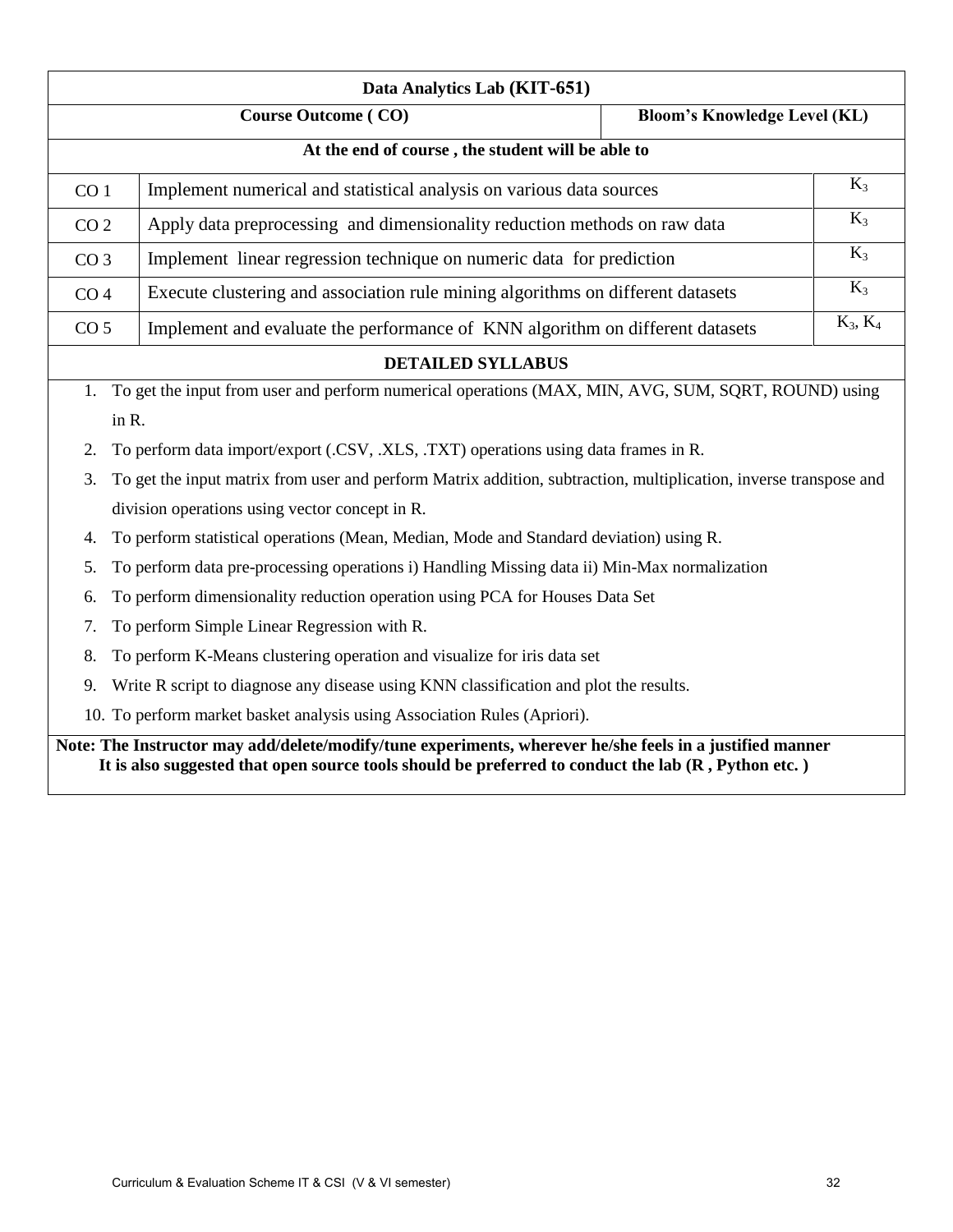| Data Analytics Lab (KIT-651)                                                                                            |                                                                                                     |                                     |                                                                                     |  |
|-------------------------------------------------------------------------------------------------------------------------|-----------------------------------------------------------------------------------------------------|-------------------------------------|-------------------------------------------------------------------------------------|--|
|                                                                                                                         | <b>Course Outcome (CO)</b>                                                                          | <b>Bloom's Knowledge Level (KL)</b> |                                                                                     |  |
| At the end of course, the student will be able to                                                                       |                                                                                                     |                                     |                                                                                     |  |
| CO <sub>1</sub>                                                                                                         | Implement numerical and statistical analysis on various data sources                                |                                     | $K_3$                                                                               |  |
| CO <sub>2</sub>                                                                                                         | Apply data preprocessing and dimensionality reduction methods on raw data                           |                                     | $K_3$                                                                               |  |
| CO <sub>3</sub>                                                                                                         | Implement linear regression technique on numeric data for prediction                                |                                     | $K_3$                                                                               |  |
| CO <sub>4</sub>                                                                                                         | Execute clustering and association rule mining algorithms on different datasets                     |                                     | $K_3$                                                                               |  |
| CO <sub>5</sub>                                                                                                         | Implement and evaluate the performance of KNN algorithm on different datasets                       |                                     | $K_3, K_4$                                                                          |  |
|                                                                                                                         | <b>DETAILED SYLLABUS</b>                                                                            |                                     |                                                                                     |  |
| 1.                                                                                                                      | To get the input from user and perform numerical operations (MAX, MIN, AVG, SUM, SQRT, ROUND) using |                                     |                                                                                     |  |
| in R.                                                                                                                   |                                                                                                     |                                     |                                                                                     |  |
| 2.                                                                                                                      |                                                                                                     |                                     | To perform data import/export (.CSV, .XLS, .TXT) operations using data frames in R. |  |
| To get the input matrix from user and perform Matrix addition, subtraction, multiplication, inverse transpose and<br>3. |                                                                                                     |                                     |                                                                                     |  |
| division operations using vector concept in R.                                                                          |                                                                                                     |                                     |                                                                                     |  |
| To perform statistical operations (Mean, Median, Mode and Standard deviation) using R.<br>4.                            |                                                                                                     |                                     |                                                                                     |  |
|                                                                                                                         |                                                                                                     |                                     |                                                                                     |  |
| 5.                                                                                                                      | To perform data pre-processing operations i) Handling Missing data ii) Min-Max normalization        |                                     |                                                                                     |  |
| 6.                                                                                                                      | To perform dimensionality reduction operation using PCA for Houses Data Set                         |                                     |                                                                                     |  |
| 7.                                                                                                                      | To perform Simple Linear Regression with R.                                                         |                                     |                                                                                     |  |
| 8.                                                                                                                      | To perform K-Means clustering operation and visualize for iris data set                             |                                     |                                                                                     |  |
| 9.                                                                                                                      | Write R script to diagnose any disease using KNN classification and plot the results.               |                                     |                                                                                     |  |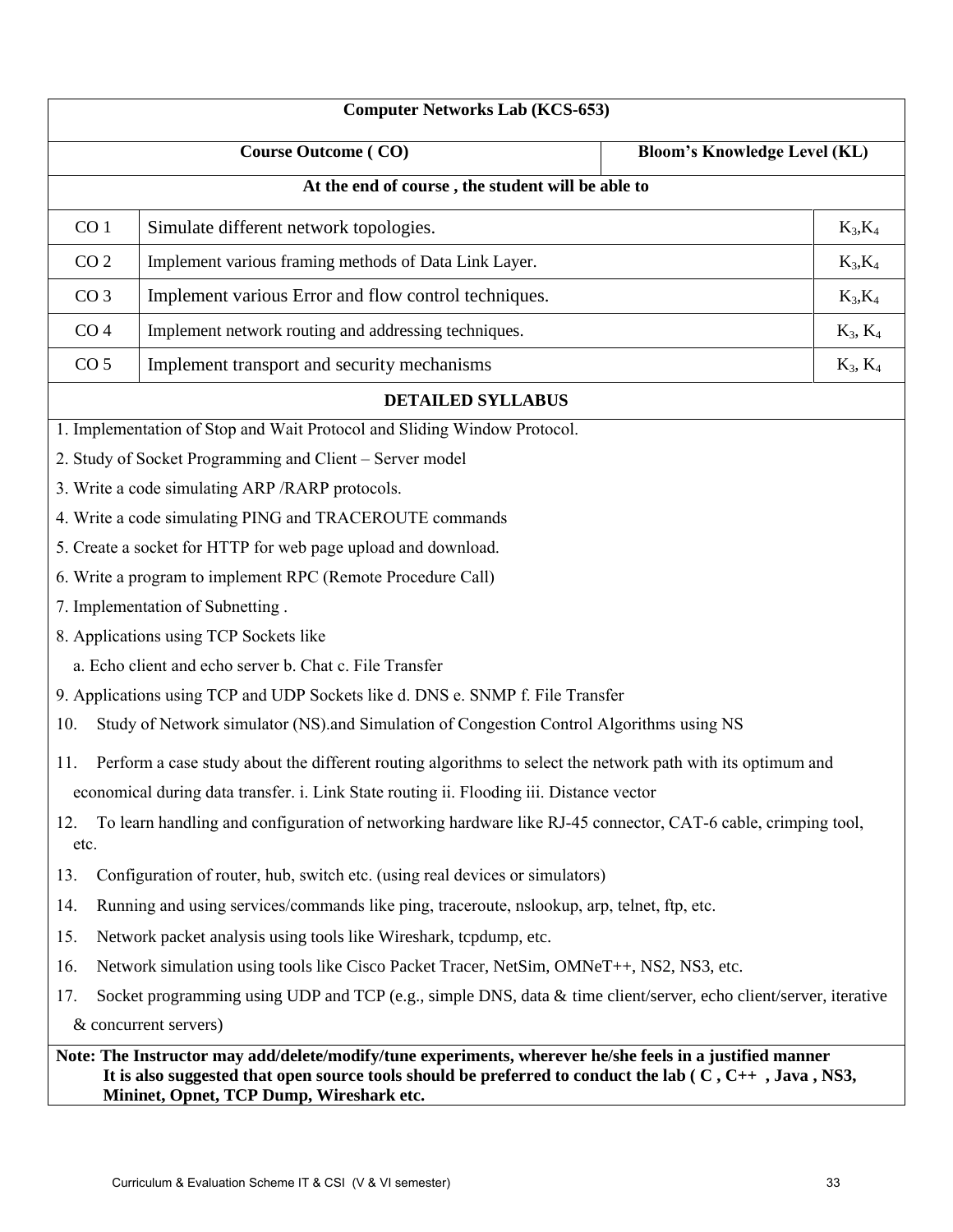| <b>Computer Networks Lab (KCS-653)</b>                                                                                      |                                                                                                                                                                                                                                                                              |                                     |  |
|-----------------------------------------------------------------------------------------------------------------------------|------------------------------------------------------------------------------------------------------------------------------------------------------------------------------------------------------------------------------------------------------------------------------|-------------------------------------|--|
|                                                                                                                             | <b>Course Outcome (CO)</b>                                                                                                                                                                                                                                                   | <b>Bloom's Knowledge Level (KL)</b> |  |
|                                                                                                                             | At the end of course, the student will be able to                                                                                                                                                                                                                            |                                     |  |
| CO <sub>1</sub>                                                                                                             | Simulate different network topologies.                                                                                                                                                                                                                                       | $K_3, K_4$                          |  |
| CO <sub>2</sub>                                                                                                             | Implement various framing methods of Data Link Layer.                                                                                                                                                                                                                        | $K_3, K_4$                          |  |
| CO <sub>3</sub>                                                                                                             | Implement various Error and flow control techniques.                                                                                                                                                                                                                         | $K_3, K_4$                          |  |
| CO <sub>4</sub>                                                                                                             | Implement network routing and addressing techniques.                                                                                                                                                                                                                         | $K_3, K_4$                          |  |
| CO <sub>5</sub>                                                                                                             | Implement transport and security mechanisms                                                                                                                                                                                                                                  | $K_3, K_4$                          |  |
|                                                                                                                             | <b>DETAILED SYLLABUS</b>                                                                                                                                                                                                                                                     |                                     |  |
|                                                                                                                             | 1. Implementation of Stop and Wait Protocol and Sliding Window Protocol.                                                                                                                                                                                                     |                                     |  |
|                                                                                                                             | 2. Study of Socket Programming and Client – Server model                                                                                                                                                                                                                     |                                     |  |
|                                                                                                                             | 3. Write a code simulating ARP / RARP protocols.                                                                                                                                                                                                                             |                                     |  |
|                                                                                                                             | 4. Write a code simulating PING and TRACEROUTE commands                                                                                                                                                                                                                      |                                     |  |
|                                                                                                                             | 5. Create a socket for HTTP for web page upload and download.                                                                                                                                                                                                                |                                     |  |
|                                                                                                                             | 6. Write a program to implement RPC (Remote Procedure Call)                                                                                                                                                                                                                  |                                     |  |
|                                                                                                                             | 7. Implementation of Subnetting.                                                                                                                                                                                                                                             |                                     |  |
|                                                                                                                             | 8. Applications using TCP Sockets like                                                                                                                                                                                                                                       |                                     |  |
|                                                                                                                             | a. Echo client and echo server b. Chat c. File Transfer                                                                                                                                                                                                                      |                                     |  |
|                                                                                                                             | 9. Applications using TCP and UDP Sockets like d. DNS e. SNMP f. File Transfer                                                                                                                                                                                               |                                     |  |
| 10.                                                                                                                         | Study of Network simulator (NS) and Simulation of Congestion Control Algorithms using NS                                                                                                                                                                                     |                                     |  |
| 11.                                                                                                                         | Perform a case study about the different routing algorithms to select the network path with its optimum and                                                                                                                                                                  |                                     |  |
| economical during data transfer. i. Link State routing ii. Flooding iii. Distance vector                                    |                                                                                                                                                                                                                                                                              |                                     |  |
| To learn handling and configuration of networking hardware like RJ-45 connector, CAT-6 cable, crimping tool,<br>12.<br>etc. |                                                                                                                                                                                                                                                                              |                                     |  |
| 13.                                                                                                                         | Configuration of router, hub, switch etc. (using real devices or simulators)                                                                                                                                                                                                 |                                     |  |
| 14.                                                                                                                         | Running and using services/commands like ping, traceroute, nslookup, arp, telnet, ftp, etc.                                                                                                                                                                                  |                                     |  |
| 15.                                                                                                                         | Network packet analysis using tools like Wireshark, tcpdump, etc.                                                                                                                                                                                                            |                                     |  |
| 16.                                                                                                                         | Network simulation using tools like Cisco Packet Tracer, NetSim, OMNeT++, NS2, NS3, etc.                                                                                                                                                                                     |                                     |  |
| 17.                                                                                                                         | Socket programming using UDP and TCP (e.g., simple DNS, data $\&$ time client/server, echo client/server, iterative                                                                                                                                                          |                                     |  |
|                                                                                                                             | & concurrent servers)                                                                                                                                                                                                                                                        |                                     |  |
|                                                                                                                             | Note: The Instructor may add/delete/modify/tune experiments, wherever he/she feels in a justified manner<br>It is also suggested that open source tools should be preferred to conduct the lab $(C, C_{++}, J_{av}, NS3, S_{+})$<br>Mininet, Opnet, TCP Dump, Wireshark etc. |                                     |  |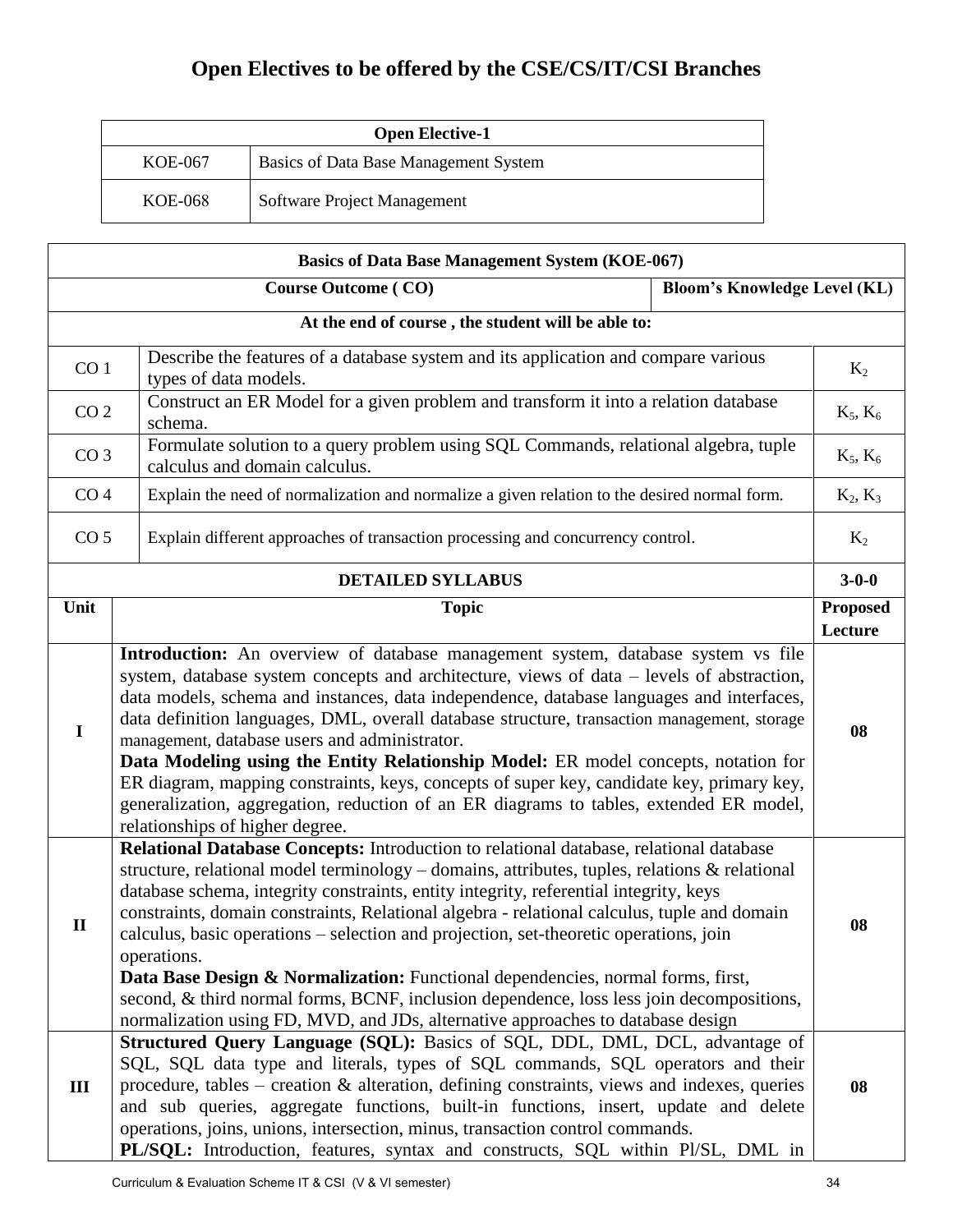# **Open Electives to be offered by the CSE/CS/IT/CSI Branches**

| <b>Open Elective-1</b> |                                       |
|------------------------|---------------------------------------|
| KOE-067                | Basics of Data Base Management System |
| KOE-068                | Software Project Management           |

| <b>Basics of Data Base Management System (KOE-067)</b>            |                                                                                                                                                                                                                                                                                                                                                                                                                                                                                                                                                                                                                                                                                                                                                              |                            |  |
|-------------------------------------------------------------------|--------------------------------------------------------------------------------------------------------------------------------------------------------------------------------------------------------------------------------------------------------------------------------------------------------------------------------------------------------------------------------------------------------------------------------------------------------------------------------------------------------------------------------------------------------------------------------------------------------------------------------------------------------------------------------------------------------------------------------------------------------------|----------------------------|--|
| <b>Course Outcome (CO)</b><br><b>Bloom's Knowledge Level (KL)</b> |                                                                                                                                                                                                                                                                                                                                                                                                                                                                                                                                                                                                                                                                                                                                                              |                            |  |
|                                                                   | At the end of course, the student will be able to:                                                                                                                                                                                                                                                                                                                                                                                                                                                                                                                                                                                                                                                                                                           |                            |  |
| CO <sub>1</sub>                                                   | Describe the features of a database system and its application and compare various<br>types of data models.                                                                                                                                                                                                                                                                                                                                                                                                                                                                                                                                                                                                                                                  |                            |  |
| CO <sub>2</sub>                                                   | Construct an ER Model for a given problem and transform it into a relation database<br>schema.                                                                                                                                                                                                                                                                                                                                                                                                                                                                                                                                                                                                                                                               | $K_5, K_6$                 |  |
| CO <sub>3</sub>                                                   | Formulate solution to a query problem using SQL Commands, relational algebra, tuple<br>calculus and domain calculus.                                                                                                                                                                                                                                                                                                                                                                                                                                                                                                                                                                                                                                         | $K_5, K_6$                 |  |
| CO <sub>4</sub>                                                   | Explain the need of normalization and normalize a given relation to the desired normal form.                                                                                                                                                                                                                                                                                                                                                                                                                                                                                                                                                                                                                                                                 | $K_2, K_3$                 |  |
| CO <sub>5</sub>                                                   | Explain different approaches of transaction processing and concurrency control.                                                                                                                                                                                                                                                                                                                                                                                                                                                                                                                                                                                                                                                                              | $K_2$                      |  |
|                                                                   | <b>DETAILED SYLLABUS</b>                                                                                                                                                                                                                                                                                                                                                                                                                                                                                                                                                                                                                                                                                                                                     | $3 - 0 - 0$                |  |
| Unit                                                              | <b>Topic</b>                                                                                                                                                                                                                                                                                                                                                                                                                                                                                                                                                                                                                                                                                                                                                 | <b>Proposed</b><br>Lecture |  |
| $\mathbf I$                                                       | Introduction: An overview of database management system, database system vs file<br>system, database system concepts and architecture, views of data – levels of abstraction,<br>data models, schema and instances, data independence, database languages and interfaces,<br>data definition languages, DML, overall database structure, transaction management, storage<br>management, database users and administrator.<br>Data Modeling using the Entity Relationship Model: ER model concepts, notation for<br>ER diagram, mapping constraints, keys, concepts of super key, candidate key, primary key,<br>generalization, aggregation, reduction of an ER diagrams to tables, extended ER model,<br>relationships of higher degree.                    |                            |  |
| $\mathbf{I}$                                                      | Relational Database Concepts: Introduction to relational database, relational database<br>structure, relational model terminology – domains, attributes, tuples, relations $\&$ relational<br>database schema, integrity constraints, entity integrity, referential integrity, keys<br>constraints, domain constraints, Relational algebra - relational calculus, tuple and domain<br>calculus, basic operations - selection and projection, set-theoretic operations, join<br>operations.<br>Data Base Design & Normalization: Functional dependencies, normal forms, first,<br>second, & third normal forms, BCNF, inclusion dependence, loss less join decompositions,<br>normalization using FD, MVD, and JDs, alternative approaches to database design | 08                         |  |
| III                                                               | Structured Query Language (SQL): Basics of SQL, DDL, DML, DCL, advantage of<br>SQL, SQL data type and literals, types of SQL commands, SQL operators and their<br>procedure, tables – creation $\&$ alteration, defining constraints, views and indexes, queries<br>and sub queries, aggregate functions, built-in functions, insert, update and delete<br>operations, joins, unions, intersection, minus, transaction control commands.<br>PL/SQL: Introduction, features, syntax and constructs, SQL within Pl/SL, DML in                                                                                                                                                                                                                                  | 08                         |  |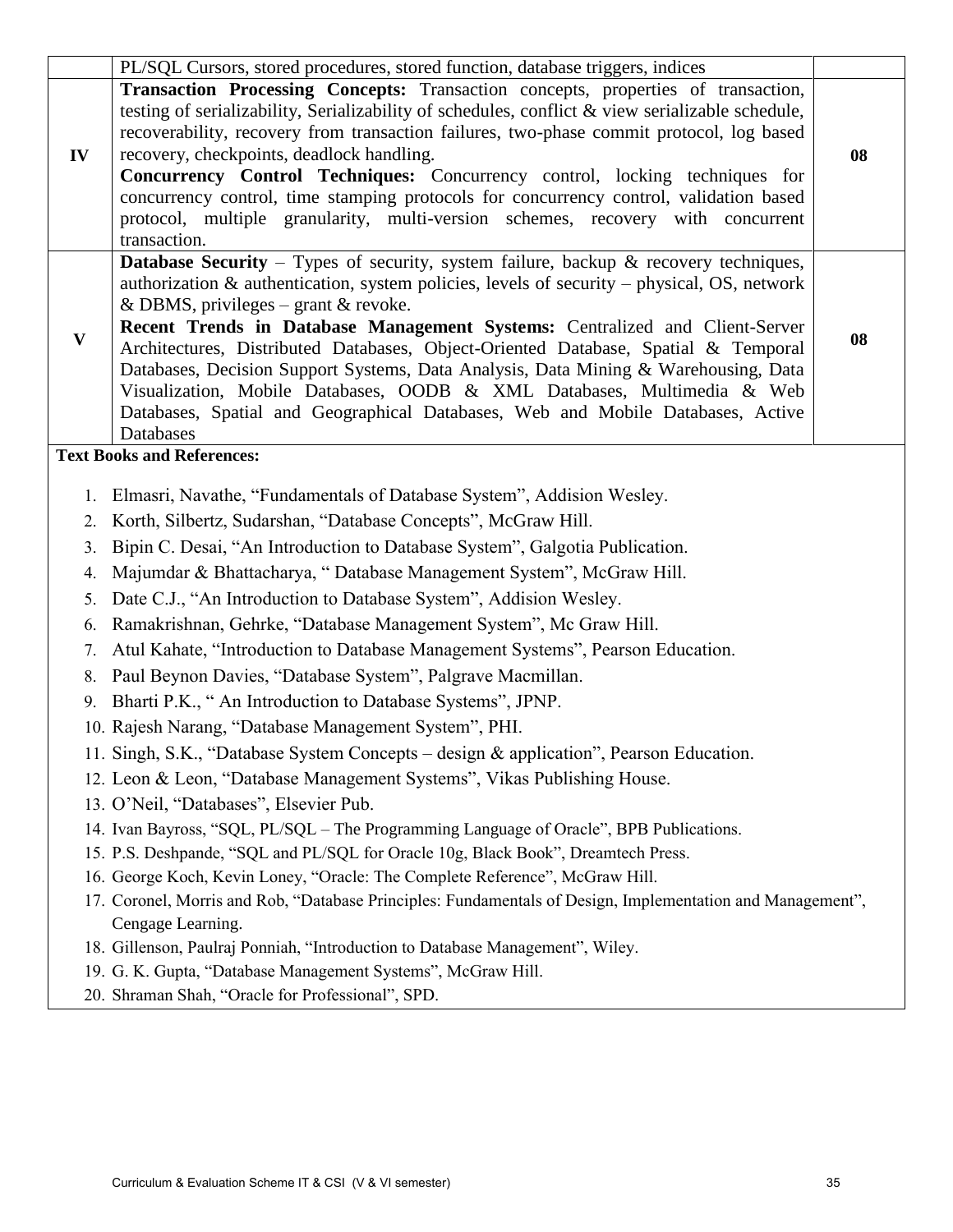|              | PL/SQL Cursors, stored procedures, stored function, database triggers, indices                                                                                                                                                                                                                                                                                                                                                                                                                                                                                                                                                                                                 |    |
|--------------|--------------------------------------------------------------------------------------------------------------------------------------------------------------------------------------------------------------------------------------------------------------------------------------------------------------------------------------------------------------------------------------------------------------------------------------------------------------------------------------------------------------------------------------------------------------------------------------------------------------------------------------------------------------------------------|----|
| IV           | Transaction Processing Concepts: Transaction concepts, properties of transaction,<br>testing of serializability, Serializability of schedules, conflict & view serializable schedule,<br>recoverability, recovery from transaction failures, two-phase commit protocol, log based<br>recovery, checkpoints, deadlock handling.<br>Concurrency Control Techniques: Concurrency control, locking techniques for<br>concurrency control, time stamping protocols for concurrency control, validation based<br>protocol, multiple granularity, multi-version schemes, recovery with concurrent<br>transaction.                                                                     | 08 |
| $\mathbf{V}$ | <b>Database Security</b> – Types of security, system failure, backup $\&$ recovery techniques,<br>authorization $\&$ authorication, system policies, levels of security – physical, OS, network<br>& DBMS, privileges – grant & revoke.<br>Recent Trends in Database Management Systems: Centralized and Client-Server<br>Architectures, Distributed Databases, Object-Oriented Database, Spatial & Temporal<br>Databases, Decision Support Systems, Data Analysis, Data Mining & Warehousing, Data<br>Visualization, Mobile Databases, OODB & XML Databases, Multimedia & Web<br>Databases, Spatial and Geographical Databases, Web and Mobile Databases, Active<br>Databases | 08 |
|              | <b>Text Books and References:</b>                                                                                                                                                                                                                                                                                                                                                                                                                                                                                                                                                                                                                                              |    |
| 1.<br>2.     | Elmasri, Navathe, "Fundamentals of Database System", Addision Wesley.<br>Korth, Silbertz, Sudarshan, "Database Concepts", McGraw Hill.                                                                                                                                                                                                                                                                                                                                                                                                                                                                                                                                         |    |
| 3.           | Bipin C. Desai, "An Introduction to Database System", Galgotia Publication.                                                                                                                                                                                                                                                                                                                                                                                                                                                                                                                                                                                                    |    |
| 4.           | Majumdar & Bhattacharya, "Database Management System", McGraw Hill.                                                                                                                                                                                                                                                                                                                                                                                                                                                                                                                                                                                                            |    |
| 5.           | Date C.J., "An Introduction to Database System", Addision Wesley.                                                                                                                                                                                                                                                                                                                                                                                                                                                                                                                                                                                                              |    |
| 6.           | Ramakrishnan, Gehrke, "Database Management System", Mc Graw Hill.                                                                                                                                                                                                                                                                                                                                                                                                                                                                                                                                                                                                              |    |
| 7.           | Atul Kahate, "Introduction to Database Management Systems", Pearson Education.                                                                                                                                                                                                                                                                                                                                                                                                                                                                                                                                                                                                 |    |
| 8.           | Paul Beynon Davies, "Database System", Palgrave Macmillan.                                                                                                                                                                                                                                                                                                                                                                                                                                                                                                                                                                                                                     |    |
| 9.           | Bharti P.K., "An Introduction to Database Systems", JPNP.                                                                                                                                                                                                                                                                                                                                                                                                                                                                                                                                                                                                                      |    |
|              | 10. Rajesh Narang, "Database Management System", PHI.                                                                                                                                                                                                                                                                                                                                                                                                                                                                                                                                                                                                                          |    |
|              | 11. Singh, S.K., "Database System Concepts - design & application", Pearson Education.                                                                                                                                                                                                                                                                                                                                                                                                                                                                                                                                                                                         |    |
|              | 12. Leon & Leon, "Database Management Systems", Vikas Publishing House.                                                                                                                                                                                                                                                                                                                                                                                                                                                                                                                                                                                                        |    |
|              | 13. O'Neil, "Databases", Elsevier Pub.                                                                                                                                                                                                                                                                                                                                                                                                                                                                                                                                                                                                                                         |    |
|              | 14. Ivan Bayross, "SQL, PL/SQL – The Programming Language of Oracle", BPB Publications.                                                                                                                                                                                                                                                                                                                                                                                                                                                                                                                                                                                        |    |
|              | 15. P.S. Deshpande, "SQL and PL/SQL for Oracle 10g, Black Book", Dreamtech Press.                                                                                                                                                                                                                                                                                                                                                                                                                                                                                                                                                                                              |    |
|              | 16. George Koch, Kevin Loney, "Oracle: The Complete Reference", McGraw Hill.                                                                                                                                                                                                                                                                                                                                                                                                                                                                                                                                                                                                   |    |
|              | 17. Coronel, Morris and Rob, "Database Principles: Fundamentals of Design, Implementation and Management",                                                                                                                                                                                                                                                                                                                                                                                                                                                                                                                                                                     |    |
|              | Cengage Learning.                                                                                                                                                                                                                                                                                                                                                                                                                                                                                                                                                                                                                                                              |    |
|              | 18. Gillenson, Paulraj Ponniah, "Introduction to Database Management", Wiley.                                                                                                                                                                                                                                                                                                                                                                                                                                                                                                                                                                                                  |    |
|              | 19. G. K. Gupta, "Database Management Systems", McGraw Hill.<br>20. Shraman Shah, "Oracle for Professional", SPD.                                                                                                                                                                                                                                                                                                                                                                                                                                                                                                                                                              |    |
|              |                                                                                                                                                                                                                                                                                                                                                                                                                                                                                                                                                                                                                                                                                |    |